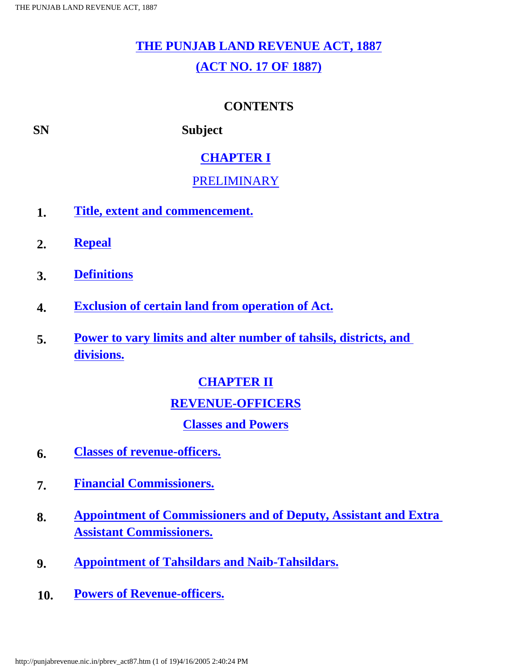# **[THE PUNJAB LAND REVENUE ACT, 1887](#page-11-0)**

### **[\(ACT NO. 17 OF 1887\)](#page-11-0)**

### **CONTENTS**

<span id="page-0-0"></span>**SN Subject** 

### **[CHAPTER I](#page-13-0)**

### [PRELIMINARY](#page-13-0)

- **1. [Title, extent and commencement.](#page-13-0)**
- **2. [Repeal](#page-14-0)**
- **3. [Definitions](#page-14-1)**
- **4. [Exclusion of certain land from operation of Act.](#page-19-0)**
- **5. [Power to vary limits and alter number of tahsils, districts, and](#page-19-1)  [divisions.](#page-19-1)**

### **[CHAPTER II](#page-19-2)**

### **[REVENUE-OFFICERS](#page-19-2)**

### **[Classes and Powers](#page-19-2)**

- **6. [Classes of revenue-officers.](#page-19-2)**
- **7. [Financial Commissioners.](#page-20-0)**
- **8. [Appointment of Commissioners and of Deputy, Assistant and Extra](#page-21-0)  [Assistant Commissioners.](#page-21-0)**
- **9. [Appointment of Tahsildars and Naib-Tahsildars.](#page-21-1)**
- **10. [Powers of Revenue-officers.](#page-21-2)**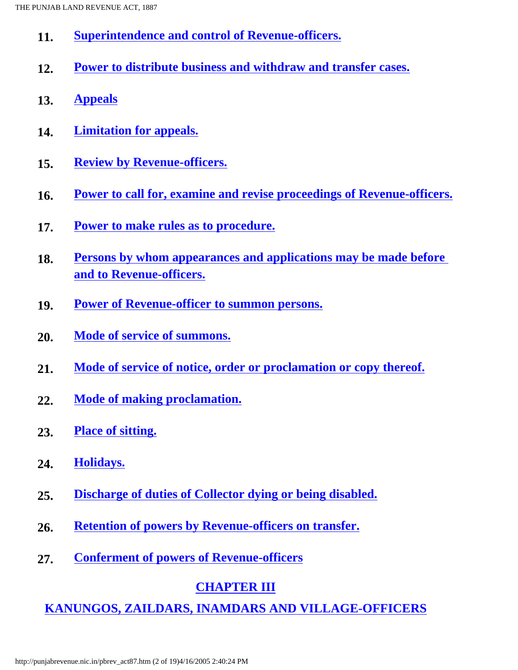- **11. [Superintendence and control of Revenue-officers.](#page-22-0)**
- **12. [Power to distribute business and withdraw and transfer cases.](#page-22-1)**
- **13. [Appeals](#page-23-0)**
- **14. [Limitation for appeals.](#page-23-1)**
- **15. [Review by Revenue-officers.](#page-23-2)**
- **16. [Power to call for, examine and revise proceedings of Revenue-officers.](#page-24-0)**
- **17. [Power to make rules as to procedure.](#page-24-1)**
- **18. [Persons by whom appearances and applications may be made before](#page-25-0) [and to Revenue-officers.](#page-25-0)**
- **19. [Power of Revenue-officer to summon persons.](#page-25-1)**
- **20. [Mode of service of summons.](#page-26-0)**
- **21. [Mode of service of notice, order or proclamation or copy thereof.](#page-26-1)**
- **22. [Mode of making proclamation.](#page-27-0)**
- **23. [Place of sitting.](#page-27-1)**
- **24. [Holidays.](#page-27-2)**
- **25. [Discharge of duties of Collector dying or being disabled.](#page-27-3)**
- **26. [Retention of powers by Revenue-officers on transfer.](#page-27-4)**
- **27. [Conferment of powers of Revenue-officers](#page-28-0)**

### **[CHAPTER III](#page-28-1)**

**[KANUNGOS, ZAILDARS, INAMDARS AND VILLAGE-OFFICERS](#page-28-1)**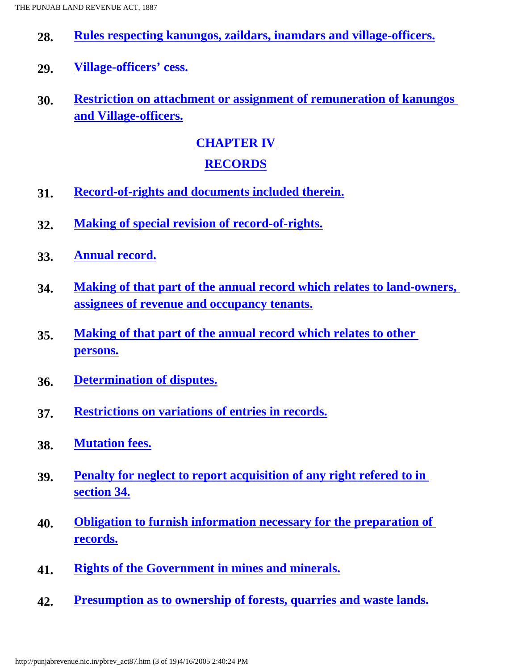- **28. [Rules respecting kanungos, zaildars, inamdars and village-officers.](#page-28-1)**
- **29. [Village-officers' cess.](#page-29-0)**
- **30. [Restriction on attachment or assignment of remuneration of kanungos](#page-30-0) [and Village-officers.](#page-30-0)**

### **[CHAPTER IV](#page-30-1)**

### **[RECORDS](#page-30-1)**

- **31. [Record-of-rights and documents included therein.](#page-30-1)**
- **32. [Making of special revision of record-of-rights.](#page-31-0)**
- **33. [Annual record.](#page-31-1)**
- **34. [Making of that part of the annual record which relates to land-owners,](#page-32-0)  [assignees of revenue and occupancy tenants.](#page-32-0)**
- **35. [Making of that part of the annual record which relates to other](#page-32-1) [persons.](#page-32-1)**
- **36. [Determination of disputes.](#page-33-0)**
- **37. [Restrictions on variations of entries in records.](#page-33-1)**
- **38. [Mutation fees.](#page-33-2)**
- **39. [Penalty for neglect to report acquisition of any right refered to in](#page-33-3)  [section 34.](#page-33-3)**
- **40. [Obligation to furnish information necessary for the preparation of](#page-34-0)  [records.](#page-34-0)**
- **41. [Rights of the Government in mines and minerals.](#page-34-1)**
- **42. [Presumption as to ownership of forests, quarries and waste lands.](#page-34-2)**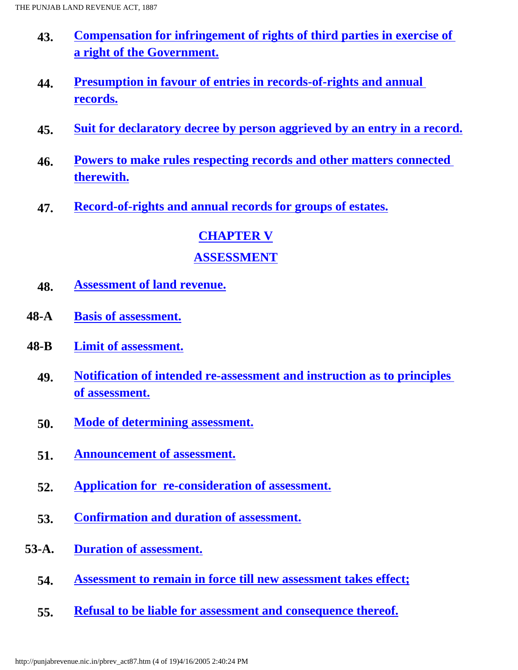- **43. [Compensation for infringement of rights of third parties in exercise of](#page-36-0)  [a right of the Government.](#page-36-0)**
- **44. [Presumption in favour of entries in records-of-rights and annual](#page-36-1)  [records.](#page-36-1)**
- **45. [Suit for declaratory decree by person aggrieved by an entry in a record.](#page-36-2)**
- **46. [Powers to make rules respecting records and other matters connected](#page-36-3)  [therewith.](#page-36-3)**
- **47. [Record-of-rights and annual records for groups of estates.](#page-37-0)**

# **[CHAPTER V](#page-37-1) [ASSESSMENT](#page-37-1)**

- **48. [Assessment of land revenue.](#page-37-1)**
- **48-A [Basis of assessment.](#page-39-0)**
- **48-B [Limit of assessment.](#page-40-0)**
	- **49. [Notification of intended re-assessment and instruction as to principles](#page-40-1) [of assessment.](#page-40-1)**
	- **50. [Mode of determining assessment.](#page-41-0)**
	- **51. [Announcement of assessment.](#page-41-1)**
	- **52. [Application for re-consideration of assessment.](#page-42-0)**
	- **53. [Confirmation and duration of assessment.](#page-42-1)**
- **53-A. [Duration of assessment.](#page-43-0)**
	- **54. [Assessment to remain in force till new assessment takes effect;](#page-44-0)**
	- **55. [Refusal to be liable for assessment and consequence thereof.](#page-44-1)**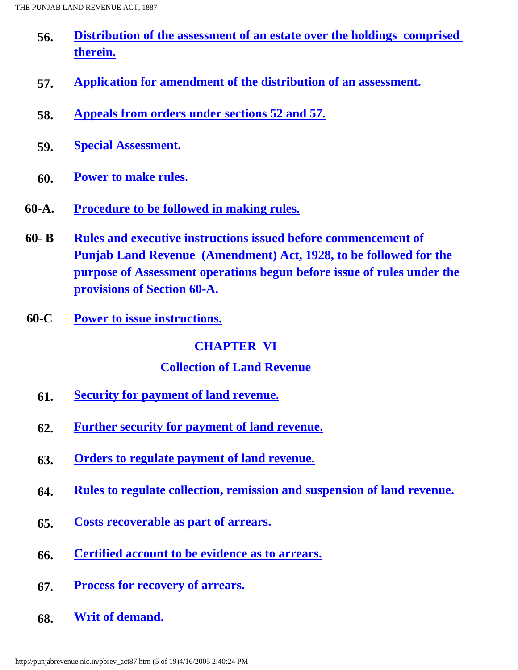- **56. [Distribution of the assessment of an estate over the holdings comprised](#page-44-2)  [therein.](#page-44-2)**
- **57. [Application for amendment of the distribution of an assessment.](#page-45-0)**
- **58. [Appeals from orders under sections 52 and 57.](#page-45-1)**
- **59. [Special Assessment.](#page-45-2)**
- **60. [Power to make rules.](#page-47-0)**
- **60-A. [Procedure to be followed in making rules.](#page-47-1)**
- **60- B [Rules and executive instructions issued before commencement of](#page-48-0) [Punjab Land Revenue \(Amendment\) Act, 1928, to be followed for the](#page-48-0) [purpose of Assessment operations begun before issue of rules under the](#page-48-0) [provisions of Section 60-A.](#page-48-0)**
- **60-C [Power to issue instructions.](#page-48-1)**

### **[CHAPTER VI](#page-48-2)**

### **[Collection of Land Revenue](#page-48-2)**

- **61. [Security for payment of land revenue.](#page-48-2)**
- **62. [Further security for payment of land revenue.](#page-49-0)**
- **63. [Orders to regulate payment of land revenue.](#page-49-1)**
- **64. [Rules to regulate collection, remission and suspension of land revenue.](#page-49-2)**
- **65. [Costs recoverable as part of arrears.](#page-50-0)**
- **66. [Certified account to be evidence as to arrears.](#page-50-1)**
- **67. [Process for recovery of arrears.](#page-50-2)**
- **68. [Writ of demand.](#page-50-3)**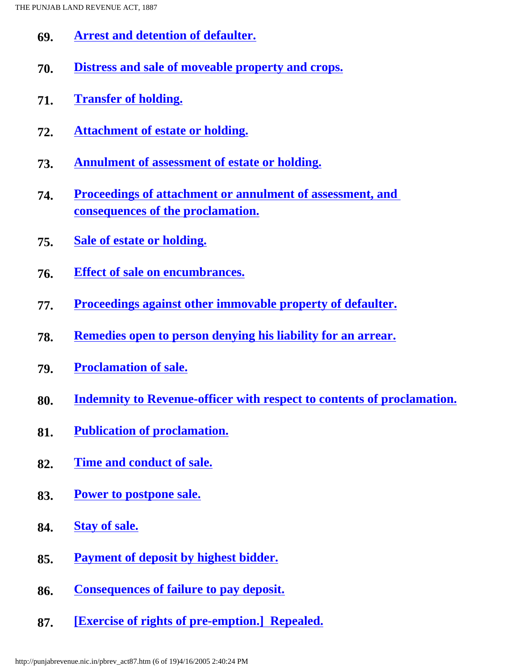- **69. [Arrest and detention of defaulter.](#page-51-0)**
- **70. [Distress and sale of moveable property and crops.](#page-51-1)**
- **71. [Transfer of holding.](#page-51-2)**
- **72. [Attachment of estate or holding.](#page-52-0)**
- **73. [Annulment of assessment of estate or holding.](#page-54-0)**
- **74. [Proceedings of attachment or annulment of assessment, and](#page-55-0)  [consequences of the proclamation.](#page-55-0)**
- **75. [Sale of estate or holding.](#page-55-1)**
- **76. [Effect of sale on encumbrances.](#page-56-0)**
- **77. [Proceedings against other immovable property of defaulter.](#page-56-1)**
- **78. [Remedies open to person denying his liability for an arrear.](#page-57-0)**
- **79. [Proclamation of sale.](#page-57-1)**
- **80. [Indemnity to Revenue-officer with respect to contents of proclamation.](#page-58-0)**
- **81. [Publication of proclamation.](#page-58-1)**
- **82. [Time and conduct of sale.](#page-58-2)**
- **83. [Power to postpone sale.](#page-58-3)**
- **84. [Stay of sale.](#page-58-4)**
- **85. [Payment of deposit by highest bidder.](#page-59-0)**
- **86. [Consequences of failure to pay deposit.](#page-59-1)**
- **87. [\[Exercise of rights of pre-emption.\] Repealed.](#page-59-2)**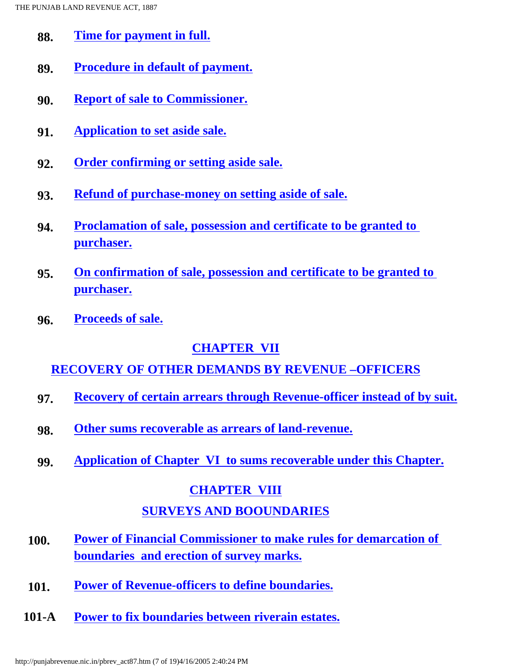- **88. [Time for payment in full.](#page-59-3)**
- **89. [Procedure in default of payment.](#page-59-4)**
- **90. [Report of sale to Commissioner.](#page-59-5)**
- **91. [Application to set aside sale.](#page-60-0)**
- **92. [Order confirming or setting aside sale.](#page-60-1)**
- **93. [Refund of purchase-money on setting aside of sale.](#page-60-2)**
- **94. [Proclamation of sale, possession and certificate to be granted to](#page-60-3) [purchaser.](#page-60-3)**
- **95. [On confirmation of sale, possession and certificate to be granted to](#page-60-4)  [purchaser.](#page-60-4)**
- **96. [Proceeds of sale.](#page-61-0)**

### **[CHAPTER VII](#page-61-1)**

### **RECOVERY OF OTHER DEMANDS [BY REVENUE –OFFICERS](#page-61-1)**

- **97. [Recovery of certain arrears through Revenue-officer instead of by suit.](#page-61-1)**
- **98. [Other sums recoverable as arrears of land-revenue.](#page-62-0)**
- **99. [Application of Chapter VI to sums recoverable under this Chapter.](#page-63-0)**

### **[CHAPTER VIII](#page-63-1) SURVEYS AND [BOOUNDARIES](#page-63-1)**

- **100. [Power of Financial Commissioner to make rules for demarcation of](#page-63-1)  [boundaries and erection of survey marks.](#page-63-1)**
- **101. [Power of Revenue-officers to define boundaries.](#page-64-0)**
- **101-A [Power to fix boundaries between riverain estates.](#page-64-1)**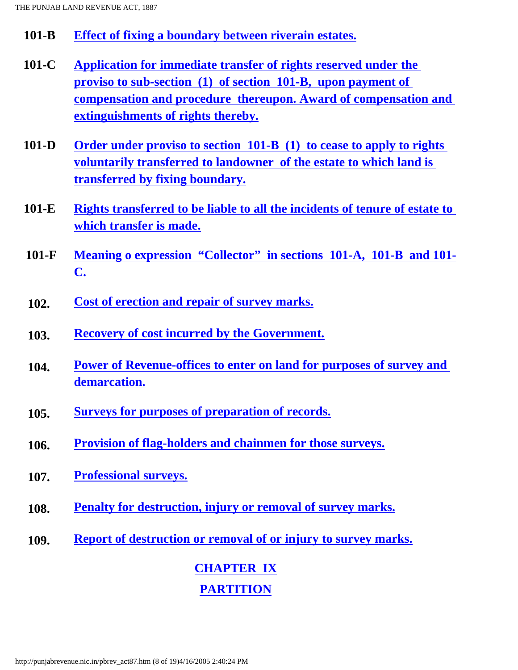- **101-B [Effect of fixing a boundary between riverain estates.](#page-65-0)**
- **101-C [Application for immediate transfer of rights reserved under the](#page-65-1) [proviso to sub-section \(1\) of section 101-B, upon payment of](#page-65-1) [compensation and procedure thereupon. Award of compensation and](#page-65-1)  [extinguishments of rights thereby.](#page-65-1)**
- **101-D [Order under proviso to section 101-B \(1\) to cease to apply to rights](#page-66-0) [voluntarily transferred to landowner of the estate to which land is](#page-66-0)  [transferred by fixing boundary.](#page-66-0)**
- **101-E [Rights transferred to be liable to all the incidents of tenure of estate to](#page-67-0) [which transfer is made.](#page-67-0)**
- **101-F [Meaning o expression "Collector" in sections 101-A, 101-B and 101-](#page-67-1) [C.](#page-67-1)**
- **102. [Cost of erection and repair of survey marks.](#page-67-2)**
- **103. [Recovery of cost incurred by the Government.](#page-67-3)**
- **104. [Power of Revenue-offices to enter on land for purposes of survey and](#page-68-0)  [demarcation.](#page-68-0)**
- **105. [Surveys for purposes of preparation of records.](#page-68-1)**
- **106. [Provision of flag-holders and chainmen for those surveys.](#page-68-2)**
- **107. [Professional surveys.](#page-68-3)**
- **108. [Penalty for destruction, injury or removal of survey marks.](#page-69-0)**
- **109. [Report of destruction or removal of or injury to survey marks.](#page-69-1)**

# **[CHAPTER](#page-70-0) IX [PARTITION](#page-70-0)**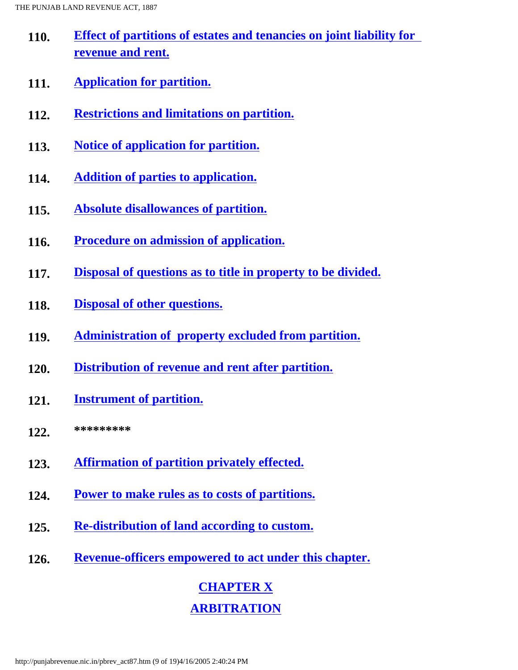- **110. [Effect of partitions of estates and tenancies on joint liability for](#page-70-0)  [revenue and rent.](#page-70-0)**
- **111. Application for partition.**
- **112. Restrictions and limitations on partition.**
- **113. Notice of application for partition.**
- **114. Addition of parties to application.**
- **115. Absolute disallowances of partition.**
- **116. Procedure on admission of application.**
- **117. Disposal of questions as to title in property to be divided.**
- **118. Disposal of other questions.**
- **119. Administration of property excluded from partition.**
- **120. Distribution of revenue and rent after partition.**
- **121. Instrument of partition.**
- **122. \*\*\*\*\*\*\*\*\***
- **123. Affirmation of partition privately effected.**
- **124. Power to make rules as to costs of partitions.**
- **125. Re-distribution of land according to custom.**
- **126. Revenue-officers empowered to act under this chapter.**

## **CHAPTER X ARBITRATION**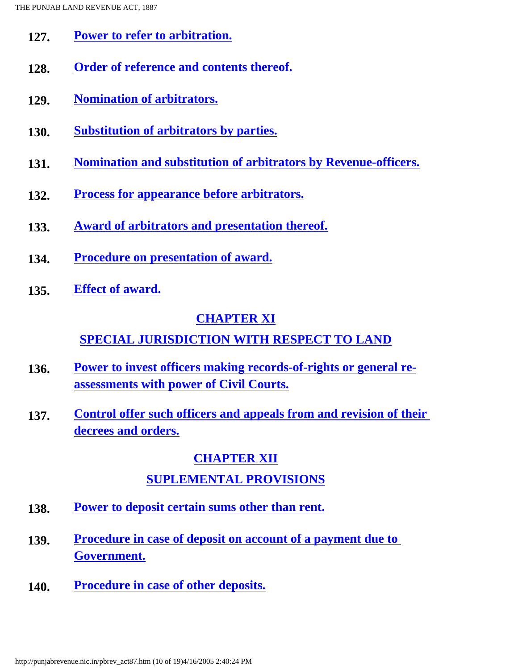- **127. Power to refer to arbitration.**
- **128. Order of reference and contents thereof.**
- **129. Nomination of arbitrators.**
- **130. Substitution of arbitrators by parties.**
- **131. Nomination and substitution of arbitrators by Revenue-officers.**
- **132. Process for appearance before arbitrators.**
- **133. Award of arbitrators and presentation thereof.**
- **134. Procedure on presentation of award.**
- **135. Effect of award.**

### **CHAPTER XI**

### **SPECIAL JURISDICTION WITH RESPECT TO LAND**

- **136. Power to invest officers making records-of-rights or general reassessments with power of Civil Courts.**
- **137. Control offer such officers and appeals from and revision of their decrees and orders.**

### **CHAPTER XII**

### **SUPLEMENTAL PROVISIONS**

- **138. Power to deposit certain sums other than rent.**
- **139. Procedure in case of deposit on account of a payment due to Government.**
- **140. Procedure in case of other deposits.**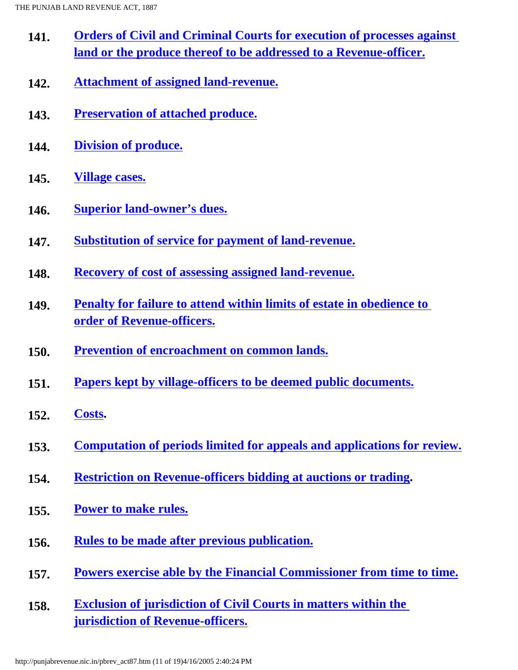- **141. Orders of Civil and Criminal Courts for execution of processes against land or the produce thereof to be addressed to a Revenue-officer.**
- **142. Attachment of assigned land-revenue.**
- **143. Preservation of attached produce.**
- **144. Division of produce.**
- **145. Village cases.**
- **146. Superior land-owner's dues.**
- **147. Substitution of service for payment of land-revenue.**
- **148. Recovery of cost of assessing assigned land-revenue.**
- **149. Penalty for failure to attend within limits of estate in obedience to order of Revenue-officers.**
- **150. Prevention of encroachment on common lands.**
- **151. Papers kept by village-officers to be deemed public documents.**
- **152. Costs.**
- **153. Computation of periods limited for appeals and applications for review.**
- **154. Restriction on Revenue-officers bidding at auctions or trading.**
- **155. Power to make rules.**
- **156. Rules to be made after previous publication.**
- **157. Powers exercise able by the Financial Commissioner from time to time.**
- **158. Exclusion of jurisdiction of Civil Courts in matters within the jurisdiction of Revenue-officers.**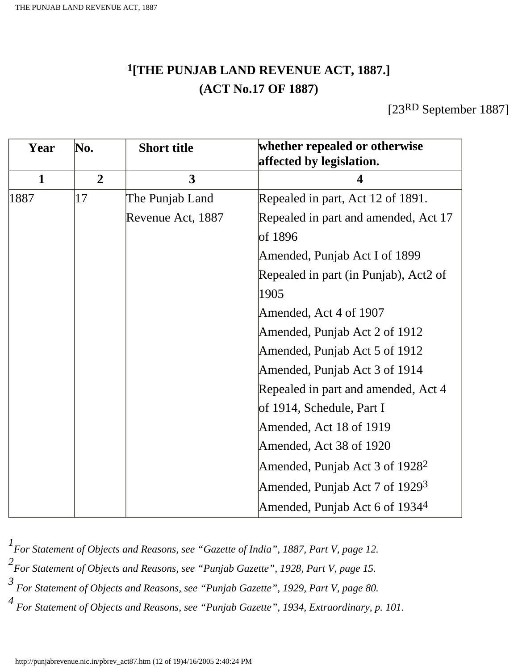### **1[THE PUNJAB LAND REVENUE ACT, 1887.] (ACT No.17 OF 1887)**

[23RD September 1887]

<span id="page-11-0"></span>

| Year         | No.            | <b>Short title</b> | whether repealed or otherwise<br>affected by legislation. |
|--------------|----------------|--------------------|-----------------------------------------------------------|
| $\mathbf{1}$ | $\overline{2}$ | $\overline{3}$     | $\Delta$                                                  |
| 1887         | 17             | The Punjab Land    | Repealed in part, Act 12 of 1891.                         |
|              |                | Revenue Act, 1887  | Repealed in part and amended, Act 17                      |
|              |                |                    | of 1896                                                   |
|              |                |                    | Amended, Punjab Act I of 1899                             |
|              |                |                    | Repealed in part (in Punjab), Act2 of                     |
|              |                |                    | 1905                                                      |
|              |                |                    | Amended, Act 4 of 1907                                    |
|              |                |                    | Amended, Punjab Act 2 of 1912                             |
|              |                |                    | Amended, Punjab Act 5 of 1912                             |
|              |                |                    | Amended, Punjab Act 3 of 1914                             |
|              |                |                    | Repealed in part and amended, Act 4                       |
|              |                |                    | of 1914, Schedule, Part I                                 |
|              |                |                    | Amended, Act 18 of 1919                                   |
|              |                |                    | Amended, Act 38 of 1920                                   |
|              |                |                    | Amended, Punjab Act 3 of $19282$                          |
|              |                |                    | Amended, Punjab Act 7 of $19293$                          |
|              |                |                    | Amended, Punjab Act 6 of 1934 <sup>4</sup>                |

 *For Statement of Objects and Reasons, see "Gazette of India", 1887, Part V, page 12. For Statement of Objects and Reasons, see "Punjab Gazette", 1928, Part V, page 15. For Statement of Objects and Reasons, see "Punjab Gazette", 1929, Part V, page 80. For Statement of Objects and Reasons, see "Punjab Gazette", 1934, Extraordinary, p. 101.*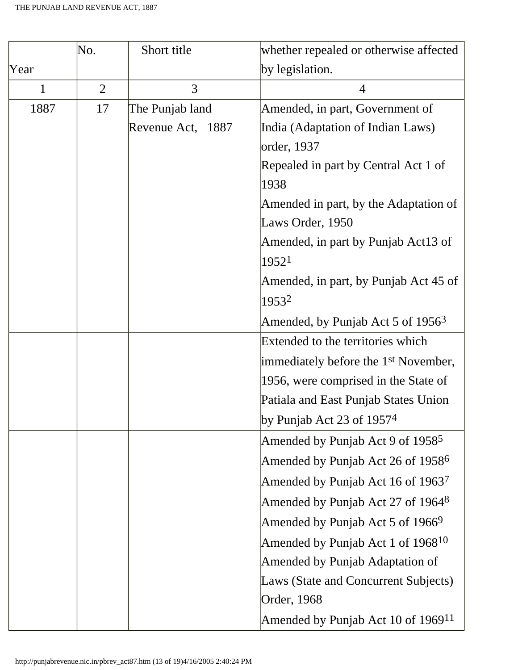|      | No.            | Short title       | whether repealed or otherwise affected           |
|------|----------------|-------------------|--------------------------------------------------|
| Year |                |                   | by legislation.                                  |
| 1    | $\overline{2}$ | 3                 | $\overline{4}$                                   |
| 1887 | 17             | The Punjab land   | Amended, in part, Government of                  |
|      |                | Revenue Act, 1887 | India (Adaptation of Indian Laws)                |
|      |                |                   | order, 1937                                      |
|      |                |                   | Repealed in part by Central Act 1 of<br>1938     |
|      |                |                   | Amended in part, by the Adaptation of            |
|      |                |                   | Laws Order, 1950                                 |
|      |                |                   | Amended, in part by Punjab Act13 of              |
|      |                |                   | 19521                                            |
|      |                |                   | Amended, in part, by Punjab Act 45 of            |
|      |                |                   | 19532                                            |
|      |                |                   | Amended, by Punjab Act 5 of $19563$              |
|      |                |                   | Extended to the territories which                |
|      |                |                   | immediately before the 1 <sup>st</sup> November, |
|      |                |                   | 1956, were comprised in the State of             |
|      |                |                   | Patiala and East Punjab States Union             |
|      |                |                   | by Punjab Act 23 of $19574$                      |
|      |                |                   | Amended by Punjab Act 9 of $19585$               |
|      |                |                   | Amended by Punjab Act 26 of 1958 <sup>6</sup>    |
|      |                |                   | Amended by Punjab Act 16 of $1963^7$             |
|      |                |                   | Amended by Punjab Act 27 of 1964 <sup>8</sup>    |
|      |                |                   | Amended by Punjab Act 5 of 1966 $9$              |
|      |                |                   | Amended by Punjab Act 1 of $1968^{10}$           |
|      |                |                   | Amended by Punjab Adaptation of                  |
|      |                |                   | Laws (State and Concurrent Subjects)             |
|      |                |                   | Order, 1968                                      |
|      |                |                   | Amended by Punjab Act 10 of $196911$             |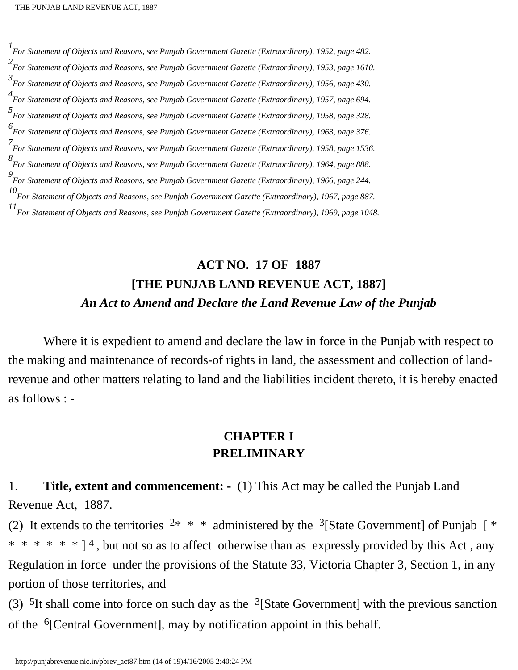*For Statement of Objects and Reasons, see Punjab Government Gazette (Extraordinary), 1952, page 482. For Statement of Objects and Reasons, see Punjab Government Gazette (Extraordinary), 1953, page 1610. For Statement of Objects and Reasons, see Punjab Government Gazette (Extraordinary), 1956, page 430. For Statement of Objects and Reasons, see Punjab Government Gazette (Extraordinary), 1957, page 694. For Statement of Objects and Reasons, see Punjab Government Gazette (Extraordinary), 1958, page 328. For Statement of Objects and Reasons, see Punjab Government Gazette (Extraordinary), 1963, page 376. For Statement of Objects and Reasons, see Punjab Government Gazette (Extraordinary), 1958, page 1536. For Statement of Objects and Reasons, see Punjab Government Gazette (Extraordinary), 1964, page 888. For Statement of Objects and Reasons, see Punjab Government Gazette (Extraordinary), 1966, page 244. For Statement of Objects and Reasons, see Punjab Government Gazette (Extraordinary), 1967, page 887. For Statement of Objects and Reasons, see Punjab Government Gazette (Extraordinary), 1969, page 1048.*

### **ACT NO. 17 OF 1887 [THE PUNJAB LAND REVENUE ACT, 1887]** *An Act to Amend and Declare the Land Revenue Law of the Punjab*

Where it is expedient to amend and declare the law in force in the Punjab with respect to the making and maintenance of records-of rights in land, the assessment and collection of landrevenue and other matters relating to land and the liabilities incident thereto, it is hereby enacted as follows : -

### **CHAPTER I PRELIMINARY**

<span id="page-13-0"></span>1. **Title, extent and commencement: -** (1) This Act may be called the Punjab Land Revenue Act, 1887.

(2) It extends to the territories  $2* * *$  administered by the <sup>3</sup>[State Government] of Punjab [ \* \* \* \* \* \* \* ]<sup>4</sup>, but not so as to affect otherwise than as expressly provided by this Act, any Regulation in force under the provisions of the Statute 33, Victoria Chapter 3, Section 1, in any portion of those territories, and

(3)  $5$ It shall come into force on such day as the  $3$ [State Government] with the previous sanction of the 6[Central Government], may by notification appoint in this behalf.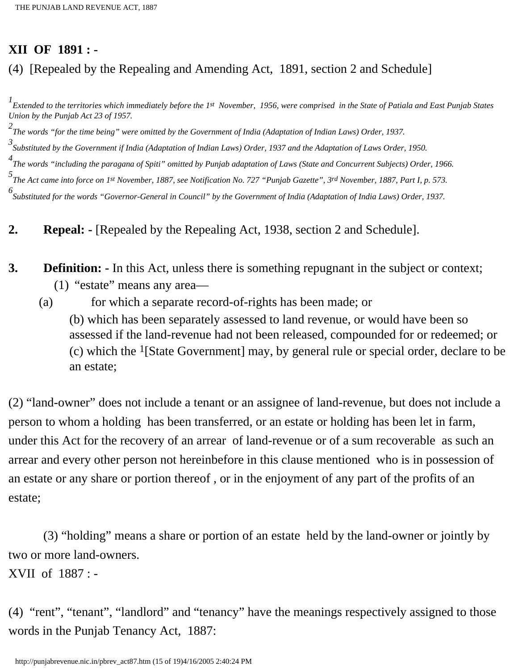### **XII OF 1891 : -**

### (4) [Repealed by the Repealing and Amending Act, 1891, section 2 and Schedule]

*1 Extended to the territories which immediately before the 1st November, 1956, were comprised in the State of Patiala and East Punjab States Union by the Punjab Act 23 of 1957.*

*2 The words "for the time being" were omitted by the Government of India (Adaptation of Indian Laws) Order, 1937.*

*3 Substituted by the Government if India (Adaptation of Indian Laws) Order, 1937 and the Adaptation of Laws Order, 1950.*

<sup>4</sup><br>The words "including the paragana of Spiti" omitted by Punjab adaptation of Laws (State and Concurrent Subjects) Order, 1966.

*5 The Act came into force on 1st November, 1887, see Notification No. 727 "Punjab Gazette", 3rd November, 1887, Part I, p. 573.*

*6 Substituted for the words "Governor-General in Council" by the Government of India (Adaptation of India Laws) Order, 1937.*

<span id="page-14-0"></span>**2. Repeal: -** [Repealed by the Repealing Act, 1938, section 2 and Schedule].

<span id="page-14-1"></span>**3. Definition: -** In this Act, unless there is something repugnant in the subject or context;

- (1) "estate" means any area—
- (a) for which a separate record-of-rights has been made; or (b) which has been separately assessed to land revenue, or would have been so assessed if the land-revenue had not been released, compounded for or redeemed; or (c) which the 1[State Government] may, by general rule or special order, declare to be an estate;

(2) "land-owner" does not include a tenant or an assignee of land-revenue, but does not include a person to whom a holding has been transferred, or an estate or holding has been let in farm, under this Act for the recovery of an arrear of land-revenue or of a sum recoverable as such an arrear and every other person not hereinbefore in this clause mentioned who is in possession of an estate or any share or portion thereof , or in the enjoyment of any part of the profits of an estate;

 (3) "holding" means a share or portion of an estate held by the land-owner or jointly by two or more land-owners.

XVII of 1887 : -

(4) "rent", "tenant", "landlord" and "tenancy" have the meanings respectively assigned to those words in the Punjab Tenancy Act, 1887: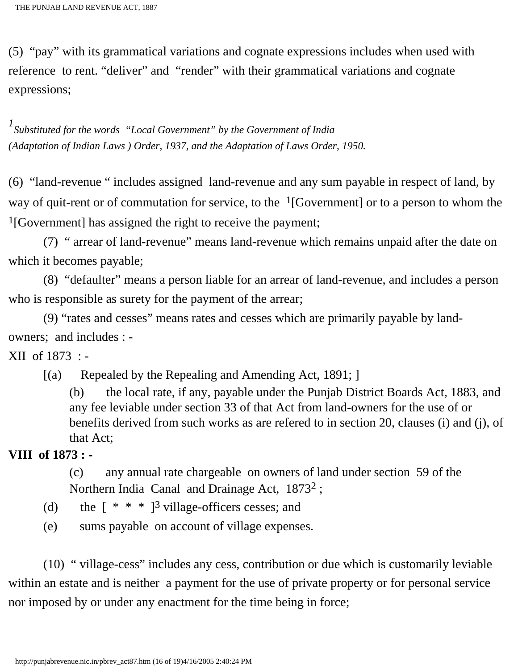(5) "pay" with its grammatical variations and cognate expressions includes when used with reference to rent. "deliver" and "render" with their grammatical variations and cognate expressions;

*1 Substituted for the words "Local Government" by the Government of India (Adaptation of Indian Laws ) Order, 1937, and the Adaptation of Laws Order, 1950.*

(6) "land-revenue " includes assigned land-revenue and any sum payable in respect of land, by way of quit-rent or of commutation for service, to the  $1$ [Government] or to a person to whom the 1[Government] has assigned the right to receive the payment;

 (7) " arrear of land-revenue" means land-revenue which remains unpaid after the date on which it becomes payable;

 (8) "defaulter" means a person liable for an arrear of land-revenue, and includes a person who is responsible as surety for the payment of the arrear;

 (9) "rates and cesses" means rates and cesses which are primarily payable by landowners; and includes : -

XII of 1873 : -

[(a) Repealed by the Repealing and Amending Act, 1891; ]

(b) the local rate, if any, payable under the Punjab District Boards Act, 1883, and any fee leviable under section 33 of that Act from land-owners for the use of or benefits derived from such works as are refered to in section 20, clauses (i) and (j), of that Act;

**VIII of 1873 : -**

(c) any annual rate chargeable on owners of land under section 59 of the Northern India Canal and Drainage Act, 18732 ;

- (d) the  $[$  \* \* \* ]<sup>3</sup> village-officers cesses; and
- (e) sums payable on account of village expenses.

 (10) " village-cess" includes any cess, contribution or due which is customarily leviable within an estate and is neither a payment for the use of private property or for personal service nor imposed by or under any enactment for the time being in force;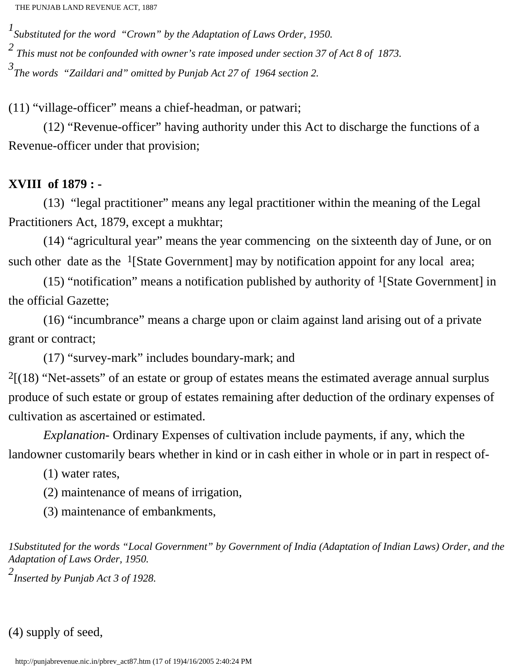*1 Substituted for the word "Crown" by the Adaptation of Laws Order, 1950. 2 This must not be confounded with owner's rate imposed under section 37 of Act 8 of 1873. 3 The words "Zaildari and" omitted by Punjab Act 27 of 1964 section 2.*

(11) "village-officer" means a chief-headman, or patwari;

 (12) "Revenue-officer" having authority under this Act to discharge the functions of a Revenue-officer under that provision;

### **XVIII of 1879 : -**

 (13) "legal practitioner" means any legal practitioner within the meaning of the Legal Practitioners Act, 1879, except a mukhtar;

 (14) "agricultural year" means the year commencing on the sixteenth day of June, or on such other date as the  $\frac{1}{3}$ [State Government] may by notification appoint for any local area;

(15) "notification" means a notification published by authority of  $<sup>1</sup>[State Government]$  in</sup> the official Gazette;

 (16) "incumbrance" means a charge upon or claim against land arising out of a private grant or contract;

(17) "survey-mark" includes boundary-mark; and

 $2[(18)$  "Net-assets" of an estate or group of estates means the estimated average annual surplus produce of such estate or group of estates remaining after deduction of the ordinary expenses of cultivation as ascertained or estimated.

 *Explanation-* Ordinary Expenses of cultivation include payments, if any, which the landowner customarily bears whether in kind or in cash either in whole or in part in respect of-

(1) water rates,

(2) maintenance of means of irrigation,

(3) maintenance of embankments,

*1Substituted for the words "Local Government" by Government of India (Adaptation of Indian Laws) Order, and the Adaptation of Laws Order, 1950.*

*2 Inserted by Punjab Act 3 of 1928.*

(4) supply of seed,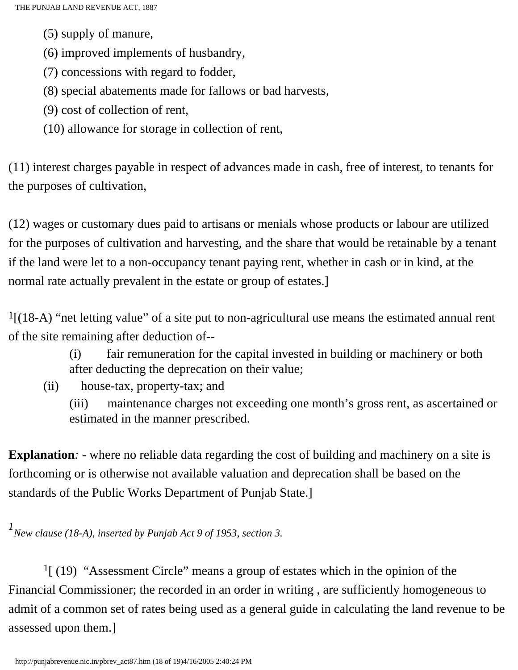- (5) supply of manure,
- (6) improved implements of husbandry,
- (7) concessions with regard to fodder,
- (8) special abatements made for fallows or bad harvests,
- (9) cost of collection of rent,
- (10) allowance for storage in collection of rent,

(11) interest charges payable in respect of advances made in cash, free of interest, to tenants for the purposes of cultivation,

(12) wages or customary dues paid to artisans or menials whose products or labour are utilized for the purposes of cultivation and harvesting, and the share that would be retainable by a tenant if the land were let to a non-occupancy tenant paying rent, whether in cash or in kind, at the normal rate actually prevalent in the estate or group of estates.]

1[(18-A) "net letting value" of a site put to non-agricultural use means the estimated annual rent of the site remaining after deduction of--

- (i) fair remuneration for the capital invested in building or machinery or both after deducting the deprecation on their value;
- (ii) house-tax, property-tax; and

(iii) maintenance charges not exceeding one month's gross rent, as ascertained or estimated in the manner prescribed.

**Explanation**: - where no reliable data regarding the cost of building and machinery on a site is forthcoming or is otherwise not available valuation and deprecation shall be based on the standards of the Public Works Department of Punjab State.]

*1 New clause (18-A), inserted by Punjab Act 9 of 1953, section 3.*

 1[ (19) "Assessment Circle" means a group of estates which in the opinion of the Financial Commissioner; the recorded in an order in writing , are sufficiently homogeneous to admit of a common set of rates being used as a general guide in calculating the land revenue to be assessed upon them.]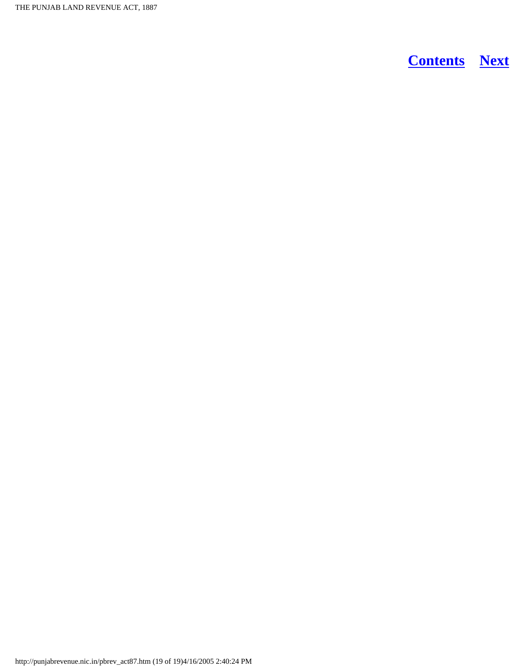THE PUNJAB LAND REVENUE ACT, 1887

**[Contents](#page-0-0) [Next](#page-19-3)**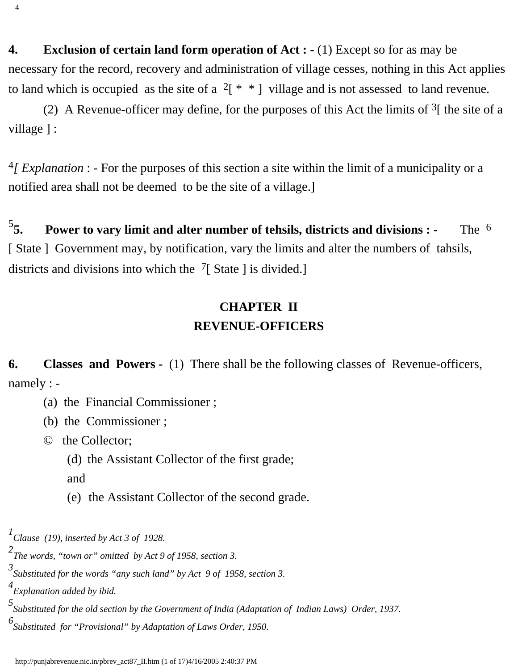<span id="page-19-0"></span>**4. Exclusion of certain land form operation of Act : -** (1) Except so for as may be necessary for the record, recovery and administration of village cesses, nothing in this Act applies to land which is occupied as the site of a  $2 \times |$  village and is not assessed to land revenue.

(2) A Revenue-officer may define, for the purposes of this Act the limits of  $3$ [ the site of a village ] :

4*[ Explanation* : - For the purposes of this section a site within the limit of a municipality or a notified area shall not be deemed to be the site of a village.]

<span id="page-19-1"></span> $5\overline{5}$ . **Fower to vary limit and alter number of tehsils, districts and divisions :** - <br>The <sup>6</sup> [ State ] Government may, by notification, vary the limits and alter the numbers of tahsils, districts and divisions into which the  $\frac{7}{5}$  State 1 is divided.

### **CHAPTER II REVENUE-OFFICERS**

<span id="page-19-2"></span>**6.** Classes and Powers - (1) There shall be the following classes of Revenue-officers, namely : -

(a) the Financial Commissioner ;

(b) the Commissioner ;

 $\odot$  the Collector;

(d) the Assistant Collector of the first grade;

and

(e) the Assistant Collector of the second grade.

*1 Clause (19), inserted by Act 3 of 1928.*

*2 The words, "town or" omitted by Act 9 of 1958, section 3.*

*3 Substituted for the words "any such land" by Act 9 of 1958, section 3.*

*4 Explanation added by ibid.*

*5 Substituted for the old section by the Government of India (Adaptation of Indian Laws) Order, 1937.*

*6 Substituted for "Provisional" by Adaptation of Laws Order, 1950.*

<span id="page-19-3"></span>4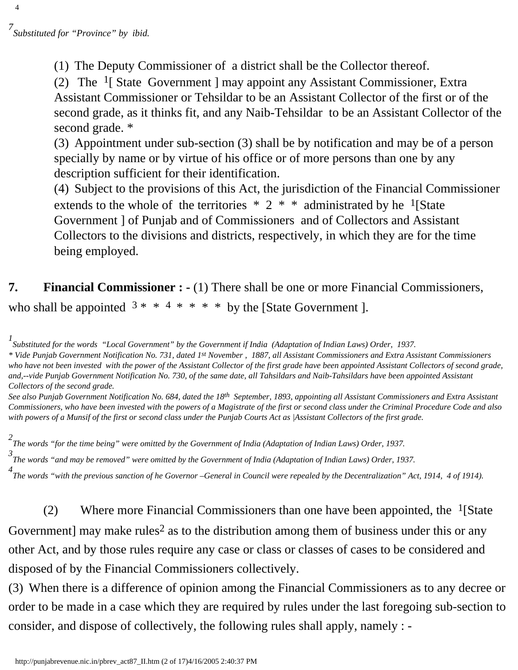4

(1) The Deputy Commissioner of a district shall be the Collector thereof.

(2) The 1[ State Government ] may appoint any Assistant Commissioner, Extra Assistant Commissioner or Tehsildar to be an Assistant Collector of the first or of the second grade, as it thinks fit, and any Naib-Tehsildar to be an Assistant Collector of the second grade. \*

(3) Appointment under sub-section (3) shall be by notification and may be of a person specially by name or by virtue of his office or of more persons than one by any description sufficient for their identification.

(4) Subject to the provisions of this Act, the jurisdiction of the Financial Commissioner extends to the whole of the territories  $* 2 * *$  administrated by he <sup>1</sup>[State Government ] of Punjab and of Commissioners and of Collectors and Assistant Collectors to the divisions and districts, respectively, in which they are for the time being employed.

<span id="page-20-0"></span>**7.** Financial Commissioner : - (1) There shall be one or more Financial Commissioners, who shall be appointed  $3 * * 4 * * * *$  by the [State Government].

*1 Substituted for the words "Local Government" by the Government if India (Adaptation of Indian Laws) Order, 1937.*

*\* Vide Punjab Government Notification No. 731, dated 1st November , 1887, all Assistant Commissioners and Extra Assistant Commissioners who have not been invested with the power of the Assistant Collector of the first grade have been appointed Assistant Collectors of second grade, and,--vide Punjab Government Notification No. 730, of the same date, all Tahsildars and Naib-Tahsildars have been appointed Assistant Collectors of the second grade.*

*See also Punjab Government Notification No. 684, dated the 18th September, 1893, appointing all Assistant Commissioners and Extra Assistant Commissioners, who have been invested with the powers of a Magistrate of the first or second class under the Criminal Procedure Code and also with powers of a Munsif of the first or second class under the Punjab Courts Act as |Assistant Collectors of the first grade.*

*2 The words "for the time being" were omitted by the Government of India (Adaptation of Indian Laws) Order, 1937.*

*3 The words "and may be removed" were omitted by the Government of India (Adaptation of Indian Laws) Order, 1937.*

*4 The words "with the previous sanction of he Governor –General in Council were repealed by the Decentralization" Act, 1914, 4 of 1914).*

(2) Where more Financial Commissioners than one have been appointed, the  $<sup>1</sup>[State]$ </sup> Government] may make rules<sup>2</sup> as to the distribution among them of business under this or any other Act, and by those rules require any case or class or classes of cases to be considered and disposed of by the Financial Commissioners collectively.

(3) When there is a difference of opinion among the Financial Commissioners as to any decree or order to be made in a case which they are required by rules under the last foregoing sub-section to consider, and dispose of collectively, the following rules shall apply, namely : -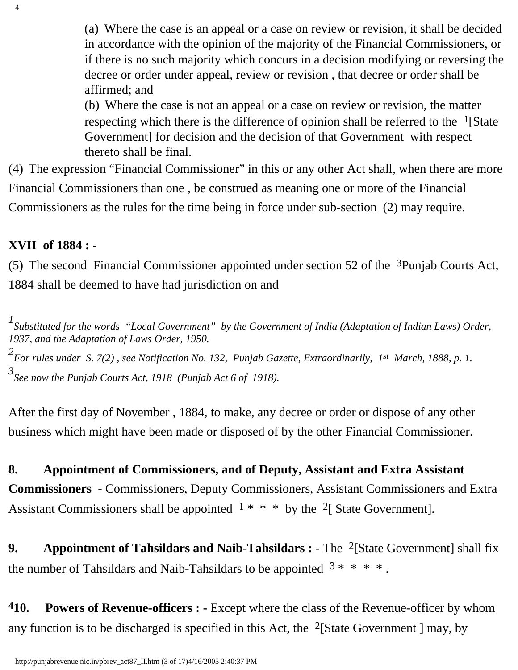(a) Where the case is an appeal or a case on review or revision, it shall be decided in accordance with the opinion of the majority of the Financial Commissioners, or if there is no such majority which concurs in a decision modifying or reversing the decree or order under appeal, review or revision , that decree or order shall be affirmed; and

(b) Where the case is not an appeal or a case on review or revision, the matter respecting which there is the difference of opinion shall be referred to the  $\frac{1}{S}$  [State] Government] for decision and the decision of that Government with respect thereto shall be final.

(4) The expression "Financial Commissioner" in this or any other Act shall, when there are more Financial Commissioners than one , be construed as meaning one or more of the Financial Commissioners as the rules for the time being in force under sub-section (2) may require.

### **XVII of 1884 : -**

4

(5) The second Financial Commissioner appointed under section 52 of the  $3$ Punjab Courts Act, 1884 shall be deemed to have had jurisdiction on and

<sup>1</sup> Substituted for the words "Local Government" by the Government of India (Adaptation of Indian Laws) Order, *1937, and the Adaptation of Laws Order, 1950. 2 For rules under S. 7(2) , see Notification No. 132, Punjab Gazette, Extraordinarily, 1st March, 1888, p. 1. 3 See now the Punjab Courts Act, 1918 (Punjab Act 6 of 1918).*

After the first day of November , 1884, to make, any decree or order or dispose of any other business which might have been made or disposed of by the other Financial Commissioner.

<span id="page-21-0"></span>**8. Appointment of Commissioners, and of Deputy, Assistant and Extra Assistant Commissioners -** Commissioners, Deputy Commissioners, Assistant Commissioners and Extra Assistant Commissioners shall be appointed  $1 \times \times \times$  by the <sup>2</sup>[ State Government].

<span id="page-21-1"></span>**9.** Appointment of Tahsildars and Naib-Tahsildars : - The <sup>2</sup>[State Government] shall fix the number of Tahsildars and Naib-Tahsildars to be appointed  $3$  \* \* \* \*.

<span id="page-21-2"></span>**410. Powers of Revenue-officers : -** Except where the class of the Revenue-officer by whom any function is to be discharged is specified in this Act, the <sup>2</sup>[State Government ] may, by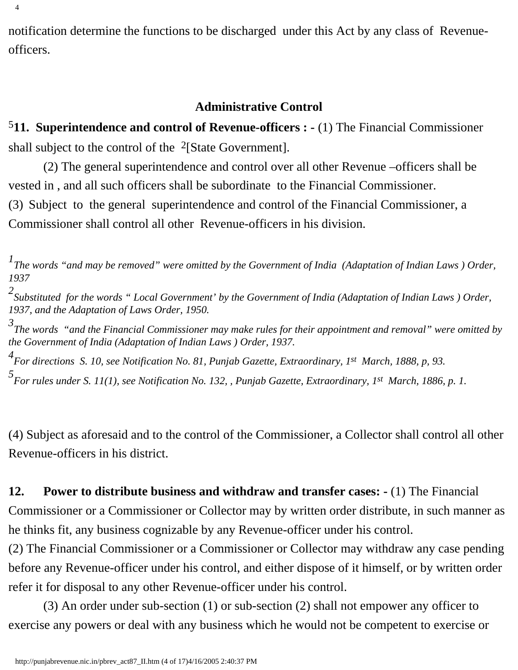notification determine the functions to be discharged under this Act by any class of Revenueofficers.

#### **Administrative Control**

<span id="page-22-0"></span>5**11. Superintendence and control of Revenue-officers : -** (1) The Financial Commissioner shall subject to the control of the <sup>2</sup>[State Government].

 (2) The general superintendence and control over all other Revenue –officers shall be vested in , and all such officers shall be subordinate to the Financial Commissioner.

(3) Subject to the general superintendence and control of the Financial Commissioner, a Commissioner shall control all other Revenue-officers in his division.

*5 For rules under S. 11(1), see Notification No. 132, , Punjab Gazette, Extraordinary, 1st March, 1886, p. 1.*

(4) Subject as aforesaid and to the control of the Commissioner, a Collector shall control all other Revenue-officers in his district.

### <span id="page-22-1"></span>**12. Power to distribute business and withdraw and transfer cases: -** (1) The Financial

Commissioner or a Commissioner or Collector may by written order distribute, in such manner as he thinks fit, any business cognizable by any Revenue-officer under his control.

(2) The Financial Commissioner or a Commissioner or Collector may withdraw any case pending before any Revenue-officer under his control, and either dispose of it himself, or by written order refer it for disposal to any other Revenue-officer under his control.

 (3) An order under sub-section (1) or sub-section (2) shall not empower any officer to exercise any powers or deal with any business which he would not be competent to exercise or

<sup>&</sup>lt;sup>1</sup> The words "and may be removed" were omitted by the Government of India (Adaptation of Indian Laws) Order, *1937*

*<sup>2</sup> Substituted for the words " Local Government' by the Government of India (Adaptation of Indian Laws ) Order, 1937, and the Adaptation of Laws Order, 1950.*

*<sup>3</sup> The words "and the Financial Commissioner may make rules for their appointment and removal" were omitted by the Government of India (Adaptation of Indian Laws ) Order, 1937.*

*<sup>4</sup> For directions S. 10, see Notification No. 81, Punjab Gazette, Extraordinary, 1st March, 1888, p, 93.*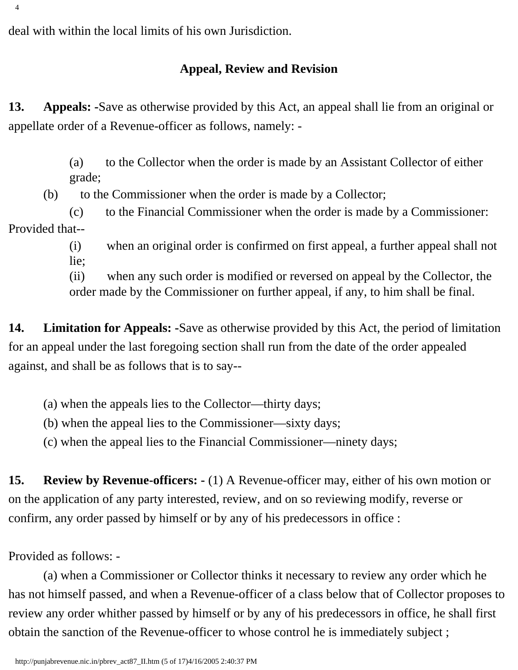<span id="page-23-0"></span>deal with within the local limits of his own Jurisdiction.

### **Appeal, Review and Revision**

**13. Appeals: -**Save as otherwise provided by this Act, an appeal shall lie from an original or appellate order of a Revenue-officer as follows, namely: -

> (a) to the Collector when the order is made by an Assistant Collector of either grade;

(b) to the Commissioner when the order is made by a Collector;

(c) to the Financial Commissioner when the order is made by a Commissioner: Provided that--

> (i) when an original order is confirmed on first appeal, a further appeal shall not lie;

(ii) when any such order is modified or reversed on appeal by the Collector, the order made by the Commissioner on further appeal, if any, to him shall be final.

<span id="page-23-1"></span>**14. Limitation for Appeals: -**Save as otherwise provided by this Act, the period of limitation for an appeal under the last foregoing section shall run from the date of the order appealed against, and shall be as follows that is to say--

(a) when the appeals lies to the Collector—thirty days;

(b) when the appeal lies to the Commissioner—sixty days;

(c) when the appeal lies to the Financial Commissioner—ninety days;

<span id="page-23-2"></span>**15. Review by Revenue-officers: -** (1) A Revenue-officer may, either of his own motion or on the application of any party interested, review, and on so reviewing modify, reverse or confirm, any order passed by himself or by any of his predecessors in office :

Provided as follows: -

 (a) when a Commissioner or Collector thinks it necessary to review any order which he has not himself passed, and when a Revenue-officer of a class below that of Collector proposes to review any order whither passed by himself or by any of his predecessors in office, he shall first obtain the sanction of the Revenue-officer to whose control he is immediately subject ;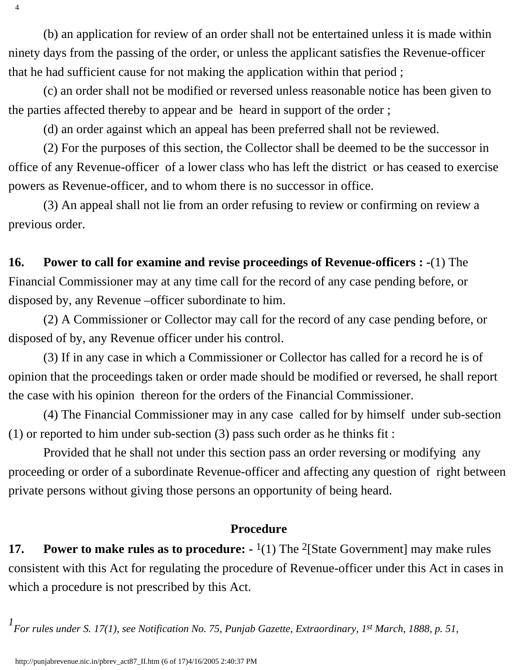(b) an application for review of an order shall not be entertained unless it is made within ninety days from the passing of the order, or unless the applicant satisfies the Revenue-officer that he had sufficient cause for not making the application within that period ;

 (c) an order shall not be modified or reversed unless reasonable notice has been given to the parties affected thereby to appear and be heard in support of the order ;

(d) an order against which an appeal has been preferred shall not be reviewed.

 (2) For the purposes of this section, the Collector shall be deemed to be the successor in office of any Revenue-officer of a lower class who has left the district or has ceased to exercise powers as Revenue-officer, and to whom there is no successor in office.

 (3) An appeal shall not lie from an order refusing to review or confirming on review a previous order.

### <span id="page-24-0"></span>**16. Power to call for examine and revise proceedings of Revenue-officers : -**(1) The Financial Commissioner may at any time call for the record of any case pending before, or disposed by, any Revenue –officer subordinate to him.

 (2) A Commissioner or Collector may call for the record of any case pending before, or disposed of by, any Revenue officer under his control.

 (3) If in any case in which a Commissioner or Collector has called for a record he is of opinion that the proceedings taken or order made should be modified or reversed, he shall report the case with his opinion thereon for the orders of the Financial Commissioner.

 (4) The Financial Commissioner may in any case called for by himself under sub-section (1) or reported to him under sub-section (3) pass such order as he thinks fit :

 Provided that he shall not under this section pass an order reversing or modifying any proceeding or order of a subordinate Revenue-officer and affecting any question of right between private persons without giving those persons an opportunity of being heard.

### **Procedure**

<span id="page-24-1"></span>**17.** Power to make rules as to procedure:  $\frac{1}{1}$  The <sup>2</sup>[State Government] may make rules consistent with this Act for regulating the procedure of Revenue-officer under this Act in cases in which a procedure is not prescribed by this Act.

<sup>1</sup><br> *For rules under S. 17(1), see Notification No. 75, Punjab Gazette, Extraordinary, 1<sup>st</sup> March, 1888, p. 51,* 

4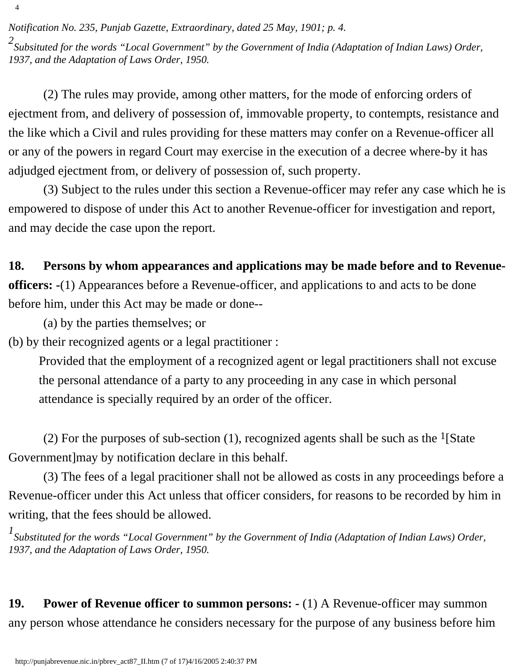*Notification No. 235, Punjab Gazette, Extraordinary, dated 25 May, 1901; p. 4.*

4

*2 Subsituted for the words "Local Government" by the Government of India (Adaptation of Indian Laws) Order, 1937, and the Adaptation of Laws Order, 1950.*

 (2) The rules may provide, among other matters, for the mode of enforcing orders of ejectment from, and delivery of possession of, immovable property, to contempts, resistance and the like which a Civil and rules providing for these matters may confer on a Revenue-officer all or any of the powers in regard Court may exercise in the execution of a decree where-by it has adjudged ejectment from, or delivery of possession of, such property.

 (3) Subject to the rules under this section a Revenue-officer may refer any case which he is empowered to dispose of under this Act to another Revenue-officer for investigation and report, and may decide the case upon the report.

### <span id="page-25-0"></span>**18. Persons by whom appearances and applications may be made before and to Revenue-**

**officers: -**(1) Appearances before a Revenue-officer, and applications to and acts to be done before him, under this Act may be made or done--

(a) by the parties themselves; or

(b) by their recognized agents or a legal practitioner :

Provided that the employment of a recognized agent or legal practitioners shall not excuse the personal attendance of a party to any proceeding in any case in which personal attendance is specially required by an order of the officer.

(2) For the purposes of sub-section (1), recognized agents shall be such as the <sup>1</sup>[State] Government]may by notification declare in this behalf.

 (3) The fees of a legal pracitioner shall not be allowed as costs in any proceedings before a Revenue-officer under this Act unless that officer considers, for reasons to be recorded by him in writing, that the fees should be allowed.

<sup>1</sup> Substituted for the words "Local Government" by the Government of India (Adaptation of Indian Laws) Order, *1937, and the Adaptation of Laws Order, 1950.*

<span id="page-25-1"></span>**19. Power of Revenue officer to summon persons: -** (1) A Revenue-officer may summon any person whose attendance he considers necessary for the purpose of any business before him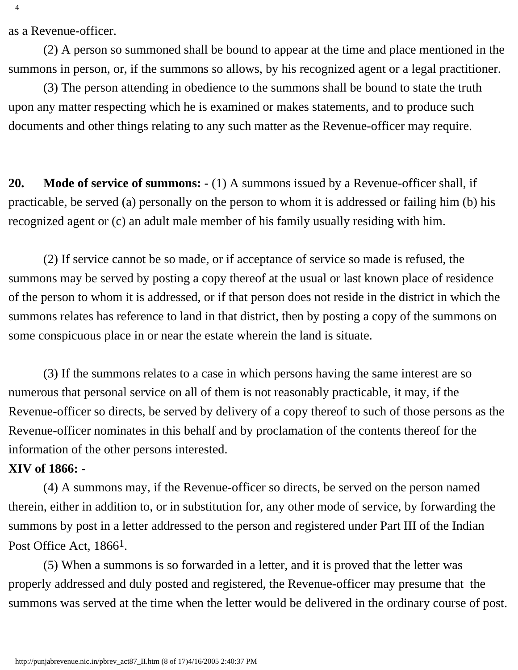as a Revenue-officer.

 (2) A person so summoned shall be bound to appear at the time and place mentioned in the summons in person, or, if the summons so allows, by his recognized agent or a legal practitioner.

 (3) The person attending in obedience to the summons shall be bound to state the truth upon any matter respecting which he is examined or makes statements, and to produce such documents and other things relating to any such matter as the Revenue-officer may require.

<span id="page-26-0"></span>**20. Mode of service of summons: -** (1) A summons issued by a Revenue-officer shall, if practicable, be served (a) personally on the person to whom it is addressed or failing him (b) his recognized agent or (c) an adult male member of his family usually residing with him.

 (2) If service cannot be so made, or if acceptance of service so made is refused, the summons may be served by posting a copy thereof at the usual or last known place of residence of the person to whom it is addressed, or if that person does not reside in the district in which the summons relates has reference to land in that district, then by posting a copy of the summons on some conspicuous place in or near the estate wherein the land is situate.

 (3) If the summons relates to a case in which persons having the same interest are so numerous that personal service on all of them is not reasonably practicable, it may, if the Revenue-officer so directs, be served by delivery of a copy thereof to such of those persons as the Revenue-officer nominates in this behalf and by proclamation of the contents thereof for the information of the other persons interested.

#### **XIV of 1866: -**

 (4) A summons may, if the Revenue-officer so directs, be served on the person named therein, either in addition to, or in substitution for, any other mode of service, by forwarding the summons by post in a letter addressed to the person and registered under Part III of the Indian Post Office Act, 1866<sup>1</sup>.

<span id="page-26-1"></span> (5) When a summons is so forwarded in a letter, and it is proved that the letter was properly addressed and duly posted and registered, the Revenue-officer may presume that the summons was served at the time when the letter would be delivered in the ordinary course of post.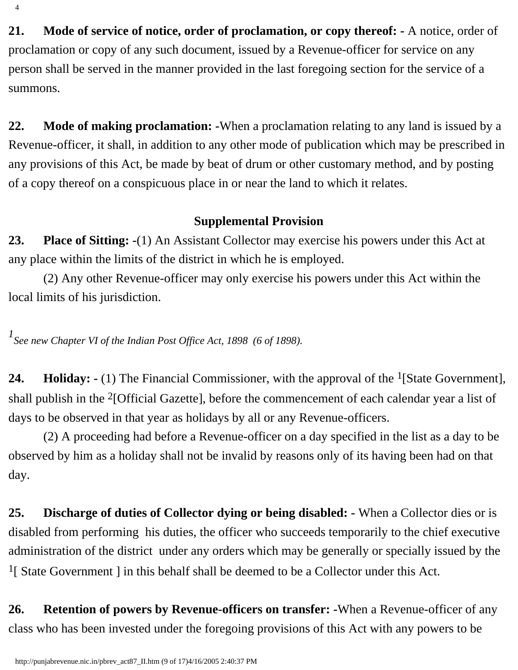**21. Mode of service of notice, order of proclamation, or copy thereof: -** A notice, order of proclamation or copy of any such document, issued by a Revenue-officer for service on any person shall be served in the manner provided in the last foregoing section for the service of a summons.

<span id="page-27-0"></span>**22. Mode of making proclamation: -**When a proclamation relating to any land is issued by a Revenue-officer, it shall, in addition to any other mode of publication which may be prescribed in any provisions of this Act, be made by beat of drum or other customary method, and by posting of a copy thereof on a conspicuous place in or near the land to which it relates.

### **Supplemental Provision**

<span id="page-27-1"></span>**23. Place of Sitting: -**(1) An Assistant Collector may exercise his powers under this Act at any place within the limits of the district in which he is employed.

 (2) Any other Revenue-officer may only exercise his powers under this Act within the local limits of his jurisdiction.

*1 See new Chapter VI of the Indian Post Office Act, 1898 (6 of 1898).*

<span id="page-27-2"></span>**24. Holiday:** - (1) The Financial Commissioner, with the approval of the <sup>1</sup>[State Government], shall publish in the 2[Official Gazette], before the commencement of each calendar year a list of days to be observed in that year as holidays by all or any Revenue-officers.

 (2) A proceeding had before a Revenue-officer on a day specified in the list as a day to be observed by him as a holiday shall not be invalid by reasons only of its having been had on that day.

<span id="page-27-3"></span>**25. Discharge of duties of Collector dying or being disabled: -** When a Collector dies or is disabled from performing his duties, the officer who succeeds temporarily to the chief executive administration of the district under any orders which may be generally or specially issued by the <sup>1</sup>[ State Government ] in this behalf shall be deemed to be a Collector under this Act.

<span id="page-27-4"></span>**26. Retention of powers by Revenue-officers on transfer: -**When a Revenue-officer of any class who has been invested under the foregoing provisions of this Act with any powers to be

4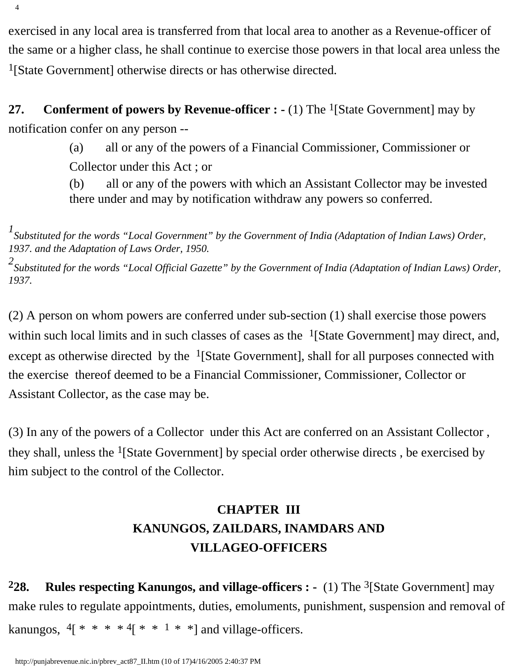exercised in any local area is transferred from that local area to another as a Revenue-officer of the same or a higher class, he shall continue to exercise those powers in that local area unless the 1[State Government] otherwise directs or has otherwise directed.

<span id="page-28-0"></span>**27.** Conferment of powers by Revenue-officer : - (1) The <sup>1</sup>[State Government] may by notification confer on any person --

> (a) all or any of the powers of a Financial Commissioner, Commissioner or Collector under this Act ; or

(b) all or any of the powers with which an Assistant Collector may be invested there under and may by notification withdraw any powers so conferred.

<sup>1</sup> Substituted for the words "Local Government" by the Government of India (Adaptation of Indian Laws) Order, *1937. and the Adaptation of Laws Order, 1950.*

*2 Substituted for the words "Local Official Gazette" by the Government of India (Adaptation of Indian Laws) Order, 1937.*

(2) A person on whom powers are conferred under sub-section (1) shall exercise those powers within such local limits and in such classes of cases as the  $\frac{1}{S}$  [State Government] may direct, and, except as otherwise directed by the  $<sup>1</sup>[State Government]$ , shall for all purposes connected with</sup> the exercise thereof deemed to be a Financial Commissioner, Commissioner, Collector or Assistant Collector, as the case may be.

<span id="page-28-1"></span>(3) In any of the powers of a Collector under this Act are conferred on an Assistant Collector , they shall, unless the  $<sup>1</sup>[State Government]$  by special order otherwise directs, be exercised by</sup> him subject to the control of the Collector.

## **CHAPTER III KANUNGOS, ZAILDARS, INAMDARS AND VILLAGEO-OFFICERS**

**228.** Rules respecting Kanungos, and village-officers : - (1) The <sup>3</sup>[State Government] may make rules to regulate appointments, duties, emoluments, punishment, suspension and removal of kanungos,  $4$ [ \* \* \*  $4$ [ \* \*  $1$  \* \*] and village-officers.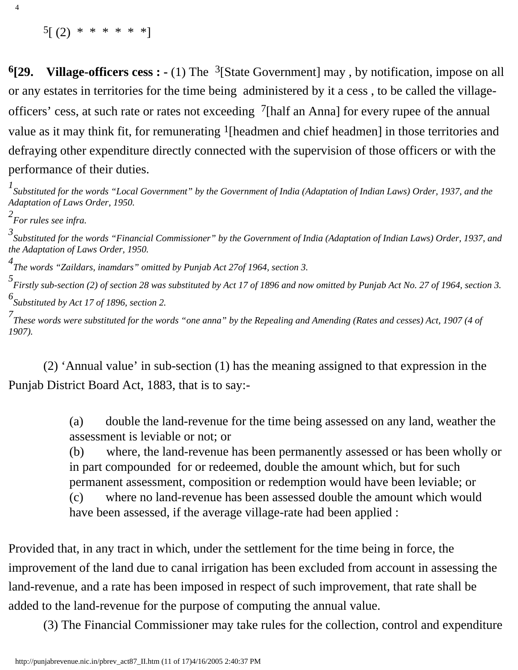$5[(2) * * * * * * * ]$ 

<span id="page-29-0"></span>**6[29. Village-officers cess : -** (1) The 3[State Government] may , by notification, impose on all or any estates in territories for the time being administered by it a cess , to be called the villageofficers' cess, at such rate or rates not exceeding  $\frac{7}{h}$  [half an Anna] for every rupee of the annual value as it may think fit, for remunerating <sup>1</sup>[headmen and chief headmen] in those territories and defraying other expenditure directly connected with the supervision of those officers or with the performance of their duties.

*1 Substituted for the words "Local Government" by the Government of India (Adaptation of Indian Laws) Order, 1937, and the Adaptation of Laws Order, 1950.*

*2 For rules see infra.*

4

*3 Substituted for the words "Financial Commissioner" by the Government of India (Adaptation of Indian Laws) Order, 1937, and the Adaptation of Laws Order, 1950.*

*4 The words "Zaildars, inamdars" omitted by Punjab Act 27of 1964, section 3.*

*5 Firstly sub-section (2) of section 28 was substituted by Act 17 of 1896 and now omitted by Punjab Act No. 27 of 1964, section 3. 6 Substituted by Act 17 of 1896, section 2.*

*7 These words were substituted for the words "one anna" by the Repealing and Amending (Rates and cesses) Act, 1907 (4 of 1907).* 

 (2) 'Annual value' in sub-section (1) has the meaning assigned to that expression in the Punjab District Board Act, 1883, that is to say:-

> (a) double the land-revenue for the time being assessed on any land, weather the assessment is leviable or not; or

(b) where, the land-revenue has been permanently assessed or has been wholly or in part compounded for or redeemed, double the amount which, but for such permanent assessment, composition or redemption would have been leviable; or

(c) where no land-revenue has been assessed double the amount which would have been assessed, if the average village-rate had been applied :

Provided that, in any tract in which, under the settlement for the time being in force, the improvement of the land due to canal irrigation has been excluded from account in assessing the land-revenue, and a rate has been imposed in respect of such improvement, that rate shall be added to the land-revenue for the purpose of computing the annual value.

(3) The Financial Commissioner may take rules for the collection, control and expenditure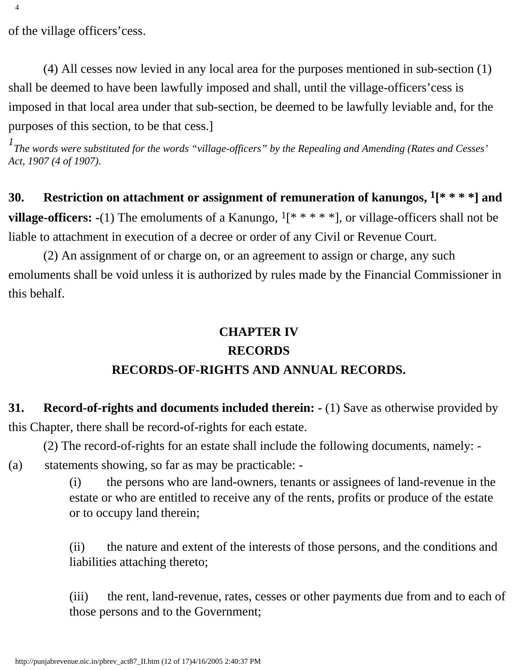of the village officers'cess.

 (4) All cesses now levied in any local area for the purposes mentioned in sub-section (1) shall be deemed to have been lawfully imposed and shall, until the village-officers'cess is imposed in that local area under that sub-section, be deemed to be lawfully leviable and, for the purposes of this section, to be that cess.]

*1 The words were substituted for the words "village-officers" by the Repealing and Amending (Rates and Cesses' Act, 1907 (4 of 1907).*

<span id="page-30-0"></span>**30. Restriction on attachment or assignment of remuneration of kanungos, 1[\* \* \* \*] and village-officers:** -(1) The emoluments of a Kanungo, <sup>1</sup>[\* \* \* \* \*], or village-officers shall not be liable to attachment in execution of a decree or order of any Civil or Revenue Court.

<span id="page-30-1"></span> (2) An assignment of or charge on, or an agreement to assign or charge, any such emoluments shall be void unless it is authorized by rules made by the Financial Commissioner in this behalf.

### **CHAPTER IV RECORDS RECORDS-OF-RIGHTS AND ANNUAL RECORDS.**

**31. Record-of-rights and documents included therein: -** (1) Save as otherwise provided by this Chapter, there shall be record-of-rights for each estate.

(2) The record-of-rights for an estate shall include the following documents, namely: -

(a) statements showing, so far as may be practicable: -

(i) the persons who are land-owners, tenants or assignees of land-revenue in the estate or who are entitled to receive any of the rents, profits or produce of the estate or to occupy land therein;

(ii) the nature and extent of the interests of those persons, and the conditions and liabilities attaching thereto;

(iii) the rent, land-revenue, rates, cesses or other payments due from and to each of those persons and to the Government;

4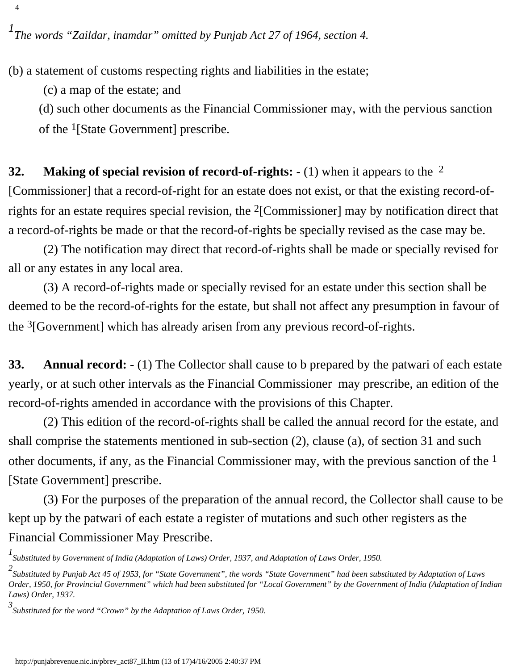(b) a statement of customs respecting rights and liabilities in the estate;

(c) a map of the estate; and

4

(d) such other documents as the Financial Commissioner may, with the pervious sanction of the 1[State Government] prescribe.

<span id="page-31-0"></span>**32. Making of special revision of record-of-rights: -** (1) when it appears to the 2 [Commissioner] that a record-of-right for an estate does not exist, or that the existing record-ofrights for an estate requires special revision, the 2[Commissioner] may by notification direct that a record-of-rights be made or that the record-of-rights be specially revised as the case may be.

 (2) The notification may direct that record-of-rights shall be made or specially revised for all or any estates in any local area.

 (3) A record-of-rights made or specially revised for an estate under this section shall be deemed to be the record-of-rights for the estate, but shall not affect any presumption in favour of the  $3$ [Government] which has already arisen from any previous record-of-rights.

<span id="page-31-1"></span>**33. Annual record: -** (1) The Collector shall cause to b prepared by the patwari of each estate yearly, or at such other intervals as the Financial Commissioner may prescribe, an edition of the record-of-rights amended in accordance with the provisions of this Chapter.

 (2) This edition of the record-of-rights shall be called the annual record for the estate, and shall comprise the statements mentioned in sub-section (2), clause (a), of section 31 and such other documents, if any, as the Financial Commissioner may, with the previous sanction of the  $<sup>1</sup>$ </sup> [State Government] prescribe.

 (3) For the purposes of the preparation of the annual record, the Collector shall cause to be kept up by the patwari of each estate a register of mutations and such other registers as the Financial Commissioner May Prescribe.

*<sup>1</sup> Substituted by Government of India (Adaptation of Laws) Order, 1937, and Adaptation of Laws Order, 1950.*

*<sup>2</sup> Substituted by Punjab Act 45 of 1953, for "State Government", the words "State Government" had been substituted by Adaptation of Laws Order, 1950, for Provincial Government" which had been substituted for "Local Government" by the Government of India (Adaptation of Indian Laws) Order, 1937.*

*<sup>3</sup> Substituted for the word "Crown" by the Adaptation of Laws Order, 1950.*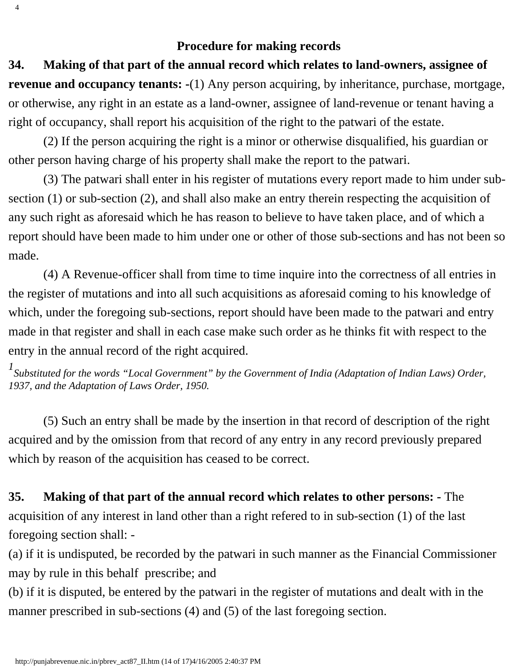### **Procedure for making records**

<span id="page-32-0"></span>**34. Making of that part of the annual record which relates to land-owners, assignee of revenue and occupancy tenants: -**(1) Any person acquiring, by inheritance, purchase, mortgage, or otherwise, any right in an estate as a land-owner, assignee of land-revenue or tenant having a right of occupancy, shall report his acquisition of the right to the patwari of the estate.

 (2) If the person acquiring the right is a minor or otherwise disqualified, his guardian or other person having charge of his property shall make the report to the patwari.

 (3) The patwari shall enter in his register of mutations every report made to him under subsection (1) or sub-section (2), and shall also make an entry therein respecting the acquisition of any such right as aforesaid which he has reason to believe to have taken place, and of which a report should have been made to him under one or other of those sub-sections and has not been so made.

 (4) A Revenue-officer shall from time to time inquire into the correctness of all entries in the register of mutations and into all such acquisitions as aforesaid coming to his knowledge of which, under the foregoing sub-sections, report should have been made to the patwari and entry made in that register and shall in each case make such order as he thinks fit with respect to the entry in the annual record of the right acquired.

<sup>1</sup> Substituted for the words "Local Government" by the Government of India (Adaptation of Indian Laws) Order, *1937, and the Adaptation of Laws Order, 1950.*

 (5) Such an entry shall be made by the insertion in that record of description of the right acquired and by the omission from that record of any entry in any record previously prepared which by reason of the acquisition has ceased to be correct.

<span id="page-32-1"></span>**35. Making of that part of the annual record which relates to other persons: -** The acquisition of any interest in land other than a right refered to in sub-section (1) of the last foregoing section shall: -

(a) if it is undisputed, be recorded by the patwari in such manner as the Financial Commissioner may by rule in this behalf prescribe; and

(b) if it is disputed, be entered by the patwari in the register of mutations and dealt with in the manner prescribed in sub-sections (4) and (5) of the last foregoing section.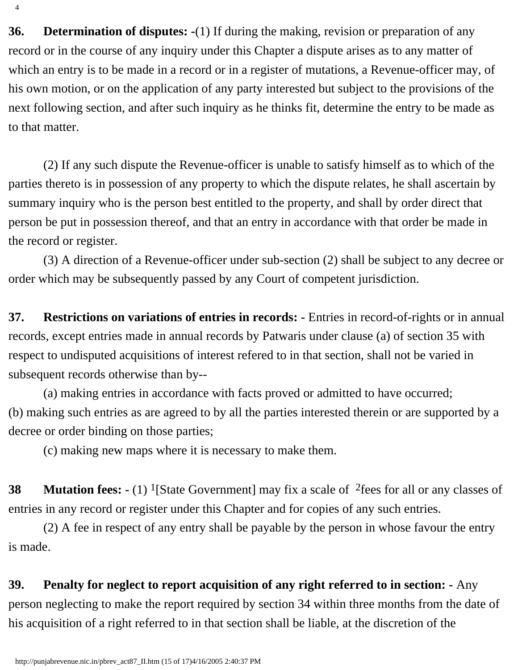<span id="page-33-0"></span>**36. Determination of disputes: -**(1) If during the making, revision or preparation of any record or in the course of any inquiry under this Chapter a dispute arises as to any matter of which an entry is to be made in a record or in a register of mutations, a Revenue-officer may, of his own motion, or on the application of any party interested but subject to the provisions of the next following section, and after such inquiry as he thinks fit, determine the entry to be made as to that matter.

 (2) If any such dispute the Revenue-officer is unable to satisfy himself as to which of the parties thereto is in possession of any property to which the dispute relates, he shall ascertain by summary inquiry who is the person best entitled to the property, and shall by order direct that person be put in possession thereof, and that an entry in accordance with that order be made in the record or register.

 (3) A direction of a Revenue-officer under sub-section (2) shall be subject to any decree or order which may be subsequently passed by any Court of competent jurisdiction.

<span id="page-33-1"></span>**37. Restrictions on variations of entries in records: -** Entries in record-of-rights or in annual records, except entries made in annual records by Patwaris under clause (a) of section 35 with respect to undisputed acquisitions of interest refered to in that section, shall not be varied in subsequent records otherwise than by--

 (a) making entries in accordance with facts proved or admitted to have occurred; (b) making such entries as are agreed to by all the parties interested therein or are supported by a decree or order binding on those parties;

(c) making new maps where it is necessary to make them.

<span id="page-33-2"></span>**38 Mutation fees: -** (1) <sup>1</sup>[State Government] may fix a scale of <sup>2</sup>fees for all or any classes of entries in any record or register under this Chapter and for copies of any such entries.

 (2) A fee in respect of any entry shall be payable by the person in whose favour the entry is made.

<span id="page-33-3"></span>**39. Penalty for neglect to report acquisition of any right referred to in section: -** Any person neglecting to make the report required by section 34 within three months from the date of his acquisition of a right referred to in that section shall be liable, at the discretion of the

4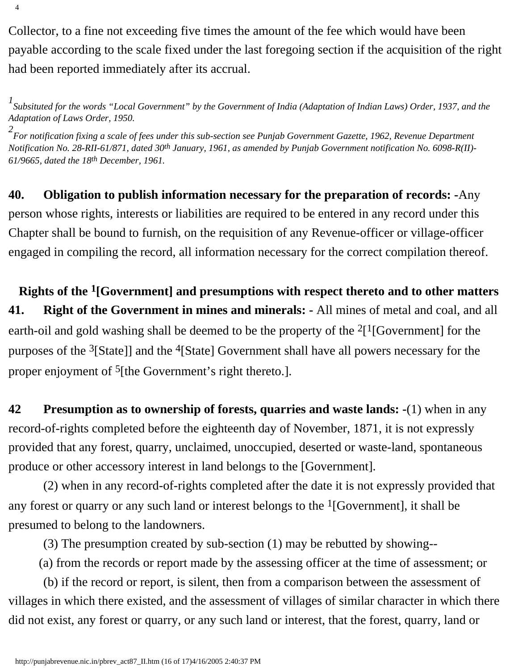Collector, to a fine not exceeding five times the amount of the fee which would have been payable according to the scale fixed under the last foregoing section if the acquisition of the right had been reported immediately after its accrual.

*1 Subsituted for the words "Local Government" by the Government of India (Adaptation of Indian Laws) Order, 1937, and the Adaptation of Laws Order, 1950.*

*2 For notification fixing a scale of fees under this sub-section see Punjab Government Gazette, 1962, Revenue Department Notification No. 28-RII-61/871, dated 30th January, 1961, as amended by Punjab Government notification No. 6098-R(II)- 61/9665, dated the 18th December, 1961.*

<span id="page-34-0"></span>**40. Obligation to publish information necessary for the preparation of records: -**Any person whose rights, interests or liabilities are required to be entered in any record under this Chapter shall be bound to furnish, on the requisition of any Revenue-officer or village-officer engaged in compiling the record, all information necessary for the correct compilation thereof.

<span id="page-34-1"></span>**Rights of the 1[Government] and presumptions with respect thereto and to other matters 41. Right of the Government in mines and minerals: -** All mines of metal and coal, and all earth-oil and gold washing shall be deemed to be the property of the  $2[1]$  Government] for the purposes of the  $3[State]$  and the  $4[State]$  Government shall have all powers necessary for the proper enjoyment of <sup>5</sup>[the Government's right thereto.].

<span id="page-34-2"></span>**42 Presumption as to ownership of forests, quarries and waste lands: -**(1) when in any record-of-rights completed before the eighteenth day of November, 1871, it is not expressly provided that any forest, quarry, unclaimed, unoccupied, deserted or waste-land, spontaneous produce or other accessory interest in land belongs to the [Government].

 (2) when in any record-of-rights completed after the date it is not expressly provided that any forest or quarry or any such land or interest belongs to the  $<sup>1</sup>[Government]$ , it shall be</sup> presumed to belong to the landowners.

(3) The presumption created by sub-section (1) may be rebutted by showing--

(a) from the records or report made by the assessing officer at the time of assessment; or

 (b) if the record or report, is silent, then from a comparison between the assessment of villages in which there existed, and the assessment of villages of similar character in which there did not exist, any forest or quarry, or any such land or interest, that the forest, quarry, land or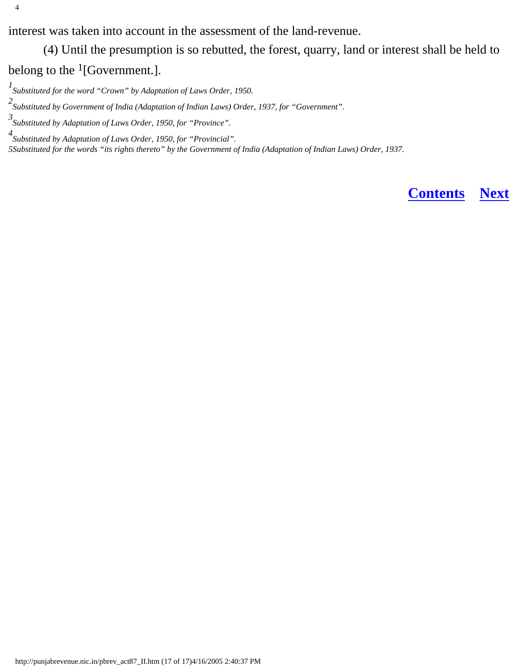interest was taken into account in the assessment of the land-revenue.

(4) Until the presumption is so rebutted, the forest, quarry, land or interest shall be held to

belong to the  $<sup>1</sup>[Government.]$ .</sup>

*4 Substituted by Adaptation of Laws Order, 1950, for "Provincial". 5Substituted for the words "its rights thereto" by the Government of India (Adaptation of Indian Laws) Order, 1937.*

**[Contents](#page-0-0) [Next](#page-36-0)**

*<sup>1</sup> Substituted for the word "Crown" by Adaptation of Laws Order, 1950.*

*<sup>2</sup> Substituted by Government of India (Adaptation of Indian Laws) Order, 1937, for "Government".*

*<sup>3</sup> Substituted by Adaptation of Laws Order, 1950, for "Province".*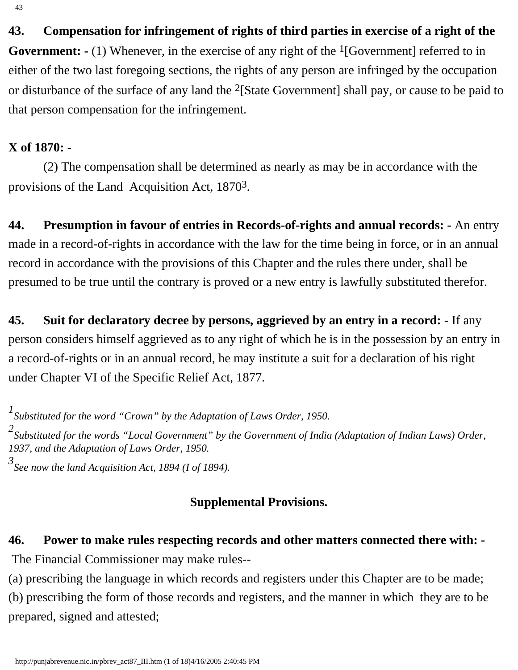43

**43. Compensation for infringement of rights of third parties in exercise of a right of the Government:** - (1) Whenever, in the exercise of any right of the <sup>1</sup>[Government] referred to in either of the two last foregoing sections, the rights of any person are infringed by the occupation or disturbance of the surface of any land the 2[State Government] shall pay, or cause to be paid to that person compensation for the infringement.

#### **X of 1870: -**

 (2) The compensation shall be determined as nearly as may be in accordance with the provisions of the Land Acquisition Act, 18703.

**44. Presumption in favour of entries in Records-of-rights and annual records: -** An entry made in a record-of-rights in accordance with the law for the time being in force, or in an annual record in accordance with the provisions of this Chapter and the rules there under, shall be presumed to be true until the contrary is proved or a new entry is lawfully substituted therefor.

**45. Suit for declaratory decree by persons, aggrieved by an entry in a record: -** If any person considers himself aggrieved as to any right of which he is in the possession by an entry in a record-of-rights or in an annual record, he may institute a suit for a declaration of his right under Chapter VI of the Specific Relief Act, 1877.

*1 Substituted for the word "Crown" by the Adaptation of Laws Order, 1950.*

*2 Substituted for the words "Local Government" by the Government of India (Adaptation of Indian Laws) Order, 1937, and the Adaptation of Laws Order, 1950.*

*3 See now the land Acquisition Act, 1894 (I of 1894).*

### **Supplemental Provisions.**

# **46. Power to make rules respecting records and other matters connected there with: -**

The Financial Commissioner may make rules--

(a) prescribing the language in which records and registers under this Chapter are to be made;

(b) prescribing the form of those records and registers, and the manner in which they are to be prepared, signed and attested;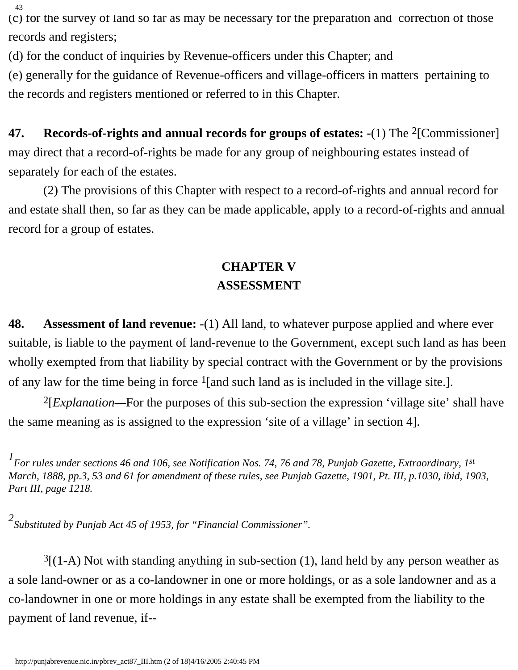43

(c) for the survey of land so far as may be necessary for the preparation and correction of those records and registers;

(d) for the conduct of inquiries by Revenue-officers under this Chapter; and

(e) generally for the guidance of Revenue-officers and village-officers in matters pertaining to the records and registers mentioned or referred to in this Chapter.

**47. Records-of-rights and annual records for groups of estates: -**(1) The 2[Commissioner] may direct that a record-of-rights be made for any group of neighbouring estates instead of separately for each of the estates.

 (2) The provisions of this Chapter with respect to a record-of-rights and annual record for and estate shall then, so far as they can be made applicable, apply to a record-of-rights and annual record for a group of estates.

# **CHAPTER V ASSESSMENT**

**48. Assessment of land revenue:** -(1) All land, to whatever purpose applied and where ever suitable, is liable to the payment of land-revenue to the Government, except such land as has been wholly exempted from that liability by special contract with the Government or by the provisions of any law for the time being in force  $1$ [and such land as is included in the village site.].

 2[*Explanation—*For the purposes of this sub-section the expression 'village site' shall have the same meaning as is assigned to the expression 'site of a village' in section 4].

*1 For rules under sections 46 and 106, see Notification Nos. 74, 76 and 78, Punjab Gazette, Extraordinary, 1st March, 1888, pp.3, 53 and 61 for amendment of these rules, see Punjab Gazette, 1901, Pt. III, p.1030, ibid, 1903, Part III, page 1218.*

*2 Substituted by Punjab Act 45 of 1953, for "Financial Commissioner".*

 $3$ [(1-A) Not with standing anything in sub-section (1), land held by any person weather as a sole land-owner or as a co-landowner in one or more holdings, or as a sole landowner and as a co-landowner in one or more holdings in any estate shall be exempted from the liability to the payment of land revenue, if--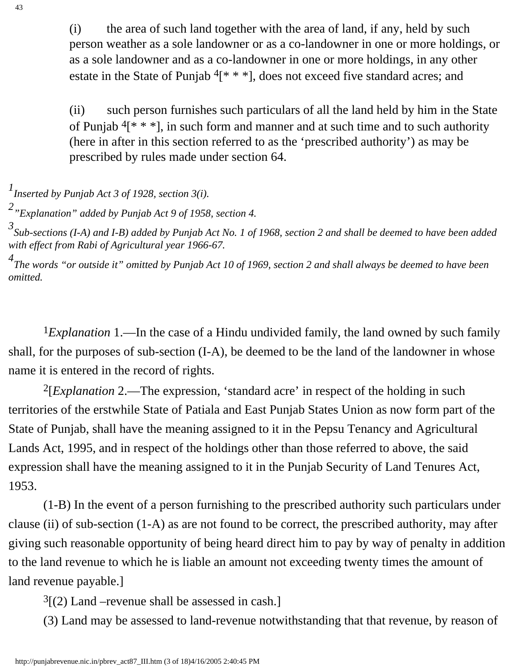(i) the area of such land together with the area of land, if any, held by such person weather as a sole landowner or as a co-landowner in one or more holdings, or as a sole landowner and as a co-landowner in one or more holdings, in any other estate in the State of Punjab  $4[* **]$ , does not exceed five standard acres; and

(ii) such person furnishes such particulars of all the land held by him in the State of Punjab  $4$ [\* \* \*], in such form and manner and at such time and to such authority (here in after in this section referred to as the 'prescribed authority') as may be prescribed by rules made under section 64.

*1 Inserted by Punjab Act 3 of 1928, section 3(i).*

*2 "Explanation" added by Punjab Act 9 of 1958, section 4.*

*3 Sub-sections (I-A) and I-B) added by Punjab Act No. 1 of 1968, section 2 and shall be deemed to have been added with effect from Rabi of Agricultural year 1966-67.*

*4 The words "or outside it" omitted by Punjab Act 10 of 1969, section 2 and shall always be deemed to have been omitted.*

<sup>1</sup>*Explanation* 1.—In the case of a Hindu undivided family, the land owned by such family shall, for the purposes of sub-section (I-A), be deemed to be the land of the landowner in whose name it is entered in the record of rights.

 2[*Explanation* 2.—The expression, 'standard acre' in respect of the holding in such territories of the erstwhile State of Patiala and East Punjab States Union as now form part of the State of Punjab, shall have the meaning assigned to it in the Pepsu Tenancy and Agricultural Lands Act, 1995, and in respect of the holdings other than those referred to above, the said expression shall have the meaning assigned to it in the Punjab Security of Land Tenures Act, 1953.

 (1-B) In the event of a person furnishing to the prescribed authority such particulars under clause (ii) of sub-section (1-A) as are not found to be correct, the prescribed authority, may after giving such reasonable opportunity of being heard direct him to pay by way of penalty in addition to the land revenue to which he is liable an amount not exceeding twenty times the amount of land revenue payable.]

 $3(2)$  Land –revenue shall be assessed in cash.]

(3) Land may be assessed to land-revenue notwithstanding that that revenue, by reason of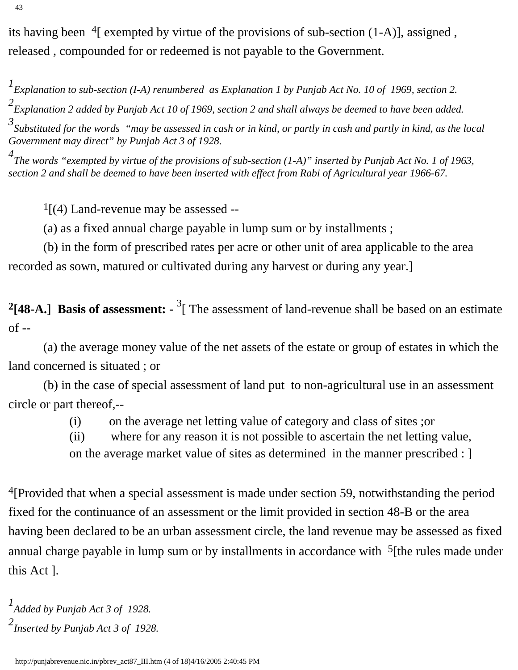its having been 4[ exempted by virtue of the provisions of sub-section (1-A)], assigned , released , compounded for or redeemed is not payable to the Government.

*1 Explanation to sub-section (I-A) renumbered as Explanation 1 by Punjab Act No. 10 of 1969, section 2.*

*2 Explanation 2 added by Punjab Act 10 of 1969, section 2 and shall always be deemed to have been added.*

*3 Substituted for the words "may be assessed in cash or in kind, or partly in cash and partly in kind, as the local Government may direct" by Punjab Act 3 of 1928.*

*4 The words "exempted by virtue of the provisions of sub-section (1-A)" inserted by Punjab Act No. 1 of 1963, section 2 and shall be deemed to have been inserted with effect from Rabi of Agricultural year 1966-67.*

 $\frac{1}{4}$ [(4) Land-revenue may be assessed --

(a) as a fixed annual charge payable in lump sum or by installments ;

 (b) in the form of prescribed rates per acre or other unit of area applicable to the area recorded as sown, matured or cultivated during any harvest or during any year.]

**2[48-A.**] **Basis of assessment: -** <sup>3</sup> [ The assessment of land-revenue shall be based on an estimate of --

 (a) the average money value of the net assets of the estate or group of estates in which the land concerned is situated ; or

 (b) in the case of special assessment of land put to non-agricultural use in an assessment circle or part thereof,--

(i) on the average net letting value of category and class of sites ;or

(ii) where for any reason it is not possible to ascertain the net letting value, on the average market value of sites as determined in the manner prescribed : ]

<sup>4</sup>[Provided that when a special assessment is made under section 59, notwithstanding the period fixed for the continuance of an assessment or the limit provided in section 48-B or the area having been declared to be an urban assessment circle, the land revenue may be assessed as fixed annual charge payable in lump sum or by installments in accordance with  $\frac{5}{1}$  [the rules made under this Act ].

```
1
Added by Punjab Act 3 of 1928.
2
Inserted by Punjab Act 3 of 1928.
```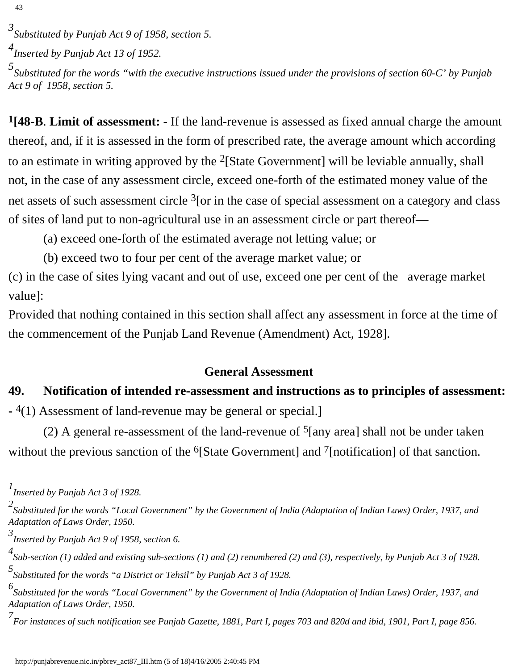*5 Substituted for the words "with the executive instructions issued under the provisions of section 60-C' by Punjab Act 9 of 1958, section 5.*

**1[48**-**B**. **Limit of assessment: -** If the land-revenue is assessed as fixed annual charge the amount thereof, and, if it is assessed in the form of prescribed rate, the average amount which according to an estimate in writing approved by the 2[State Government] will be leviable annually, shall not, in the case of any assessment circle, exceed one-forth of the estimated money value of the net assets of such assessment circle <sup>3</sup>[or in the case of special assessment on a category and class of sites of land put to non-agricultural use in an assessment circle or part thereof—

(a) exceed one-forth of the estimated average not letting value; or

(b) exceed two to four per cent of the average market value; or

(c) in the case of sites lying vacant and out of use, exceed one per cent of the average market value]:

Provided that nothing contained in this section shall affect any assessment in force at the time of the commencement of the Punjab Land Revenue (Amendment) Act, 1928].

### **General Assessment**

# **49. Notification of intended re-assessment and instructions as to principles of assessment:**

**-** 4(1) Assessment of land-revenue may be general or special.]

(2) A general re-assessment of the land-revenue of  $5$ [any area] shall not be under taken without the previous sanction of the <sup>6</sup>[State Government] and <sup>7</sup>[notification] of that sanction.

*<sup>3</sup> Substituted by Punjab Act 9 of 1958, section 5.*

*<sup>4</sup> Inserted by Punjab Act 13 of 1952.*

*<sup>1</sup> Inserted by Punjab Act 3 of 1928.*

*<sup>2</sup> Substituted for the words "Local Government" by the Government of India (Adaptation of Indian Laws) Order, 1937, and Adaptation of Laws Order, 1950.*

*<sup>3</sup> Inserted by Punjab Act 9 of 1958, section 6.*

*<sup>4</sup> Sub-section (1) added and existing sub-sections (1) and (2) renumbered (2) and (3), respectively, by Punjab Act 3 of 1928. 5 Substituted for the words "a District or Tehsil" by Punjab Act 3 of 1928.*

*<sup>6</sup> Substituted for the words "Local Government" by the Government of India (Adaptation of Indian Laws) Order, 1937, and Adaptation of Laws Order, 1950.*

*<sup>7</sup> For instances of such notification see Punjab Gazette, 1881, Part I, pages 703 and 820d and ibid, 1901, Part I, page 856.*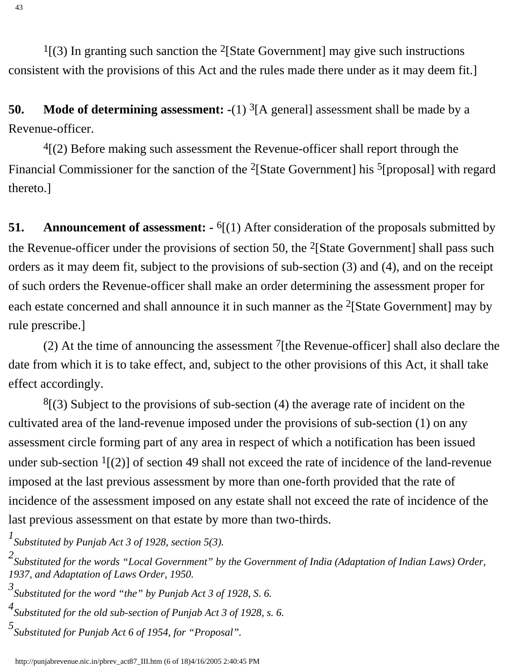$<sup>1</sup>$ [(3) In granting such sanction the <sup>2</sup>[State Government] may give such instructions</sup> consistent with the provisions of this Act and the rules made there under as it may deem fit.]

**50.** Mode of determining assessment: -(1) <sup>3</sup>[A general] assessment shall be made by a Revenue-officer.

 $4(2)$  Before making such assessment the Revenue-officer shall report through the Financial Commissioner for the sanction of the <sup>2</sup>[State Government] his <sup>5</sup>[proposal] with regard thereto.]

**51.** Announcement of assessment:  $\cdot$  <sup>6</sup>[(1) After consideration of the proposals submitted by the Revenue-officer under the provisions of section 50, the  $2$ [State Government] shall pass such orders as it may deem fit, subject to the provisions of sub-section (3) and (4), and on the receipt of such orders the Revenue-officer shall make an order determining the assessment proper for each estate concerned and shall announce it in such manner as the <sup>2</sup>[State Government] may by rule prescribe.]

(2) At the time of announcing the assessment  $^7$ [the Revenue-officer] shall also declare the date from which it is to take effect, and, subject to the other provisions of this Act, it shall take effect accordingly.

 $8(3)$  Subject to the provisions of sub-section (4) the average rate of incident on the cultivated area of the land-revenue imposed under the provisions of sub-section (1) on any assessment circle forming part of any area in respect of which a notification has been issued under sub-section  $1(2)$  of section 49 shall not exceed the rate of incidence of the land-revenue imposed at the last previous assessment by more than one-forth provided that the rate of incidence of the assessment imposed on any estate shall not exceed the rate of incidence of the last previous assessment on that estate by more than two-thirds.

*1 Substituted by Punjab Act 3 of 1928, section 5(3).*

*<sup>2</sup> Substituted for the words "Local Government" by the Government of India (Adaptation of Indian Laws) Order, 1937, and Adaptation of Laws Order, 1950.*

*<sup>3</sup> Substituted for the word "the" by Punjab Act 3 of 1928, S. 6.*

*<sup>4</sup> Substituted for the old sub-section of Punjab Act 3 of 1928, s. 6.*

*<sup>5</sup> Substituted for Punjab Act 6 of 1954, for "Proposal".*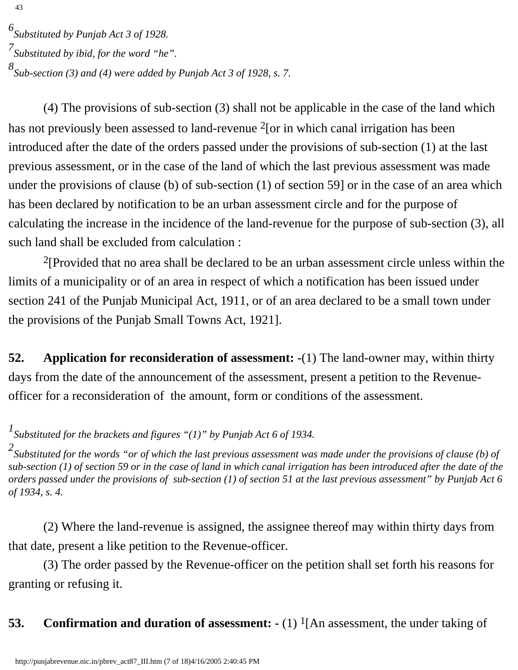*6 Substituted by Punjab Act 3 of 1928. 7 Substituted by ibid, for the word "he". 8 Sub-section (3) and (4) were added by Punjab Act 3 of 1928, s. 7.*

 (4) The provisions of sub-section (3) shall not be applicable in the case of the land which has not previously been assessed to land-revenue <sup>2</sup>[or in which canal irrigation has been introduced after the date of the orders passed under the provisions of sub-section (1) at the last previous assessment, or in the case of the land of which the last previous assessment was made under the provisions of clause (b) of sub-section (1) of section 59] or in the case of an area which has been declared by notification to be an urban assessment circle and for the purpose of calculating the increase in the incidence of the land-revenue for the purpose of sub-section (3), all such land shall be excluded from calculation :

 2[Provided that no area shall be declared to be an urban assessment circle unless within the limits of a municipality or of an area in respect of which a notification has been issued under section 241 of the Punjab Municipal Act, 1911, or of an area declared to be a small town under the provisions of the Punjab Small Towns Act, 1921].

**52. Application for reconsideration of assessment: -**(1) The land-owner may, within thirty days from the date of the announcement of the assessment, present a petition to the Revenueofficer for a reconsideration of the amount, form or conditions of the assessment.

*1 Substituted for the brackets and figures "(1)" by Punjab Act 6 of 1934.*

*2 Substituted for the words "or of which the last previous assessment was made under the provisions of clause (b) of sub-section (1) of section 59 or in the case of land in which canal irrigation has been introduced after the date of the orders passed under the provisions of sub-section (1) of section 51 at the last previous assessment" by Punjab Act 6 of 1934, s. 4.*

 (2) Where the land-revenue is assigned, the assignee thereof may within thirty days from that date, present a like petition to the Revenue-officer.

 (3) The order passed by the Revenue-officer on the petition shall set forth his reasons for granting or refusing it.

**53.** Confirmation and duration of assessment:  $\cdot$  (1) <sup>1</sup>[An assessment, the under taking of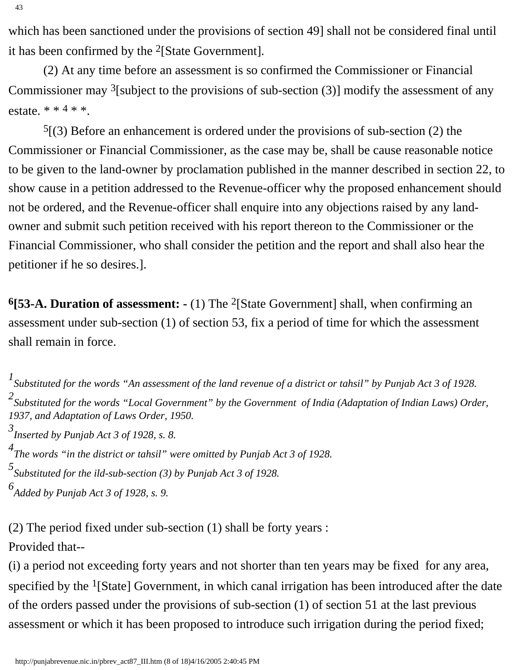43

which has been sanctioned under the provisions of section 49] shall not be considered final until it has been confirmed by the 2[State Government].

 (2) At any time before an assessment is so confirmed the Commissioner or Financial Commissioner may  $3$ [subject to the provisions of sub-section (3)] modify the assessment of any estate.  $* * 4 * *$ .

 $5(3)$  Before an enhancement is ordered under the provisions of sub-section (2) the Commissioner or Financial Commissioner, as the case may be, shall be cause reasonable notice to be given to the land-owner by proclamation published in the manner described in section 22, to show cause in a petition addressed to the Revenue-officer why the proposed enhancement should not be ordered, and the Revenue-officer shall enquire into any objections raised by any landowner and submit such petition received with his report thereon to the Commissioner or the Financial Commissioner, who shall consider the petition and the report and shall also hear the petitioner if he so desires.].

**6[53-A. Duration of assessment: -** (1) The 2[State Government] shall, when confirming an assessment under sub-section (1) of section 53, fix a period of time for which the assessment shall remain in force.

*1 Substituted for the words "An assessment of the land revenue of a district or tahsil" by Punjab Act 3 of 1928. 2 Substituted for the words "Local Government" by the Government of India (Adaptation of Indian Laws) Order, 1937, and Adaptation of Laws Order, 1950.*

*3 Inserted by Punjab Act 3 of 1928, s. 8.*

*4 The words "in the district or tahsil" were omitted by Punjab Act 3 of 1928.*

*5 Substituted for the ild-sub-section (3) by Punjab Act 3 of 1928.*

*6 Added by Punjab Act 3 of 1928, s. 9.*

(2) The period fixed under sub-section (1) shall be forty years :

Provided that--

(i) a period not exceeding forty years and not shorter than ten years may be fixed for any area, specified by the <sup>1</sup>[State] Government, in which canal irrigation has been introduced after the date of the orders passed under the provisions of sub-section (1) of section 51 at the last previous assessment or which it has been proposed to introduce such irrigation during the period fixed;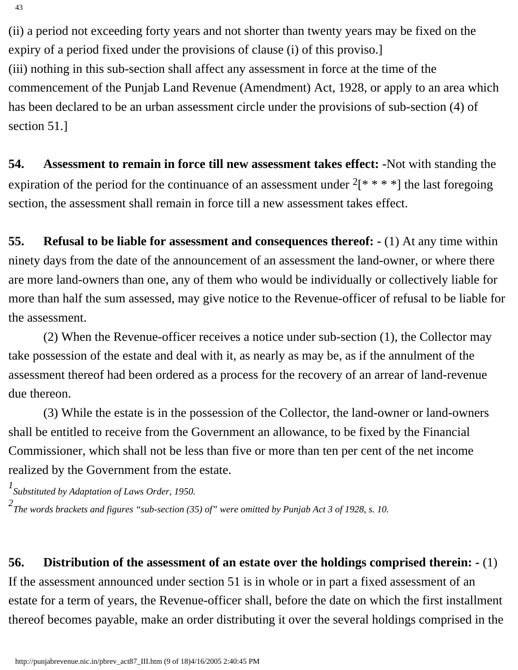(ii) a period not exceeding forty years and not shorter than twenty years may be fixed on the expiry of a period fixed under the provisions of clause (i) of this proviso.] (iii) nothing in this sub-section shall affect any assessment in force at the time of the commencement of the Punjab Land Revenue (Amendment) Act, 1928, or apply to an area which has been declared to be an urban assessment circle under the provisions of sub-section (4) of section 51.]

**54. Assessment to remain in force till new assessment takes effect: -**Not with standing the expiration of the period for the continuance of an assessment under  $2[* ** * *]$  the last foregoing section, the assessment shall remain in force till a new assessment takes effect.

**55. Refusal to be liable for assessment and consequences thereof: -** (1) At any time within ninety days from the date of the announcement of an assessment the land-owner, or where there are more land-owners than one, any of them who would be individually or collectively liable for more than half the sum assessed, may give notice to the Revenue-officer of refusal to be liable for the assessment.

 (2) When the Revenue-officer receives a notice under sub-section (1), the Collector may take possession of the estate and deal with it, as nearly as may be, as if the annulment of the assessment thereof had been ordered as a process for the recovery of an arrear of land-revenue due thereon.

 (3) While the estate is in the possession of the Collector, the land-owner or land-owners shall be entitled to receive from the Government an allowance, to be fixed by the Financial Commissioner, which shall not be less than five or more than ten per cent of the net income realized by the Government from the estate.

*1 Substituted by Adaptation of Laws Order, 1950.*

*2 The words brackets and figures "sub-section (35) of" were omitted by Punjab Act 3 of 1928, s. 10.*

**56. Distribution of the assessment of an estate over the holdings comprised therein: -** (1) If the assessment announced under section 51 is in whole or in part a fixed assessment of an estate for a term of years, the Revenue-officer shall, before the date on which the first installment thereof becomes payable, make an order distributing it over the several holdings comprised in the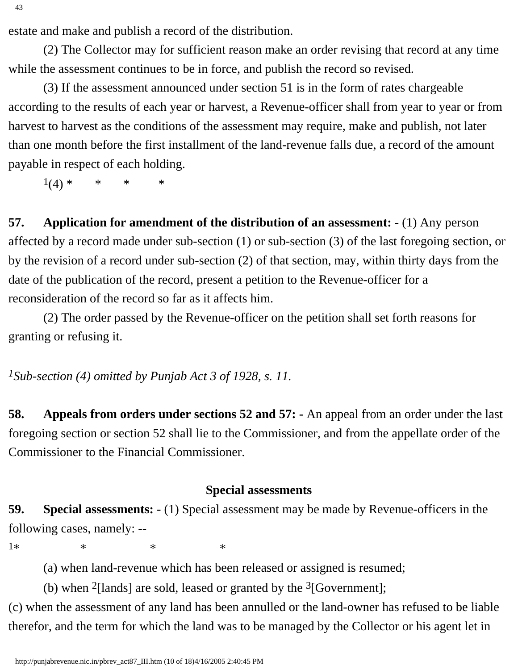estate and make and publish a record of the distribution.

 (2) The Collector may for sufficient reason make an order revising that record at any time while the assessment continues to be in force, and publish the record so revised.

 (3) If the assessment announced under section 51 is in the form of rates chargeable according to the results of each year or harvest, a Revenue-officer shall from year to year or from harvest to harvest as the conditions of the assessment may require, make and publish, not later than one month before the first installment of the land-revenue falls due, a record of the amount payable in respect of each holding.

 $1(4) * * * * * * *$ 

**57. Application for amendment of the distribution of an assessment: -** (1) Any person affected by a record made under sub-section (1) or sub-section (3) of the last foregoing section, or by the revision of a record under sub-section (2) of that section, may, within thirty days from the date of the publication of the record, present a petition to the Revenue-officer for a reconsideration of the record so far as it affects him.

 (2) The order passed by the Revenue-officer on the petition shall set forth reasons for granting or refusing it.

*1Sub-section (4) omitted by Punjab Act 3 of 1928, s. 11.*

**58. Appeals from orders under sections 52 and 57: -** An appeal from an order under the last foregoing section or section 52 shall lie to the Commissioner, and from the appellate order of the Commissioner to the Financial Commissioner.

#### **Special assessments**

**59. Special assessments: -** (1) Special assessment may be made by Revenue-officers in the following cases, namely: --

1\* \* \* \* \*

(a) when land-revenue which has been released or assigned is resumed;

(b) when  $2$ [lands] are sold, leased or granted by the  $3$ [Government];

(c) when the assessment of any land has been annulled or the land-owner has refused to be liable therefor, and the term for which the land was to be managed by the Collector or his agent let in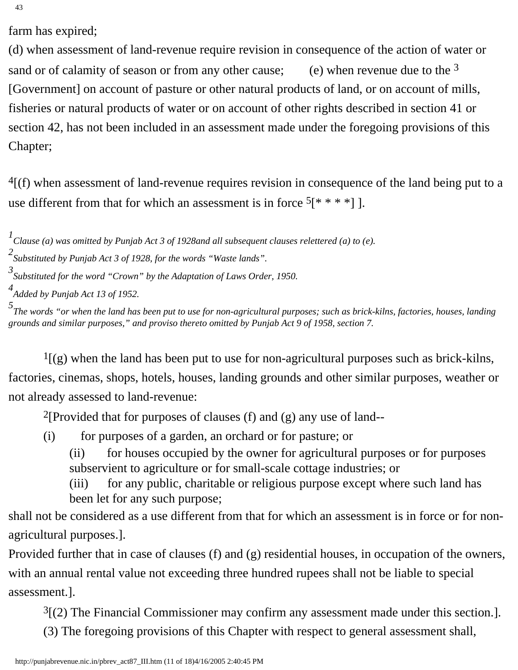43

farm has expired;

(d) when assessment of land-revenue require revision in consequence of the action of water or sand or of calamity of season or from any other cause; (e) when revenue due to the  $3$ [Government] on account of pasture or other natural products of land, or on account of mills, fisheries or natural products of water or on account of other rights described in section 41 or section 42, has not been included in an assessment made under the foregoing provisions of this Chapter;

 $<sup>4</sup>$ [(f) when assessment of land-revenue requires revision in consequence of the land being put to a</sup> use different from that for which an assessment is in force  $5[* **"]$ .

*1 Clause (a) was omitted by Punjab Act 3 of 1928and all subsequent clauses relettered (a) to (e).* 

*2 Substituted by Punjab Act 3 of 1928, for the words "Waste lands".*

*3 Substituted for the word "Crown" by the Adaptation of Laws Order, 1950.*

*4 Added by Punjab Act 13 of 1952.*

*5 The words "or when the land has been put to use for non-agricultural purposes; such as brick-kilns, factories, houses, landing grounds and similar purposes," and proviso thereto omitted by Punjab Act 9 of 1958, section 7.* 

 $<sup>1</sup>$ [(g) when the land has been put to use for non-agricultural purposes such as brick-kilns,</sup> factories, cinemas, shops, hotels, houses, landing grounds and other similar purposes, weather or not already assessed to land-revenue:

<sup>2</sup>[Provided that for purposes of clauses (f) and (g) any use of land--

- (i) for purposes of a garden, an orchard or for pasture; or
	- (ii) for houses occupied by the owner for agricultural purposes or for purposes subservient to agriculture or for small-scale cottage industries; or

(iii) for any public, charitable or religious purpose except where such land has been let for any such purpose;

shall not be considered as a use different from that for which an assessment is in force or for nonagricultural purposes.].

Provided further that in case of clauses (f) and (g) residential houses, in occupation of the owners, with an annual rental value not exceeding three hundred rupees shall not be liable to special assessment.].

 $3(2)$  The Financial Commissioner may confirm any assessment made under this section.].

(3) The foregoing provisions of this Chapter with respect to general assessment shall,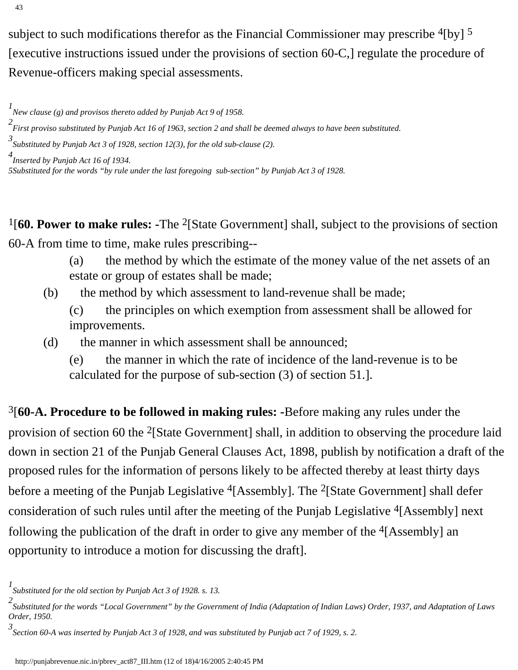subject to such modifications therefor as the Financial Commissioner may prescribe  $^{4}$ [by]  $^{5}$ [executive instructions issued under the provisions of section 60-C,] regulate the procedure of Revenue-officers making special assessments.

- *2 First proviso substituted by Punjab Act 16 of 1963, section 2 and shall be deemed always to have been substituted.*
- *3 Substituted by Punjab Act 3 of 1928, section 12(3), for the old sub-clause (2).*

*4 Inserted by Punjab Act 16 of 1934.*

*5Substituted for the words "by rule under the last foregoing sub-section" by Punjab Act 3 of 1928.*

1[**60. Power to make rules: -**The 2[State Government] shall, subject to the provisions of section 60-A from time to time, make rules prescribing--

- (a) the method by which the estimate of the money value of the net assets of an estate or group of estates shall be made;
- (b) the method by which assessment to land-revenue shall be made;
	- (c) the principles on which exemption from assessment shall be allowed for improvements.
- (d) the manner in which assessment shall be announced;
	- (e) the manner in which the rate of incidence of the land-revenue is to be calculated for the purpose of sub-section (3) of section 51.].

3[**60-A. Procedure to be followed in making rules: -**Before making any rules under the provision of section 60 the 2[State Government] shall, in addition to observing the procedure laid down in section 21 of the Punjab General Clauses Act, 1898, publish by notification a draft of the proposed rules for the information of persons likely to be affected thereby at least thirty days before a meeting of the Punjab Legislative <sup>4</sup>[Assembly]. The <sup>2</sup>[State Government] shall defer consideration of such rules until after the meeting of the Punjab Legislative  $\frac{4}{\text{[Assemb]}$  next following the publication of the draft in order to give any member of the  $\frac{4}{\text{K}}$  [Assembly] an opportunity to introduce a motion for discussing the draft].

*<sup>1</sup> New clause (g) and provisos thereto added by Punjab Act 9 of 1958.* 

*<sup>1</sup> Substituted for the old section by Punjab Act 3 of 1928. s. 13.*

*<sup>2</sup> Substituted for the words "Local Government" by the Government of India (Adaptation of Indian Laws) Order, 1937, and Adaptation of Laws Order, 1950.*

*<sup>3</sup> Section 60-A was inserted by Punjab Act 3 of 1928, and was substituted by Punjab act 7 of 1929, s. 2.*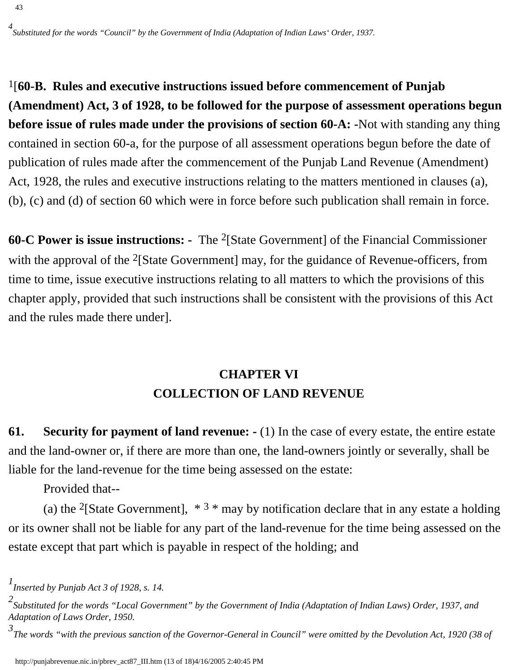1[**60-B. Rules and executive instructions issued before commencement of Punjab (Amendment) Act, 3 of 1928, to be followed for the purpose of assessment operations begun before issue of rules made under the provisions of section 60-A: -**Not with standing any thing contained in section 60-a, for the purpose of all assessment operations begun before the date of publication of rules made after the commencement of the Punjab Land Revenue (Amendment) Act, 1928, the rules and executive instructions relating to the matters mentioned in clauses (a), (b), (c) and (d) of section 60 which were in force before such publication shall remain in force.

**60-C Power is issue instructions: -** The 2[State Government] of the Financial Commissioner with the approval of the <sup>2</sup>[State Government] may, for the guidance of Revenue-officers, from time to time, issue executive instructions relating to all matters to which the provisions of this chapter apply, provided that such instructions shall be consistent with the provisions of this Act and the rules made there under].

# **CHAPTER VI COLLECTION OF LAND REVENUE**

**61. Security for payment of land revenue: -** (1) In the case of every estate, the entire estate and the land-owner or, if there are more than one, the land-owners jointly or severally, shall be liable for the land-revenue for the time being assessed on the estate:

Provided that--

(a) the <sup>2</sup>[State Government],  $*3 *$  may by notification declare that in any estate a holding or its owner shall not be liable for any part of the land-revenue for the time being assessed on the estate except that part which is payable in respect of the holding; and

*<sup>1</sup> Inserted by Punjab Act 3 of 1928, s. 14.*

*<sup>2</sup> Substituted for the words "Local Government" by the Government of India (Adaptation of Indian Laws) Order, 1937, and Adaptation of Laws Order, 1950.*

*<sup>3</sup> The words "with the previous sanction of the Governor-General in Council" were omitted by the Devolution Act, 1920 (38 of*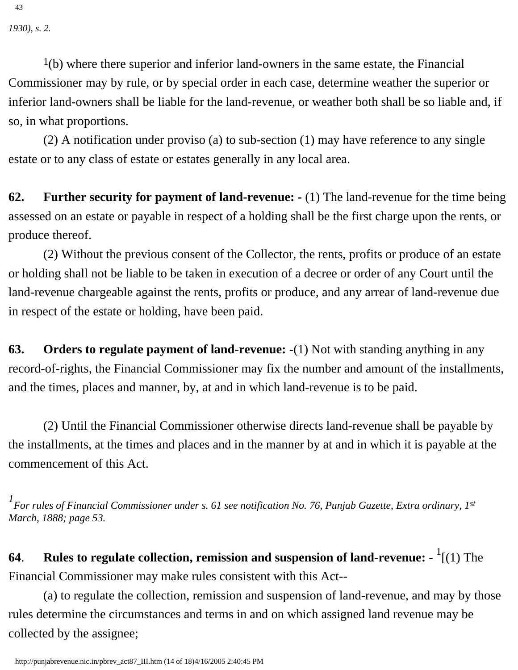*1930), s. 2.*

43

 $1(b)$  where there superior and inferior land-owners in the same estate, the Financial Commissioner may by rule, or by special order in each case, determine weather the superior or inferior land-owners shall be liable for the land-revenue, or weather both shall be so liable and, if so, in what proportions.

 (2) A notification under proviso (a) to sub-section (1) may have reference to any single estate or to any class of estate or estates generally in any local area.

**62. Further security for payment of land-revenue: -** (1) The land-revenue for the time being assessed on an estate or payable in respect of a holding shall be the first charge upon the rents, or produce thereof.

 (2) Without the previous consent of the Collector, the rents, profits or produce of an estate or holding shall not be liable to be taken in execution of a decree or order of any Court until the land-revenue chargeable against the rents, profits or produce, and any arrear of land-revenue due in respect of the estate or holding, have been paid.

**63. Orders to regulate payment of land-revenue: -**(1) Not with standing anything in any record-of-rights, the Financial Commissioner may fix the number and amount of the installments, and the times, places and manner, by, at and in which land-revenue is to be paid.

 (2) Until the Financial Commissioner otherwise directs land-revenue shall be payable by the installments, at the times and places and in the manner by at and in which it is payable at the commencement of this Act.

*1 For rules of Financial Commissioner under s. 61 see notification No. 76, Punjab Gazette, Extra ordinary, 1st March, 1888; page 53.*

**64**. **Rules to regulate collection, remission and suspension of land-revenue: -** <sup>1</sup> [(1) The Financial Commissioner may make rules consistent with this Act--

 (a) to regulate the collection, remission and suspension of land-revenue, and may by those rules determine the circumstances and terms in and on which assigned land revenue may be collected by the assignee;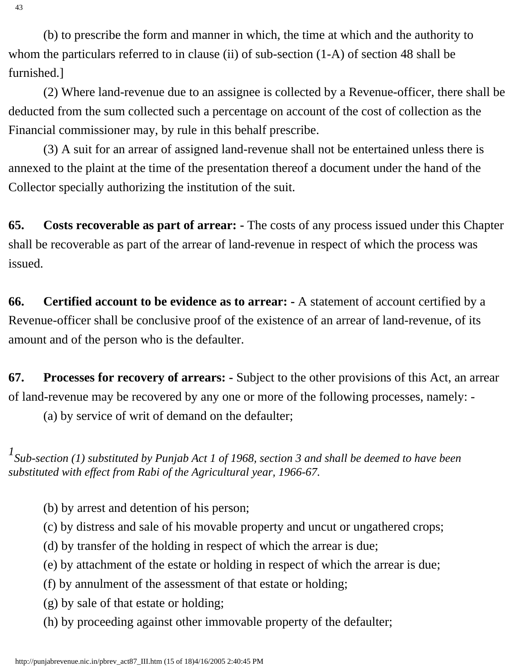(b) to prescribe the form and manner in which, the time at which and the authority to whom the particulars referred to in clause (ii) of sub-section  $(1-A)$  of section 48 shall be furnished.]

 (2) Where land-revenue due to an assignee is collected by a Revenue-officer, there shall be deducted from the sum collected such a percentage on account of the cost of collection as the Financial commissioner may, by rule in this behalf prescribe.

 (3) A suit for an arrear of assigned land-revenue shall not be entertained unless there is annexed to the plaint at the time of the presentation thereof a document under the hand of the Collector specially authorizing the institution of the suit.

**65. Costs recoverable as part of arrear: -** The costs of any process issued under this Chapter shall be recoverable as part of the arrear of land-revenue in respect of which the process was issued.

**66. Certified account to be evidence as to arrear: -** A statement of account certified by a Revenue-officer shall be conclusive proof of the existence of an arrear of land-revenue, of its amount and of the person who is the defaulter.

**67. Processes for recovery of arrears: -** Subject to the other provisions of this Act, an arrear of land-revenue may be recovered by any one or more of the following processes, namely: -

(a) by service of writ of demand on the defaulter;

*1 Sub-section (1) substituted by Punjab Act 1 of 1968, section 3 and shall be deemed to have been substituted with effect from Rabi of the Agricultural year, 1966-67.*

(b) by arrest and detention of his person;

(c) by distress and sale of his movable property and uncut or ungathered crops;

(d) by transfer of the holding in respect of which the arrear is due;

(e) by attachment of the estate or holding in respect of which the arrear is due;

(f) by annulment of the assessment of that estate or holding;

(g) by sale of that estate or holding;

(h) by proceeding against other immovable property of the defaulter;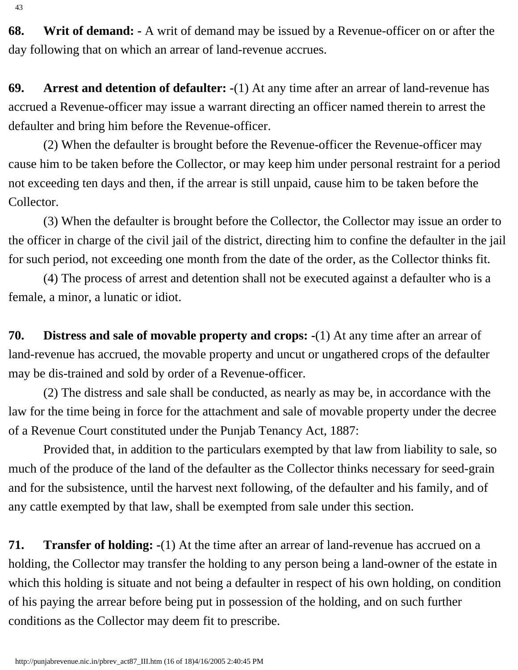**68. Writ of demand: -** A writ of demand may be issued by a Revenue-officer on or after the day following that on which an arrear of land-revenue accrues.

**69. Arrest and detention of defaulter: -**(1) At any time after an arrear of land-revenue has accrued a Revenue-officer may issue a warrant directing an officer named therein to arrest the defaulter and bring him before the Revenue-officer.

 (2) When the defaulter is brought before the Revenue-officer the Revenue-officer may cause him to be taken before the Collector, or may keep him under personal restraint for a period not exceeding ten days and then, if the arrear is still unpaid, cause him to be taken before the Collector.

 (3) When the defaulter is brought before the Collector, the Collector may issue an order to the officer in charge of the civil jail of the district, directing him to confine the defaulter in the jail for such period, not exceeding one month from the date of the order, as the Collector thinks fit.

 (4) The process of arrest and detention shall not be executed against a defaulter who is a female, a minor, a lunatic or idiot.

**70. Distress and sale of movable property and crops: -**(1) At any time after an arrear of land-revenue has accrued, the movable property and uncut or ungathered crops of the defaulter may be dis-trained and sold by order of a Revenue-officer.

 (2) The distress and sale shall be conducted, as nearly as may be, in accordance with the law for the time being in force for the attachment and sale of movable property under the decree of a Revenue Court constituted under the Punjab Tenancy Act, 1887:

 Provided that, in addition to the particulars exempted by that law from liability to sale, so much of the produce of the land of the defaulter as the Collector thinks necessary for seed-grain and for the subsistence, until the harvest next following, of the defaulter and his family, and of any cattle exempted by that law, shall be exempted from sale under this section.

**71. Transfer of holding: -**(1) At the time after an arrear of land-revenue has accrued on a holding, the Collector may transfer the holding to any person being a land-owner of the estate in which this holding is situate and not being a defaulter in respect of his own holding, on condition of his paying the arrear before being put in possession of the holding, and on such further conditions as the Collector may deem fit to prescribe.

43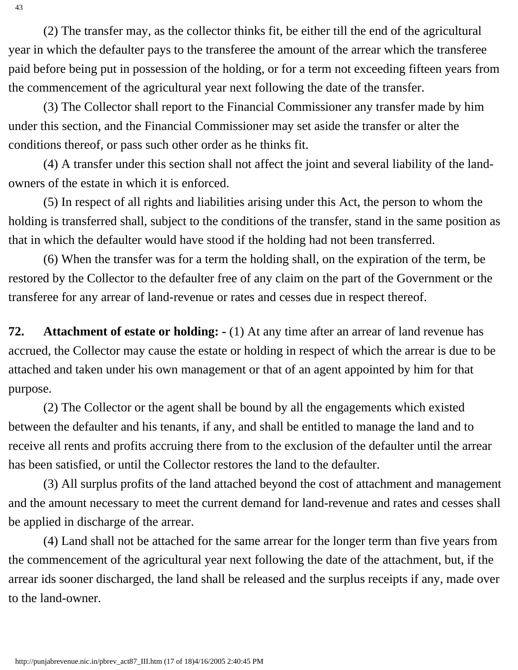(2) The transfer may, as the collector thinks fit, be either till the end of the agricultural year in which the defaulter pays to the transferee the amount of the arrear which the transferee paid before being put in possession of the holding, or for a term not exceeding fifteen years from the commencement of the agricultural year next following the date of the transfer.

 (3) The Collector shall report to the Financial Commissioner any transfer made by him under this section, and the Financial Commissioner may set aside the transfer or alter the conditions thereof, or pass such other order as he thinks fit.

 (4) A transfer under this section shall not affect the joint and several liability of the landowners of the estate in which it is enforced.

 (5) In respect of all rights and liabilities arising under this Act, the person to whom the holding is transferred shall, subject to the conditions of the transfer, stand in the same position as that in which the defaulter would have stood if the holding had not been transferred.

 (6) When the transfer was for a term the holding shall, on the expiration of the term, be restored by the Collector to the defaulter free of any claim on the part of the Government or the transferee for any arrear of land-revenue or rates and cesses due in respect thereof.

**72. Attachment of estate or holding: -** (1) At any time after an arrear of land revenue has accrued, the Collector may cause the estate or holding in respect of which the arrear is due to be attached and taken under his own management or that of an agent appointed by him for that purpose.

 (2) The Collector or the agent shall be bound by all the engagements which existed between the defaulter and his tenants, if any, and shall be entitled to manage the land and to receive all rents and profits accruing there from to the exclusion of the defaulter until the arrear has been satisfied, or until the Collector restores the land to the defaulter.

 (3) All surplus profits of the land attached beyond the cost of attachment and management and the amount necessary to meet the current demand for land-revenue and rates and cesses shall be applied in discharge of the arrear.

 (4) Land shall not be attached for the same arrear for the longer term than five years from the commencement of the agricultural year next following the date of the attachment, but, if the arrear ids sooner discharged, the land shall be released and the surplus receipts if any, made over to the land-owner.

43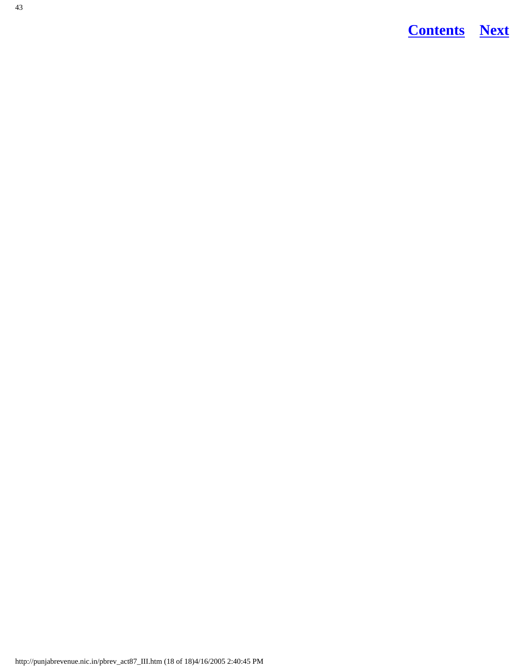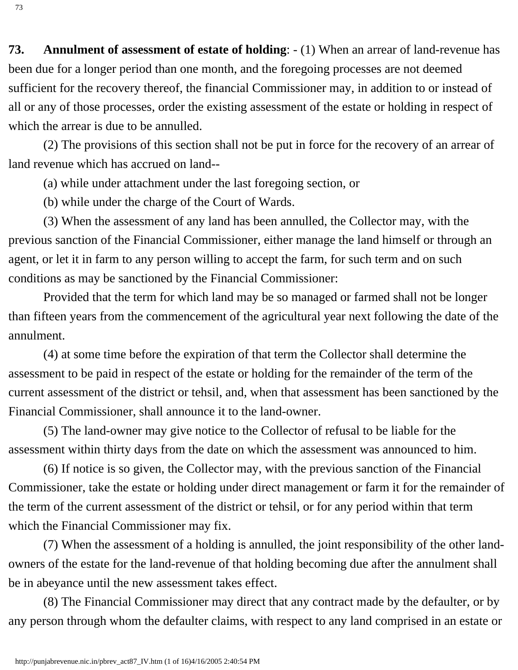<span id="page-54-0"></span>**73. Annulment of assessment of estate of holding**: - (1) When an arrear of land-revenue has been due for a longer period than one month, and the foregoing processes are not deemed sufficient for the recovery thereof, the financial Commissioner may, in addition to or instead of all or any of those processes, order the existing assessment of the estate or holding in respect of which the arrear is due to be annulled.

 (2) The provisions of this section shall not be put in force for the recovery of an arrear of land revenue which has accrued on land--

(a) while under attachment under the last foregoing section, or

(b) while under the charge of the Court of Wards.

 (3) When the assessment of any land has been annulled, the Collector may, with the previous sanction of the Financial Commissioner, either manage the land himself or through an agent, or let it in farm to any person willing to accept the farm, for such term and on such conditions as may be sanctioned by the Financial Commissioner:

 Provided that the term for which land may be so managed or farmed shall not be longer than fifteen years from the commencement of the agricultural year next following the date of the annulment.

 (4) at some time before the expiration of that term the Collector shall determine the assessment to be paid in respect of the estate or holding for the remainder of the term of the current assessment of the district or tehsil, and, when that assessment has been sanctioned by the Financial Commissioner, shall announce it to the land-owner.

 (5) The land-owner may give notice to the Collector of refusal to be liable for the assessment within thirty days from the date on which the assessment was announced to him.

 (6) If notice is so given, the Collector may, with the previous sanction of the Financial Commissioner, take the estate or holding under direct management or farm it for the remainder of the term of the current assessment of the district or tehsil, or for any period within that term which the Financial Commissioner may fix.

 (7) When the assessment of a holding is annulled, the joint responsibility of the other landowners of the estate for the land-revenue of that holding becoming due after the annulment shall be in abeyance until the new assessment takes effect.

 (8) The Financial Commissioner may direct that any contract made by the defaulter, or by any person through whom the defaulter claims, with respect to any land comprised in an estate or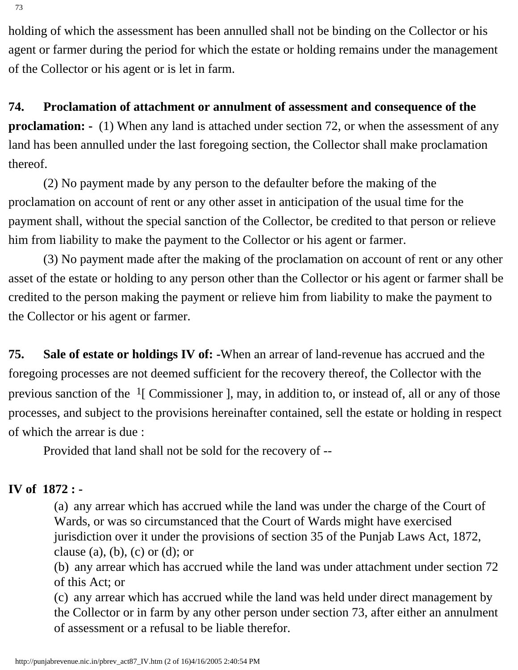holding of which the assessment has been annulled shall not be binding on the Collector or his agent or farmer during the period for which the estate or holding remains under the management of the Collector or his agent or is let in farm.

**74. Proclamation of attachment or annulment of assessment and consequence of the proclamation:** - (1) When any land is attached under section 72, or when the assessment of any land has been annulled under the last foregoing section, the Collector shall make proclamation thereof.

 (2) No payment made by any person to the defaulter before the making of the proclamation on account of rent or any other asset in anticipation of the usual time for the payment shall, without the special sanction of the Collector, be credited to that person or relieve him from liability to make the payment to the Collector or his agent or farmer.

 (3) No payment made after the making of the proclamation on account of rent or any other asset of the estate or holding to any person other than the Collector or his agent or farmer shall be credited to the person making the payment or relieve him from liability to make the payment to the Collector or his agent or farmer.

**75. Sale of estate or holdings IV of: -**When an arrear of land-revenue has accrued and the foregoing processes are not deemed sufficient for the recovery thereof, the Collector with the previous sanction of the  $1$ [ Commissioner ], may, in addition to, or instead of, all or any of those processes, and subject to the provisions hereinafter contained, sell the estate or holding in respect of which the arrear is due :

Provided that land shall not be sold for the recovery of --

### **IV of 1872 : -**

(a) any arrear which has accrued while the land was under the charge of the Court of Wards, or was so circumstanced that the Court of Wards might have exercised jurisdiction over it under the provisions of section 35 of the Punjab Laws Act, 1872, clause (a), (b), (c) or (d); or

(b) any arrear which has accrued while the land was under attachment under section 72 of this Act; or

(c) any arrear which has accrued while the land was held under direct management by the Collector or in farm by any other person under section 73, after either an annulment of assessment or a refusal to be liable therefor.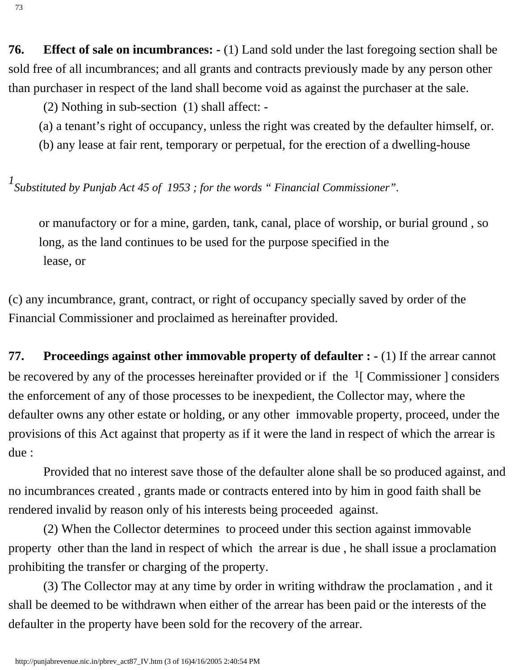**76. Effect of sale on incumbrances: -** (1) Land sold under the last foregoing section shall be sold free of all incumbrances; and all grants and contracts previously made by any person other than purchaser in respect of the land shall become void as against the purchaser at the sale.

(2) Nothing in sub-section (1) shall affect: -

(a) a tenant's right of occupancy, unless the right was created by the defaulter himself, or.

(b) any lease at fair rent, temporary or perpetual, for the erection of a dwelling-house

*1 Substituted by Punjab Act 45 of 1953 ; for the words " Financial Commissioner".*

or manufactory or for a mine, garden, tank, canal, place of worship, or burial ground , so long, as the land continues to be used for the purpose specified in the lease, or

(c) any incumbrance, grant, contract, or right of occupancy specially saved by order of the Financial Commissioner and proclaimed as hereinafter provided.

**77. Proceedings against other immovable property of defaulter : -** (1) If the arrear cannot be recovered by any of the processes hereinafter provided or if the  $\frac{1}{2}$  Commissioner ] considers the enforcement of any of those processes to be inexpedient, the Collector may, where the defaulter owns any other estate or holding, or any other immovable property, proceed, under the provisions of this Act against that property as if it were the land in respect of which the arrear is due :

 Provided that no interest save those of the defaulter alone shall be so produced against, and no incumbrances created , grants made or contracts entered into by him in good faith shall be rendered invalid by reason only of his interests being proceeded against.

 (2) When the Collector determines to proceed under this section against immovable property other than the land in respect of which the arrear is due , he shall issue a proclamation prohibiting the transfer or charging of the property.

 (3) The Collector may at any time by order in writing withdraw the proclamation , and it shall be deemed to be withdrawn when either of the arrear has been paid or the interests of the defaulter in the property have been sold for the recovery of the arrear.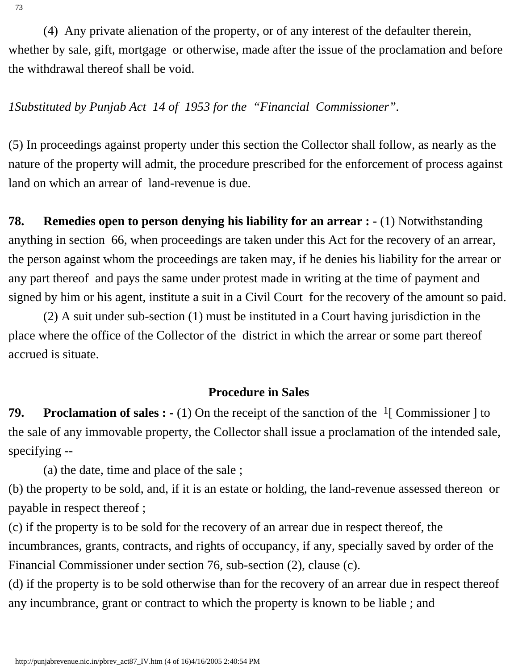(4) Any private alienation of the property, or of any interest of the defaulter therein, whether by sale, gift, mortgage or otherwise, made after the issue of the proclamation and before the withdrawal thereof shall be void.

*1Substituted by Punjab Act 14 of 1953 for the "Financial Commissioner".*

(5) In proceedings against property under this section the Collector shall follow, as nearly as the nature of the property will admit, the procedure prescribed for the enforcement of process against land on which an arrear of land-revenue is due.

**78. Remedies open to person denying his liability for an arrear : -** (1) Notwithstanding anything in section 66, when proceedings are taken under this Act for the recovery of an arrear, the person against whom the proceedings are taken may, if he denies his liability for the arrear or any part thereof and pays the same under protest made in writing at the time of payment and signed by him or his agent, institute a suit in a Civil Court for the recovery of the amount so paid.

 (2) A suit under sub-section (1) must be instituted in a Court having jurisdiction in the place where the office of the Collector of the district in which the arrear or some part thereof accrued is situate.

### **Procedure in Sales**

**79.** Proclamation of sales : - (1) On the receipt of the sanction of the <sup>1</sup>[ Commissioner ] to the sale of any immovable property, the Collector shall issue a proclamation of the intended sale, specifying --

(a) the date, time and place of the sale ;

(b) the property to be sold, and, if it is an estate or holding, the land-revenue assessed thereon or payable in respect thereof ;

(c) if the property is to be sold for the recovery of an arrear due in respect thereof, the incumbrances, grants, contracts, and rights of occupancy, if any, specially saved by order of the Financial Commissioner under section 76, sub-section (2), clause (c).

(d) if the property is to be sold otherwise than for the recovery of an arrear due in respect thereof any incumbrance, grant or contract to which the property is known to be liable ; and

73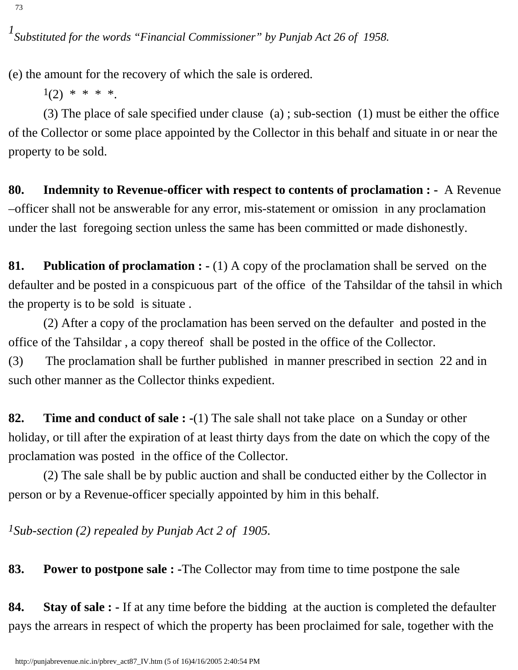(e) the amount for the recovery of which the sale is ordered.

 $1(2)$  \* \* \* \*.

 (3) The place of sale specified under clause (a) ; sub-section (1) must be either the office of the Collector or some place appointed by the Collector in this behalf and situate in or near the property to be sold.

**80. Indemnity to Revenue-officer with respect to contents of proclamation : -** A Revenue –officer shall not be answerable for any error, mis-statement or omission in any proclamation under the last foregoing section unless the same has been committed or made dishonestly.

**81. Publication of proclamation : -** (1) A copy of the proclamation shall be served on the defaulter and be posted in a conspicuous part of the office of the Tahsildar of the tahsil in which the property is to be sold is situate .

 (2) After a copy of the proclamation has been served on the defaulter and posted in the office of the Tahsildar , a copy thereof shall be posted in the office of the Collector. (3) The proclamation shall be further published in manner prescribed in section 22 and in such other manner as the Collector thinks expedient.

**82. Time and conduct of sale : -**(1) The sale shall not take place on a Sunday or other holiday, or till after the expiration of at least thirty days from the date on which the copy of the proclamation was posted in the office of the Collector.

 (2) The sale shall be by public auction and shall be conducted either by the Collector in person or by a Revenue-officer specially appointed by him in this behalf.

*1Sub-section (2) repealed by Punjab Act 2 of 1905.*

**83. Power to postpone sale : -**The Collector may from time to time postpone the sale

**84. Stay of sale : -** If at any time before the bidding at the auction is completed the defaulter pays the arrears in respect of which the property has been proclaimed for sale, together with the

73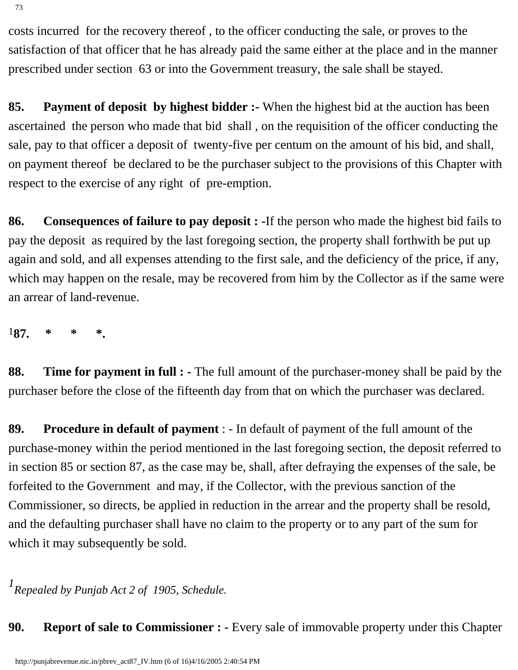costs incurred for the recovery thereof , to the officer conducting the sale, or proves to the satisfaction of that officer that he has already paid the same either at the place and in the manner prescribed under section 63 or into the Government treasury, the sale shall be stayed.

**85. Payment of deposit by highest bidder :-** When the highest bid at the auction has been ascertained the person who made that bid shall , on the requisition of the officer conducting the sale, pay to that officer a deposit of twenty-five per centum on the amount of his bid, and shall, on payment thereof be declared to be the purchaser subject to the provisions of this Chapter with respect to the exercise of any right of pre-emption.

**86. Consequences of failure to pay deposit : -**If the person who made the highest bid fails to pay the deposit as required by the last foregoing section, the property shall forthwith be put up again and sold, and all expenses attending to the first sale, and the deficiency of the price, if any, which may happen on the resale, may be recovered from him by the Collector as if the same were an arrear of land-revenue.

1**87. \* \* \*.**

**88. Time for payment in full : -** The full amount of the purchaser-money shall be paid by the purchaser before the close of the fifteenth day from that on which the purchaser was declared.

**89. Procedure in default of payment** : - In default of payment of the full amount of the purchase-money within the period mentioned in the last foregoing section, the deposit referred to in section 85 or section 87, as the case may be, shall, after defraying the expenses of the sale, be forfeited to the Government and may, if the Collector, with the previous sanction of the Commissioner, so directs, be applied in reduction in the arrear and the property shall be resold, and the defaulting purchaser shall have no claim to the property or to any part of the sum for which it may subsequently be sold.

*1 Repealed by Punjab Act 2 of 1905, Schedule.*

**90. Report of sale to Commissioner : -** Every sale of immovable property under this Chapter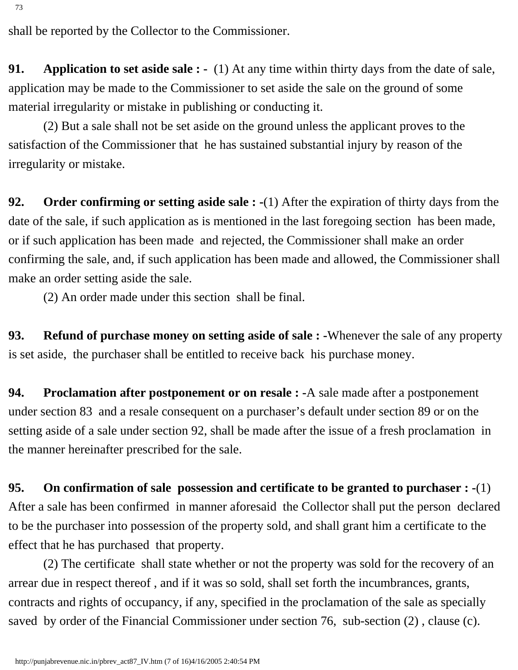shall be reported by the Collector to the Commissioner.

**91.** Application to set aside sale : - (1) At any time within thirty days from the date of sale, application may be made to the Commissioner to set aside the sale on the ground of some material irregularity or mistake in publishing or conducting it.

 (2) But a sale shall not be set aside on the ground unless the applicant proves to the satisfaction of the Commissioner that he has sustained substantial injury by reason of the irregularity or mistake.

**92. Order confirming or setting aside sale : -**(1) After the expiration of thirty days from the date of the sale, if such application as is mentioned in the last foregoing section has been made, or if such application has been made and rejected, the Commissioner shall make an order confirming the sale, and, if such application has been made and allowed, the Commissioner shall make an order setting aside the sale.

(2) An order made under this section shall be final.

**93. Refund of purchase money on setting aside of sale : -**Whenever the sale of any property is set aside, the purchaser shall be entitled to receive back his purchase money.

**94. Proclamation after postponement or on resale : -**A sale made after a postponement under section 83 and a resale consequent on a purchaser's default under section 89 or on the setting aside of a sale under section 92, shall be made after the issue of a fresh proclamation in the manner hereinafter prescribed for the sale.

**95. On confirmation of sale possession and certificate to be granted to purchaser : -**(1) After a sale has been confirmed in manner aforesaid the Collector shall put the person declared to be the purchaser into possession of the property sold, and shall grant him a certificate to the effect that he has purchased that property.

 (2) The certificate shall state whether or not the property was sold for the recovery of an arrear due in respect thereof , and if it was so sold, shall set forth the incumbrances, grants, contracts and rights of occupancy, if any, specified in the proclamation of the sale as specially saved by order of the Financial Commissioner under section 76, sub-section  $(2)$ , clause  $(c)$ .

73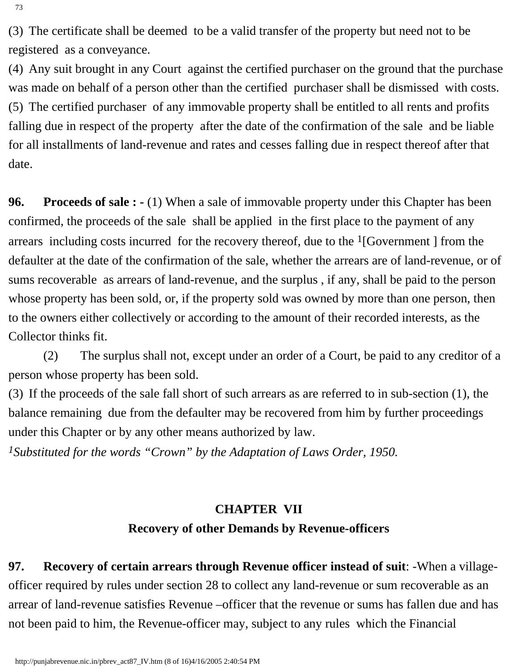(3) The certificate shall be deemed to be a valid transfer of the property but need not to be registered as a conveyance.

(4) Any suit brought in any Court against the certified purchaser on the ground that the purchase was made on behalf of a person other than the certified purchaser shall be dismissed with costs. (5) The certified purchaser of any immovable property shall be entitled to all rents and profits falling due in respect of the property after the date of the confirmation of the sale and be liable for all installments of land-revenue and rates and cesses falling due in respect thereof after that date.

**96.** Proceeds of sale : - (1) When a sale of immovable property under this Chapter has been confirmed, the proceeds of the sale shall be applied in the first place to the payment of any arrears including costs incurred for the recovery thereof, due to the  $\frac{1}{16}$  [Government ] from the defaulter at the date of the confirmation of the sale, whether the arrears are of land-revenue, or of sums recoverable as arrears of land-revenue, and the surplus , if any, shall be paid to the person whose property has been sold, or, if the property sold was owned by more than one person, then to the owners either collectively or according to the amount of their recorded interests, as the Collector thinks fit.

 (2) The surplus shall not, except under an order of a Court, be paid to any creditor of a person whose property has been sold.

(3) If the proceeds of the sale fall short of such arrears as are referred to in sub-section (1), the balance remaining due from the defaulter may be recovered from him by further proceedings under this Chapter or by any other means authorized by law.

*1Substituted for the words "Crown" by the Adaptation of Laws Order, 1950.*

# **CHAPTER VII Recovery of other Demands by Revenue-officers**

**97. Recovery of certain arrears through Revenue officer instead of suit**: -When a villageofficer required by rules under section 28 to collect any land-revenue or sum recoverable as an arrear of land-revenue satisfies Revenue –officer that the revenue or sums has fallen due and has not been paid to him, the Revenue-officer may, subject to any rules which the Financial

73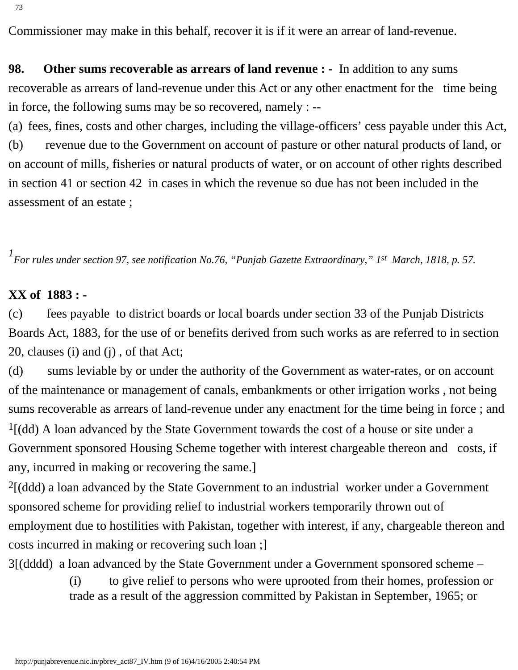73

Commissioner may make in this behalf, recover it is if it were an arrear of land-revenue.

**98. Other sums recoverable as arrears of land revenue : -** In addition to any sums recoverable as arrears of land-revenue under this Act or any other enactment for the time being in force, the following sums may be so recovered, namely : --

(a) fees, fines, costs and other charges, including the village-officers' cess payable under this Act, (b) revenue due to the Government on account of pasture or other natural products of land, or on account of mills, fisheries or natural products of water, or on account of other rights described in section 41 or section 42 in cases in which the revenue so due has not been included in the assessment of an estate ;

*1 For rules under section 97, see notification No.76, "Punjab Gazette Extraordinary," 1st March, 1818, p. 57.*

#### **XX of 1883 : -**

(c) fees payable to district boards or local boards under section 33 of the Punjab Districts Boards Act, 1883, for the use of or benefits derived from such works as are referred to in section 20, clauses (i) and (j) , of that Act;

(d) sums leviable by or under the authority of the Government as water-rates, or on account of the maintenance or management of canals, embankments or other irrigation works , not being sums recoverable as arrears of land-revenue under any enactment for the time being in force ; and  $<sup>1</sup>$ [(dd) A loan advanced by the State Government towards the cost of a house or site under a</sup> Government sponsored Housing Scheme together with interest chargeable thereon and costs, if any, incurred in making or recovering the same.]

 $<sup>2</sup>$ [(ddd) a loan advanced by the State Government to an industrial worker under a Government</sup> sponsored scheme for providing relief to industrial workers temporarily thrown out of employment due to hostilities with Pakistan, together with interest, if any, chargeable thereon and costs incurred in making or recovering such loan ;]

3[(dddd) a loan advanced by the State Government under a Government sponsored scheme –

(i) to give relief to persons who were uprooted from their homes, profession or trade as a result of the aggression committed by Pakistan in September, 1965; or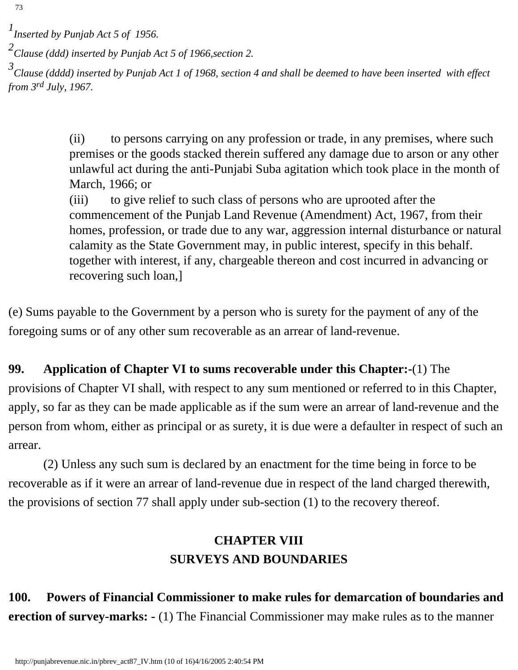*3 Clause (dddd) inserted by Punjab Act 1 of 1968, section 4 and shall be deemed to have been inserted with effect from 3rd July, 1967.*

> (ii) to persons carrying on any profession or trade, in any premises, where such premises or the goods stacked therein suffered any damage due to arson or any other unlawful act during the anti-Punjabi Suba agitation which took place in the month of March, 1966; or

> (iii) to give relief to such class of persons who are uprooted after the commencement of the Punjab Land Revenue (Amendment) Act, 1967, from their homes, profession, or trade due to any war, aggression internal disturbance or natural calamity as the State Government may, in public interest, specify in this behalf. together with interest, if any, chargeable thereon and cost incurred in advancing or recovering such loan,]

(e) Sums payable to the Government by a person who is surety for the payment of any of the foregoing sums or of any other sum recoverable as an arrear of land-revenue.

# **99. Application of Chapter VI to sums recoverable under this Chapter:-**(1) The provisions of Chapter VI shall, with respect to any sum mentioned or referred to in this Chapter, apply, so far as they can be made applicable as if the sum were an arrear of land-revenue and the person from whom, either as principal or as surety, it is due were a defaulter in respect of such an arrear.

 (2) Unless any such sum is declared by an enactment for the time being in force to be recoverable as if it were an arrear of land-revenue due in respect of the land charged therewith, the provisions of section 77 shall apply under sub-section (1) to the recovery thereof.

# **CHAPTER VIII SURVEYS AND BOUNDARIES**

**100. Powers of Financial Commissioner to make rules for demarcation of boundaries and erection of survey-marks: -** (1) The Financial Commissioner may make rules as to the manner

*<sup>1</sup> Inserted by Punjab Act 5 of 1956.*

*<sup>2</sup> Clause (ddd) inserted by Punjab Act 5 of 1966,section 2.*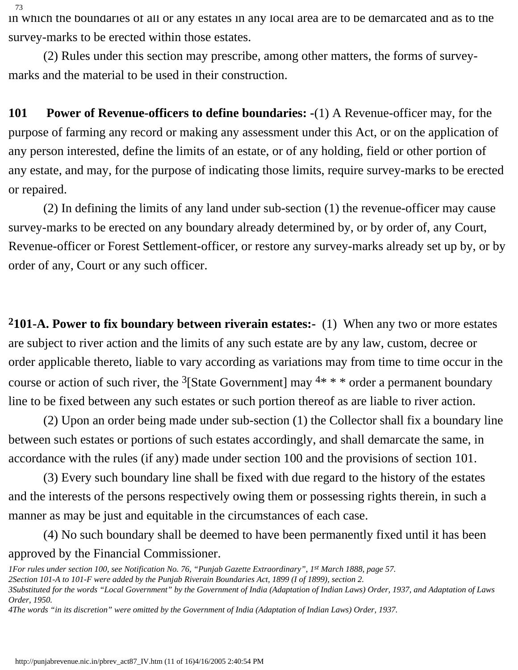in which the boundaries of all or any estates in any local area are to be demarcated and as to the survey-marks to be erected within those estates.

 (2) Rules under this section may prescribe, among other matters, the forms of surveymarks and the material to be used in their construction.

**101 Power of Revenue-officers to define boundaries: -**(1) A Revenue-officer may, for the purpose of farming any record or making any assessment under this Act, or on the application of any person interested, define the limits of an estate, or of any holding, field or other portion of any estate, and may, for the purpose of indicating those limits, require survey-marks to be erected or repaired.

 (2) In defining the limits of any land under sub-section (1) the revenue-officer may cause survey-marks to be erected on any boundary already determined by, or by order of, any Court, Revenue-officer or Forest Settlement-officer, or restore any survey-marks already set up by, or by order of any, Court or any such officer.

**2101-A. Power to fix boundary between riverain estates:-** (1) When any two or more estates are subject to river action and the limits of any such estate are by any law, custom, decree or order applicable thereto, liable to vary according as variations may from time to time occur in the course or action of such river, the <sup>3</sup>[State Government] may  $4* * *$  order a permanent boundary line to be fixed between any such estates or such portion thereof as are liable to river action.

 (2) Upon an order being made under sub-section (1) the Collector shall fix a boundary line between such estates or portions of such estates accordingly, and shall demarcate the same, in accordance with the rules (if any) made under section 100 and the provisions of section 101.

 (3) Every such boundary line shall be fixed with due regard to the history of the estates and the interests of the persons respectively owing them or possessing rights therein, in such a manner as may be just and equitable in the circumstances of each case.

 (4) No such boundary shall be deemed to have been permanently fixed until it has been approved by the Financial Commissioner.

*<sup>1</sup>For rules under section 100, see Notification No. 76, "Punjab Gazette Extraordinary", 1st March 1888, page 57.*

*<sup>2</sup>Section 101-A to 101-F were added by the Punjab Riverain Boundaries Act, 1899 (I of 1899), section 2.*

*<sup>3</sup>Substituted for the words "Local Government" by the Government of India (Adaptation of Indian Laws) Order, 1937, and Adaptation of Laws Order, 1950.*

*<sup>4</sup>The words "in its discretion" were omitted by the Government of India (Adaptation of Indian Laws) Order, 1937.*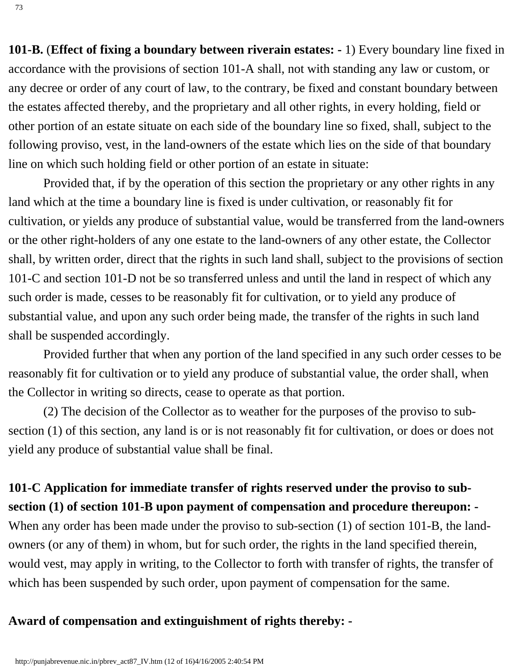**101-B.** (**Effect of fixing a boundary between riverain estates: -** 1) Every boundary line fixed in accordance with the provisions of section 101-A shall, not with standing any law or custom, or any decree or order of any court of law, to the contrary, be fixed and constant boundary between the estates affected thereby, and the proprietary and all other rights, in every holding, field or other portion of an estate situate on each side of the boundary line so fixed, shall, subject to the following proviso, vest, in the land-owners of the estate which lies on the side of that boundary line on which such holding field or other portion of an estate in situate:

 Provided that, if by the operation of this section the proprietary or any other rights in any land which at the time a boundary line is fixed is under cultivation, or reasonably fit for cultivation, or yields any produce of substantial value, would be transferred from the land-owners or the other right-holders of any one estate to the land-owners of any other estate, the Collector shall, by written order, direct that the rights in such land shall, subject to the provisions of section 101-C and section 101-D not be so transferred unless and until the land in respect of which any such order is made, cesses to be reasonably fit for cultivation, or to yield any produce of substantial value, and upon any such order being made, the transfer of the rights in such land shall be suspended accordingly.

 Provided further that when any portion of the land specified in any such order cesses to be reasonably fit for cultivation or to yield any produce of substantial value, the order shall, when the Collector in writing so directs, cease to operate as that portion.

 (2) The decision of the Collector as to weather for the purposes of the proviso to subsection (1) of this section, any land is or is not reasonably fit for cultivation, or does or does not yield any produce of substantial value shall be final.

**101-C Application for immediate transfer of rights reserved under the proviso to subsection (1) of section 101-B upon payment of compensation and procedure thereupon: -** When any order has been made under the proviso to sub-section (1) of section 101-B, the landowners (or any of them) in whom, but for such order, the rights in the land specified therein, would vest, may apply in writing, to the Collector to forth with transfer of rights, the transfer of which has been suspended by such order, upon payment of compensation for the same.

#### **Award of compensation and extinguishment of rights thereby: -**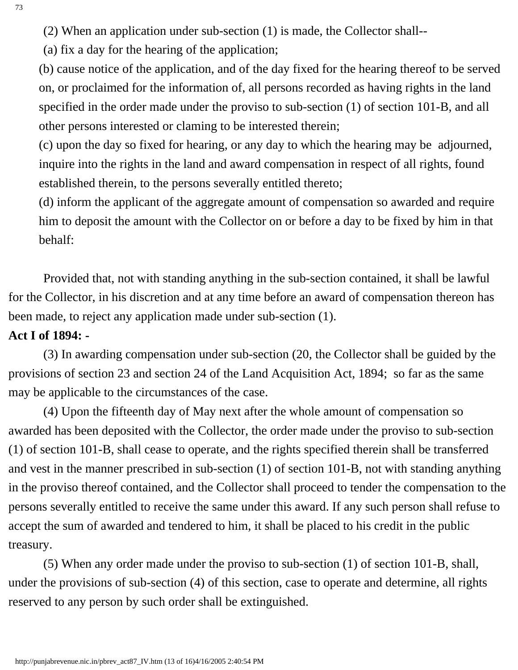(a) fix a day for the hearing of the application;

(b) cause notice of the application, and of the day fixed for the hearing thereof to be served on, or proclaimed for the information of, all persons recorded as having rights in the land specified in the order made under the proviso to sub-section (1) of section 101-B, and all other persons interested or claming to be interested therein;

(c) upon the day so fixed for hearing, or any day to which the hearing may be adjourned, inquire into the rights in the land and award compensation in respect of all rights, found established therein, to the persons severally entitled thereto;

(d) inform the applicant of the aggregate amount of compensation so awarded and require him to deposit the amount with the Collector on or before a day to be fixed by him in that behalf:

 Provided that, not with standing anything in the sub-section contained, it shall be lawful for the Collector, in his discretion and at any time before an award of compensation thereon has been made, to reject any application made under sub-section (1).

### **Act I of 1894: -**

 (3) In awarding compensation under sub-section (20, the Collector shall be guided by the provisions of section 23 and section 24 of the Land Acquisition Act, 1894; so far as the same may be applicable to the circumstances of the case.

 (4) Upon the fifteenth day of May next after the whole amount of compensation so awarded has been deposited with the Collector, the order made under the proviso to sub-section (1) of section 101-B, shall cease to operate, and the rights specified therein shall be transferred and vest in the manner prescribed in sub-section (1) of section 101-B, not with standing anything in the proviso thereof contained, and the Collector shall proceed to tender the compensation to the persons severally entitled to receive the same under this award. If any such person shall refuse to accept the sum of awarded and tendered to him, it shall be placed to his credit in the public treasury.

 (5) When any order made under the proviso to sub-section (1) of section 101-B, shall, under the provisions of sub-section (4) of this section, case to operate and determine, all rights reserved to any person by such order shall be extinguished.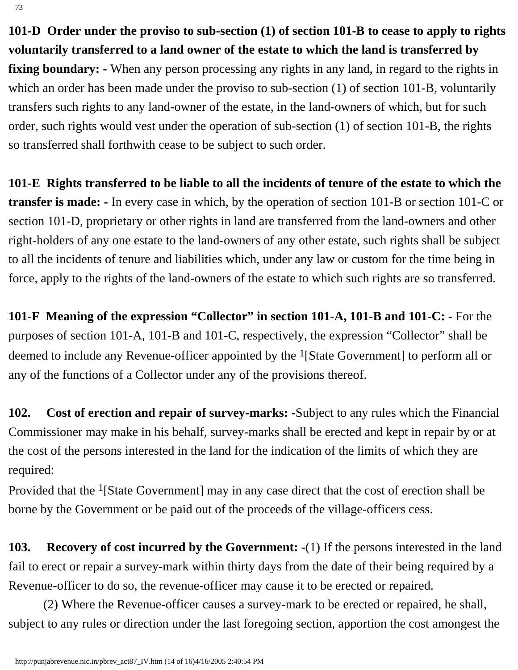**101-D Order under the proviso to sub-section (1) of section 101-B to cease to apply to rights voluntarily transferred to a land owner of the estate to which the land is transferred by fixing boundary:** - When any person processing any rights in any land, in regard to the rights in which an order has been made under the proviso to sub-section (1) of section 101-B, voluntarily transfers such rights to any land-owner of the estate, in the land-owners of which, but for such

order, such rights would vest under the operation of sub-section (1) of section 101-B, the rights so transferred shall forthwith cease to be subject to such order.

**101-E Rights transferred to be liable to all the incidents of tenure of the estate to which the transfer is made: -** In every case in which, by the operation of section 101-B or section 101-C or section 101-D, proprietary or other rights in land are transferred from the land-owners and other right-holders of any one estate to the land-owners of any other estate, such rights shall be subject to all the incidents of tenure and liabilities which, under any law or custom for the time being in force, apply to the rights of the land-owners of the estate to which such rights are so transferred.

**101-F Meaning of the expression "Collector" in section 101-A, 101-B and 101-C: -** For the purposes of section 101-A, 101-B and 101-C, respectively, the expression "Collector" shall be deemed to include any Revenue-officer appointed by the 1[State Government] to perform all or any of the functions of a Collector under any of the provisions thereof.

**102. Cost of erection and repair of survey-marks: -**Subject to any rules which the Financial Commissioner may make in his behalf, survey-marks shall be erected and kept in repair by or at the cost of the persons interested in the land for the indication of the limits of which they are required:

Provided that the 1[State Government] may in any case direct that the cost of erection shall be borne by the Government or be paid out of the proceeds of the village-officers cess.

**103. Recovery of cost incurred by the Government: -**(1) If the persons interested in the land fail to erect or repair a survey-mark within thirty days from the date of their being required by a Revenue-officer to do so, the revenue-officer may cause it to be erected or repaired.

 (2) Where the Revenue-officer causes a survey-mark to be erected or repaired, he shall, subject to any rules or direction under the last foregoing section, apportion the cost amongest the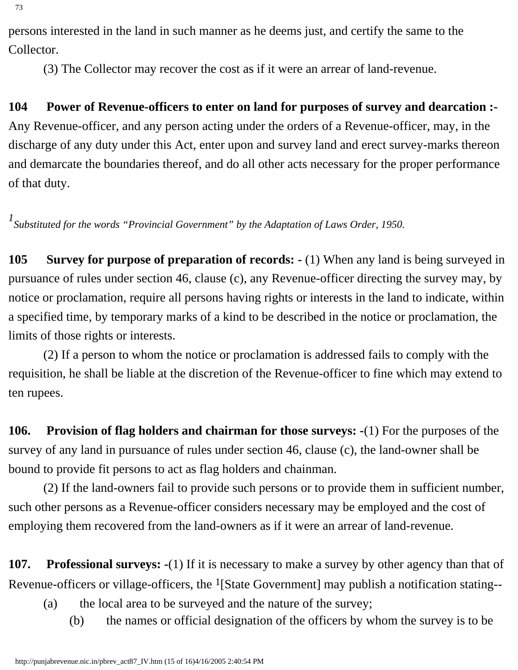persons interested in the land in such manner as he deems just, and certify the same to the Collector.

(3) The Collector may recover the cost as if it were an arrear of land-revenue.

## **104 Power of Revenue-officers to enter on land for purposes of survey and dearcation :-**

Any Revenue-officer, and any person acting under the orders of a Revenue-officer, may, in the discharge of any duty under this Act, enter upon and survey land and erect survey-marks thereon and demarcate the boundaries thereof, and do all other acts necessary for the proper performance of that duty.

*1 Substituted for the words "Provincial Government" by the Adaptation of Laws Order, 1950.*

**105** Survey for purpose of preparation of records:  $\cdot$  (1) When any land is being surveyed in pursuance of rules under section 46, clause (c), any Revenue-officer directing the survey may, by notice or proclamation, require all persons having rights or interests in the land to indicate, within a specified time, by temporary marks of a kind to be described in the notice or proclamation, the limits of those rights or interests.

 (2) If a person to whom the notice or proclamation is addressed fails to comply with the requisition, he shall be liable at the discretion of the Revenue-officer to fine which may extend to ten rupees.

**106. Provision of flag holders and chairman for those surveys: -**(1) For the purposes of the survey of any land in pursuance of rules under section 46, clause (c), the land-owner shall be bound to provide fit persons to act as flag holders and chainman.

 (2) If the land-owners fail to provide such persons or to provide them in sufficient number, such other persons as a Revenue-officer considers necessary may be employed and the cost of employing them recovered from the land-owners as if it were an arrear of land-revenue.

**107. Professional surveys: -**(1) If it is necessary to make a survey by other agency than that of Revenue-officers or village-officers, the <sup>1</sup>[State Government] may publish a notification stating--

- (a) the local area to be surveyed and the nature of the survey;
	- (b) the names or official designation of the officers by whom the survey is to be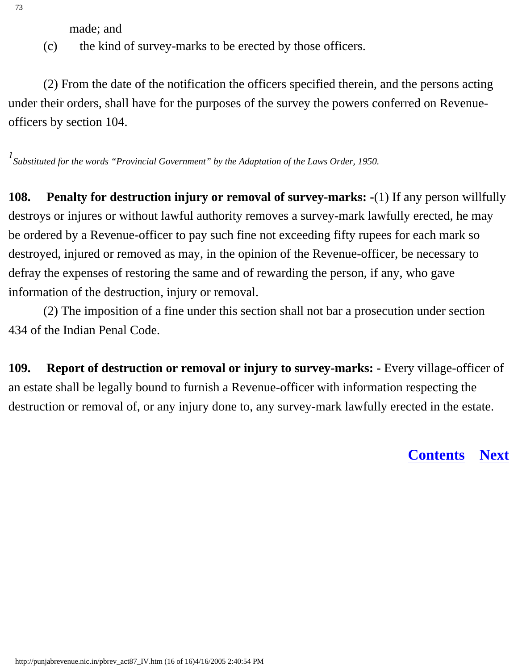made; and

(c) the kind of survey-marks to be erected by those officers.

 (2) From the date of the notification the officers specified therein, and the persons acting under their orders, shall have for the purposes of the survey the powers conferred on Revenueofficers by section 104.

*1 Substituted for the words "Provincial Government" by the Adaptation of the Laws Order, 1950.*

**108.** Penalty for destruction injury or removal of survey-marks: -(1) If any person willfully destroys or injures or without lawful authority removes a survey-mark lawfully erected, he may be ordered by a Revenue-officer to pay such fine not exceeding fifty rupees for each mark so destroyed, injured or removed as may, in the opinion of the Revenue-officer, be necessary to defray the expenses of restoring the same and of rewarding the person, if any, who gave information of the destruction, injury or removal.

 (2) The imposition of a fine under this section shall not bar a prosecution under section 434 of the Indian Penal Code.

**109. Report of destruction or removal or injury to survey-marks: -** Every village-officer of an estate shall be legally bound to furnish a Revenue-officer with information respecting the destruction or removal of, or any injury done to, any survey-mark lawfully erected in the estate.

**[Contents](#page-0-0) [Next](#page-70-0)**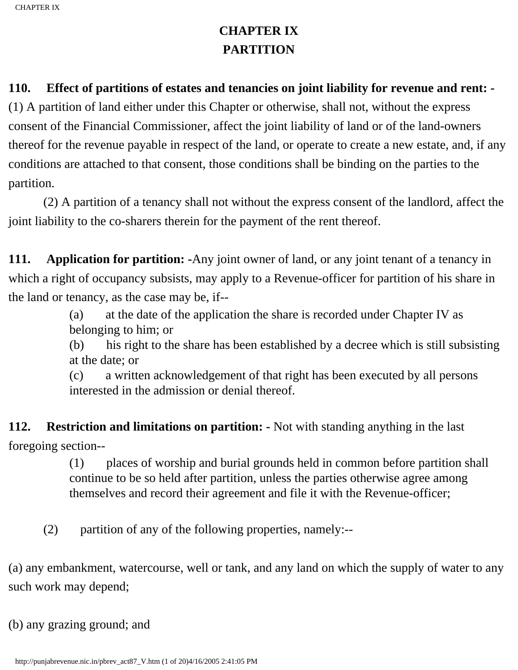# **CHAPTER IX PARTITION**

### <span id="page-70-0"></span>**110. Effect of partitions of estates and tenancies on joint liability for revenue and rent: -**

(1) A partition of land either under this Chapter or otherwise, shall not, without the express consent of the Financial Commissioner, affect the joint liability of land or of the land-owners thereof for the revenue payable in respect of the land, or operate to create a new estate, and, if any conditions are attached to that consent, those conditions shall be binding on the parties to the partition.

 (2) A partition of a tenancy shall not without the express consent of the landlord, affect the joint liability to the co-sharers therein for the payment of the rent thereof.

**111.** Application for partition: -Any joint owner of land, or any joint tenant of a tenancy in which a right of occupancy subsists, may apply to a Revenue-officer for partition of his share in the land or tenancy, as the case may be, if--

> (a) at the date of the application the share is recorded under Chapter IV as belonging to him; or

(b) his right to the share has been established by a decree which is still subsisting at the date; or

(c) a written acknowledgement of that right has been executed by all persons interested in the admission or denial thereof.

### **112. Restriction and limitations on partition: -** Not with standing anything in the last

foregoing section--

(1) places of worship and burial grounds held in common before partition shall continue to be so held after partition, unless the parties otherwise agree among themselves and record their agreement and file it with the Revenue-officer;

(2) partition of any of the following properties, namely:--

(a) any embankment, watercourse, well or tank, and any land on which the supply of water to any such work may depend;

(b) any grazing ground; and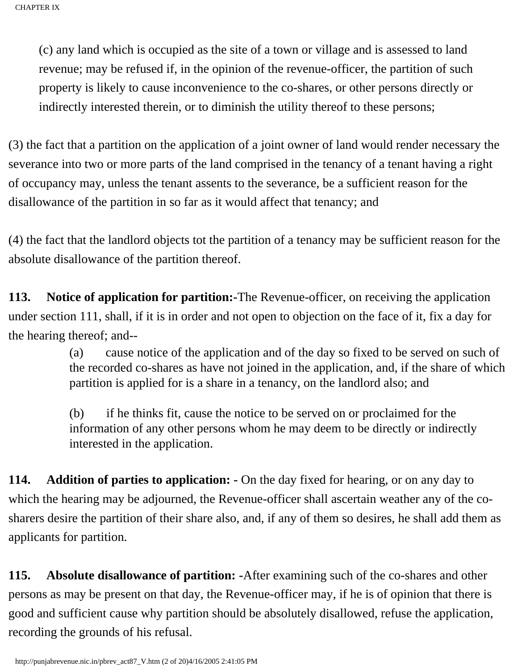(c) any land which is occupied as the site of a town or village and is assessed to land revenue; may be refused if, in the opinion of the revenue-officer, the partition of such property is likely to cause inconvenience to the co-shares, or other persons directly or indirectly interested therein, or to diminish the utility thereof to these persons;

(3) the fact that a partition on the application of a joint owner of land would render necessary the severance into two or more parts of the land comprised in the tenancy of a tenant having a right of occupancy may, unless the tenant assents to the severance, be a sufficient reason for the disallowance of the partition in so far as it would affect that tenancy; and

(4) the fact that the landlord objects tot the partition of a tenancy may be sufficient reason for the absolute disallowance of the partition thereof.

**113. Notice of application for partition:-**The Revenue-officer, on receiving the application under section 111, shall, if it is in order and not open to objection on the face of it, fix a day for the hearing thereof; and--

> (a) cause notice of the application and of the day so fixed to be served on such of the recorded co-shares as have not joined in the application, and, if the share of which partition is applied for is a share in a tenancy, on the landlord also; and

(b) if he thinks fit, cause the notice to be served on or proclaimed for the information of any other persons whom he may deem to be directly or indirectly interested in the application.

**114.** Addition of parties to application: - On the day fixed for hearing, or on any day to which the hearing may be adjourned, the Revenue-officer shall ascertain weather any of the cosharers desire the partition of their share also, and, if any of them so desires, he shall add them as applicants for partition.

**115. Absolute disallowance of partition: -**After examining such of the co-shares and other persons as may be present on that day, the Revenue-officer may, if he is of opinion that there is good and sufficient cause why partition should be absolutely disallowed, refuse the application, recording the grounds of his refusal.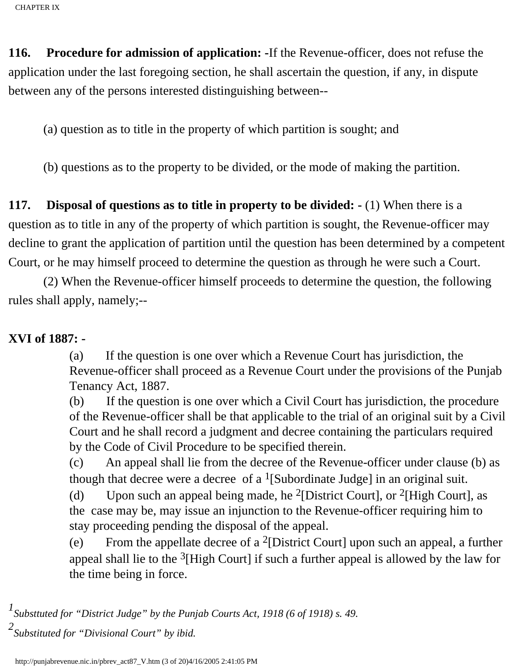**116. Procedure for admission of application: -**If the Revenue-officer, does not refuse the application under the last foregoing section, he shall ascertain the question, if any, in dispute between any of the persons interested distinguishing between--

(a) question as to title in the property of which partition is sought; and

(b) questions as to the property to be divided, or the mode of making the partition.

**117. Disposal of questions as to title in property to be divided: -** (1) When there is a question as to title in any of the property of which partition is sought, the Revenue-officer may decline to grant the application of partition until the question has been determined by a competent Court, or he may himself proceed to determine the question as through he were such a Court.

 (2) When the Revenue-officer himself proceeds to determine the question, the following rules shall apply, namely;--

## **XVI of 1887: -**

(a) If the question is one over which a Revenue Court has jurisdiction, the Revenue-officer shall proceed as a Revenue Court under the provisions of the Punjab Tenancy Act, 1887.

(b) If the question is one over which a Civil Court has jurisdiction, the procedure of the Revenue-officer shall be that applicable to the trial of an original suit by a Civil Court and he shall record a judgment and decree containing the particulars required by the Code of Civil Procedure to be specified therein.

(c) An appeal shall lie from the decree of the Revenue-officer under clause (b) as though that decree were a decree of a  $\frac{1}{S}$  [Subordinate Judge] in an original suit.

(d) Upon such an appeal being made, he <sup>2</sup>[District Court], or <sup>2</sup>[High Court], as the case may be, may issue an injunction to the Revenue-officer requiring him to stay proceeding pending the disposal of the appeal.

(e) From the appellate decree of a 2[District Court] upon such an appeal, a further appeal shall lie to the  $3$ [High Court] if such a further appeal is allowed by the law for the time being in force.

*1 Substtuted for "District Judge" by the Punjab Courts Act, 1918 (6 of 1918) s. 49. 2 Substituted for "Divisional Court" by ibid.*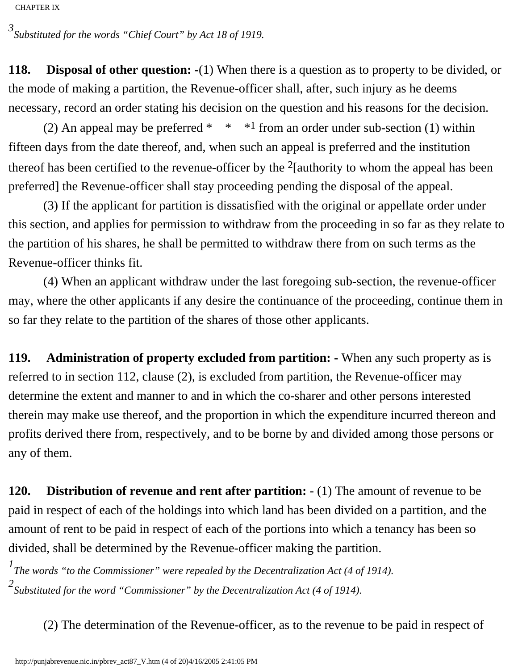*3 Substituted for the words "Chief Court" by Act 18 of 1919.*

**118. Disposal of other question: -**(1) When there is a question as to property to be divided, or the mode of making a partition, the Revenue-officer shall, after, such injury as he deems necessary, record an order stating his decision on the question and his reasons for the decision.

(2) An appeal may be preferred \*  $*$  \*  $*1$  from an order under sub-section (1) within fifteen days from the date thereof, and, when such an appeal is preferred and the institution thereof has been certified to the revenue-officer by the  $2$ [authority to whom the appeal has been preferred] the Revenue-officer shall stay proceeding pending the disposal of the appeal.

 (3) If the applicant for partition is dissatisfied with the original or appellate order under this section, and applies for permission to withdraw from the proceeding in so far as they relate to the partition of his shares, he shall be permitted to withdraw there from on such terms as the Revenue-officer thinks fit.

 (4) When an applicant withdraw under the last foregoing sub-section, the revenue-officer may, where the other applicants if any desire the continuance of the proceeding, continue them in so far they relate to the partition of the shares of those other applicants.

**119. Administration of property excluded from partition: -** When any such property as is referred to in section 112, clause (2), is excluded from partition, the Revenue-officer may determine the extent and manner to and in which the co-sharer and other persons interested therein may make use thereof, and the proportion in which the expenditure incurred thereon and profits derived there from, respectively, and to be borne by and divided among those persons or any of them.

**120. Distribution of revenue and rent after partition:** - (1) The amount of revenue to be paid in respect of each of the holdings into which land has been divided on a partition, and the amount of rent to be paid in respect of each of the portions into which a tenancy has been so divided, shall be determined by the Revenue-officer making the partition.

*1 The words "to the Commissioner" were repealed by the Decentralization Act (4 of 1914). 2 Substituted for the word "Commissioner" by the Decentralization Act (4 of 1914).*

(2) The determination of the Revenue-officer, as to the revenue to be paid in respect of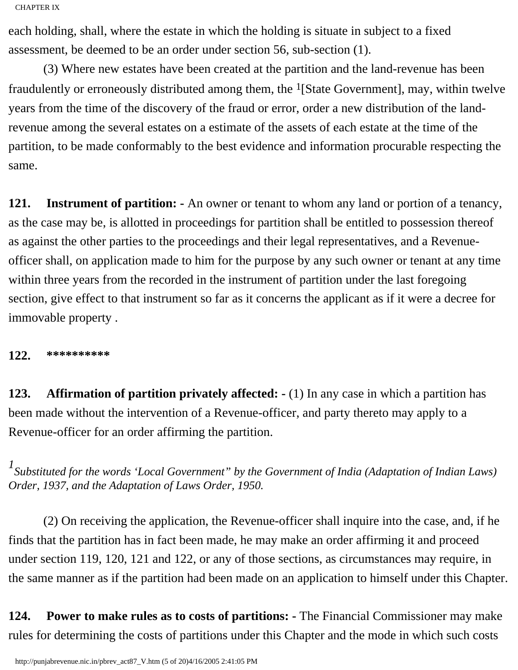each holding, shall, where the estate in which the holding is situate in subject to a fixed assessment, be deemed to be an order under section 56, sub-section (1).

 (3) Where new estates have been created at the partition and the land-revenue has been fraudulently or erroneously distributed among them, the  $<sup>1</sup>[State Government]$ , may, within twelve</sup> years from the time of the discovery of the fraud or error, order a new distribution of the landrevenue among the several estates on a estimate of the assets of each estate at the time of the partition, to be made conformably to the best evidence and information procurable respecting the same.

**121. Instrument of partition: -** An owner or tenant to whom any land or portion of a tenancy, as the case may be, is allotted in proceedings for partition shall be entitled to possession thereof as against the other parties to the proceedings and their legal representatives, and a Revenueofficer shall, on application made to him for the purpose by any such owner or tenant at any time within three years from the recorded in the instrument of partition under the last foregoing section, give effect to that instrument so far as it concerns the applicant as if it were a decree for immovable property .

**122. \*\*\*\*\*\*\*\*\*\***

**123. Affirmation of partition privately affected: -** (1) In any case in which a partition has been made without the intervention of a Revenue-officer, and party thereto may apply to a Revenue-officer for an order affirming the partition.

*1 Substituted for the words 'Local Government" by the Government of India (Adaptation of Indian Laws) Order, 1937, and the Adaptation of Laws Order, 1950.*

 (2) On receiving the application, the Revenue-officer shall inquire into the case, and, if he finds that the partition has in fact been made, he may make an order affirming it and proceed under section 119, 120, 121 and 122, or any of those sections, as circumstances may require, in the same manner as if the partition had been made on an application to himself under this Chapter.

**124. Power to make rules as to costs of partitions: -** The Financial Commissioner may make rules for determining the costs of partitions under this Chapter and the mode in which such costs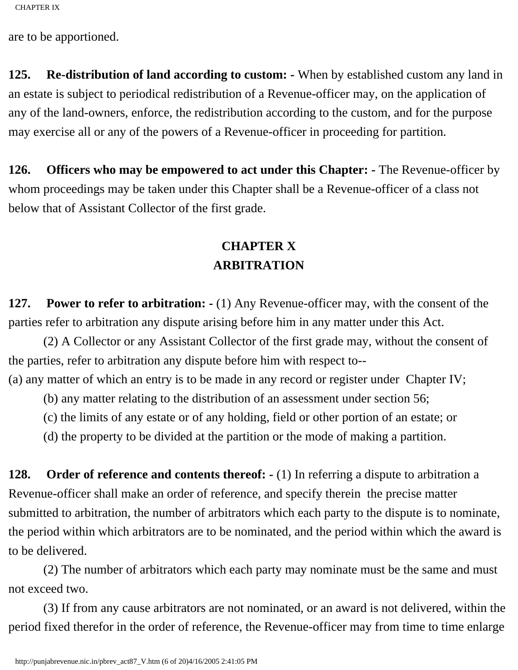are to be apportioned.

**125. Re-distribution of land according to custom: -** When by established custom any land in an estate is subject to periodical redistribution of a Revenue-officer may, on the application of any of the land-owners, enforce, the redistribution according to the custom, and for the purpose may exercise all or any of the powers of a Revenue-officer in proceeding for partition.

**126. Officers who may be empowered to act under this Chapter: -** The Revenue-officer by whom proceedings may be taken under this Chapter shall be a Revenue-officer of a class not below that of Assistant Collector of the first grade.

## **CHAPTER X ARBITRATION**

**127. Power to refer to arbitration: -** (1) Any Revenue-officer may, with the consent of the parties refer to arbitration any dispute arising before him in any matter under this Act.

 (2) A Collector or any Assistant Collector of the first grade may, without the consent of the parties, refer to arbitration any dispute before him with respect to--

(a) any matter of which an entry is to be made in any record or register under Chapter IV;

(b) any matter relating to the distribution of an assessment under section 56;

(c) the limits of any estate or of any holding, field or other portion of an estate; or

(d) the property to be divided at the partition or the mode of making a partition.

**128.** Order of reference and contents thereof:  $\cdot$  (1) In referring a dispute to arbitration a Revenue-officer shall make an order of reference, and specify therein the precise matter submitted to arbitration, the number of arbitrators which each party to the dispute is to nominate, the period within which arbitrators are to be nominated, and the period within which the award is to be delivered.

 (2) The number of arbitrators which each party may nominate must be the same and must not exceed two.

 (3) If from any cause arbitrators are not nominated, or an award is not delivered, within the period fixed therefor in the order of reference, the Revenue-officer may from time to time enlarge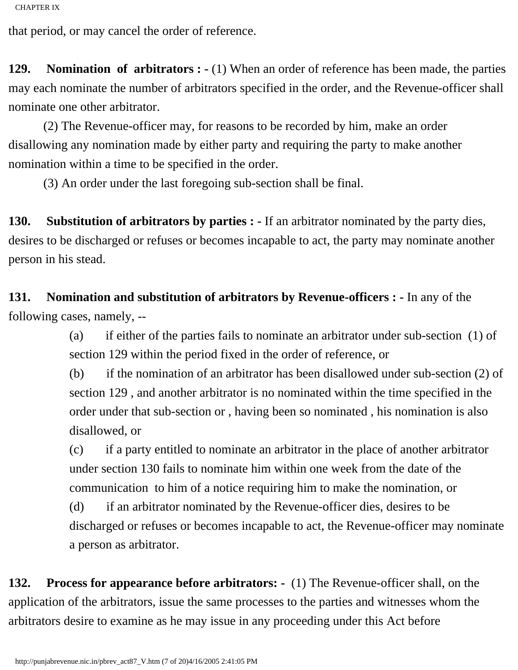that period, or may cancel the order of reference.

**129. Nomination of arbitrators : -** (1) When an order of reference has been made, the parties may each nominate the number of arbitrators specified in the order, and the Revenue-officer shall nominate one other arbitrator.

 (2) The Revenue-officer may, for reasons to be recorded by him, make an order disallowing any nomination made by either party and requiring the party to make another nomination within a time to be specified in the order.

(3) An order under the last foregoing sub-section shall be final.

**130. Substitution of arbitrators by parties : -** If an arbitrator nominated by the party dies, desires to be discharged or refuses or becomes incapable to act, the party may nominate another person in his stead.

**131. Nomination and substitution of arbitrators by Revenue-officers : -** In any of the following cases, namely, --

> (a) if either of the parties fails to nominate an arbitrator under sub-section (1) of section 129 within the period fixed in the order of reference, or

(b) if the nomination of an arbitrator has been disallowed under sub-section (2) of section 129 , and another arbitrator is no nominated within the time specified in the order under that sub-section or , having been so nominated , his nomination is also disallowed, or

(c) if a party entitled to nominate an arbitrator in the place of another arbitrator under section 130 fails to nominate him within one week from the date of the communication to him of a notice requiring him to make the nomination, or

(d) if an arbitrator nominated by the Revenue-officer dies, desires to be discharged or refuses or becomes incapable to act, the Revenue-officer may nominate a person as arbitrator.

**132. Process for appearance before arbitrators: -** (1) The Revenue-officer shall, on the application of the arbitrators, issue the same processes to the parties and witnesses whom the arbitrators desire to examine as he may issue in any proceeding under this Act before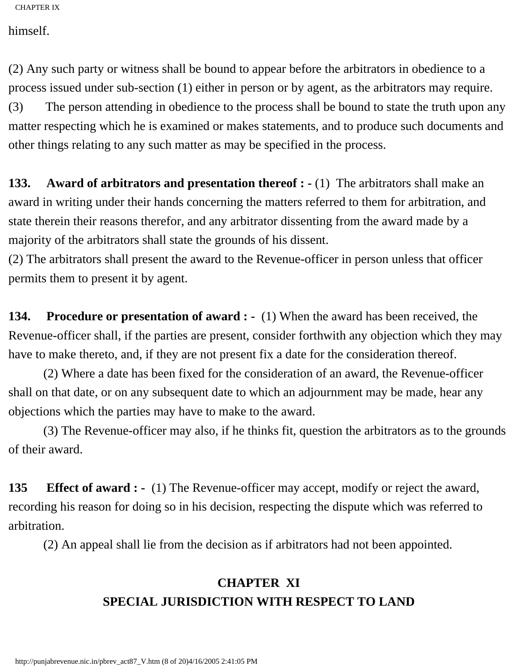himself.

(2) Any such party or witness shall be bound to appear before the arbitrators in obedience to a process issued under sub-section (1) either in person or by agent, as the arbitrators may require.

(3) The person attending in obedience to the process shall be bound to state the truth upon any matter respecting which he is examined or makes statements, and to produce such documents and other things relating to any such matter as may be specified in the process.

**133. Award of arbitrators and presentation thereof : -** (1) The arbitrators shall make an award in writing under their hands concerning the matters referred to them for arbitration, and state therein their reasons therefor, and any arbitrator dissenting from the award made by a majority of the arbitrators shall state the grounds of his dissent.

(2) The arbitrators shall present the award to the Revenue-officer in person unless that officer permits them to present it by agent.

**134.** Procedure or presentation of award : - (1) When the award has been received, the Revenue-officer shall, if the parties are present, consider forthwith any objection which they may have to make thereto, and, if they are not present fix a date for the consideration thereof.

 (2) Where a date has been fixed for the consideration of an award, the Revenue-officer shall on that date, or on any subsequent date to which an adjournment may be made, hear any objections which the parties may have to make to the award.

 (3) The Revenue-officer may also, if he thinks fit, question the arbitrators as to the grounds of their award.

**135 Effect of award : -** (1) The Revenue-officer may accept, modify or reject the award, recording his reason for doing so in his decision, respecting the dispute which was referred to arbitration.

(2) An appeal shall lie from the decision as if arbitrators had not been appointed.

## **CHAPTER XI SPECIAL JURISDICTION WITH RESPECT TO LAND**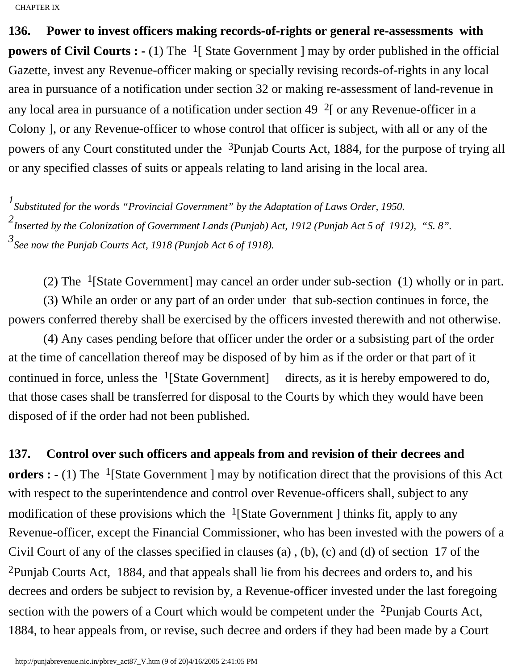**136. Power to invest officers making records-of-rights or general re-assessments with powers of Civil Courts : -** (1) The <sup>1</sup>[ State Government ] may by order published in the official Gazette, invest any Revenue-officer making or specially revising records-of-rights in any local area in pursuance of a notification under section 32 or making re-assessment of land-revenue in any local area in pursuance of a notification under section 49  $2\degree$  or any Revenue-officer in a Colony ], or any Revenue-officer to whose control that officer is subject, with all or any of the powers of any Court constituted under the 3Punjab Courts Act, 1884, for the purpose of trying all or any specified classes of suits or appeals relating to land arising in the local area.

*1 Substituted for the words "Provincial Government" by the Adaptation of Laws Order, 1950. 2 Inserted by the Colonization of Government Lands (Punjab) Act, 1912 (Punjab Act 5 of 1912), "S. 8". 3 See now the Punjab Courts Act, 1918 (Punjab Act 6 of 1918).*

(2) The 1[State Government] may cancel an order under sub-section (1) wholly or in part.

 (3) While an order or any part of an order under that sub-section continues in force, the powers conferred thereby shall be exercised by the officers invested therewith and not otherwise.

 (4) Any cases pending before that officer under the order or a subsisting part of the order at the time of cancellation thereof may be disposed of by him as if the order or that part of it continued in force, unless the  $\frac{1}{3}$ [State Government] directs, as it is hereby empowered to do, that those cases shall be transferred for disposal to the Courts by which they would have been disposed of if the order had not been published.

**137. Control over such officers and appeals from and revision of their decrees and** 

**orders :** - (1) The <sup>1</sup>[State Government ] may by notification direct that the provisions of this Act with respect to the superintendence and control over Revenue-officers shall, subject to any modification of these provisions which the  $\frac{1}{3}$ [State Government ] thinks fit, apply to any Revenue-officer, except the Financial Commissioner, who has been invested with the powers of a Civil Court of any of the classes specified in clauses (a) , (b), (c) and (d) of section 17 of the 2Punjab Courts Act, 1884, and that appeals shall lie from his decrees and orders to, and his decrees and orders be subject to revision by, a Revenue-officer invested under the last foregoing section with the powers of a Court which would be competent under the <sup>2</sup>Punjab Courts Act, 1884, to hear appeals from, or revise, such decree and orders if they had been made by a Court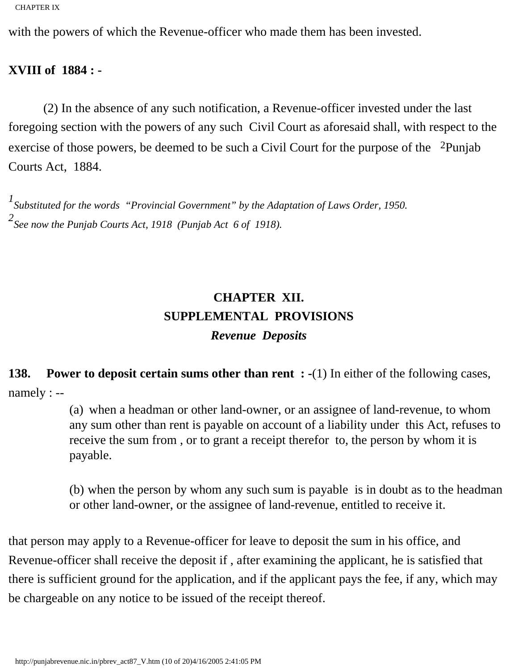with the powers of which the Revenue-officer who made them has been invested.

#### **XVIII of 1884 : -**

 (2) In the absence of any such notification, a Revenue-officer invested under the last foregoing section with the powers of any such Civil Court as aforesaid shall, with respect to the exercise of those powers, be deemed to be such a Civil Court for the purpose of the <sup>2</sup>Punjab Courts Act, 1884.

*1 Substituted for the words "Provincial Government" by the Adaptation of Laws Order, 1950. 2 See now the Punjab Courts Act, 1918 (Punjab Act 6 of 1918).*

# **CHAPTER XII. SUPPLEMENTAL PROVISIONS** *Revenue Deposits*

**138.** Power to deposit certain sums other than rent : -(1) In either of the following cases, namely : --

> (a) when a headman or other land-owner, or an assignee of land-revenue, to whom any sum other than rent is payable on account of a liability under this Act, refuses to receive the sum from , or to grant a receipt therefor to, the person by whom it is payable.

> (b) when the person by whom any such sum is payable is in doubt as to the headman or other land-owner, or the assignee of land-revenue, entitled to receive it.

that person may apply to a Revenue-officer for leave to deposit the sum in his office, and Revenue-officer shall receive the deposit if , after examining the applicant, he is satisfied that there is sufficient ground for the application, and if the applicant pays the fee, if any, which may be chargeable on any notice to be issued of the receipt thereof.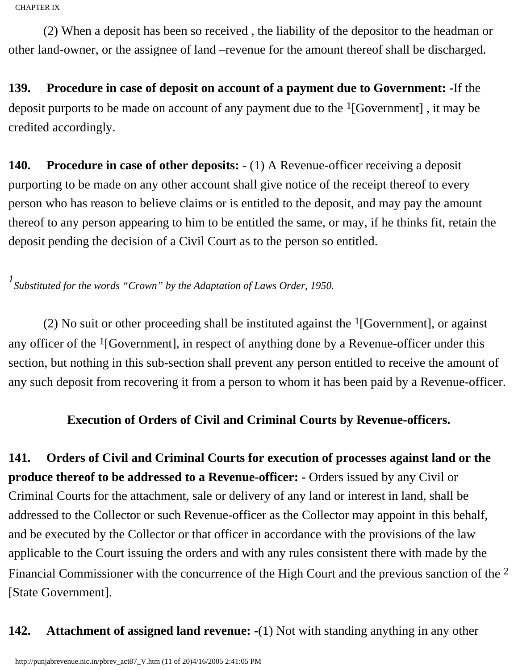(2) When a deposit has been so received , the liability of the depositor to the headman or other land-owner, or the assignee of land –revenue for the amount thereof shall be discharged.

**139. Procedure in case of deposit on account of a payment due to Government: -**If the deposit purports to be made on account of any payment due to the  $\frac{1}{16}$  Government], it may be credited accordingly.

**140. Procedure in case of other deposits:**  $\cdot$  (1) A Revenue-officer receiving a deposit purporting to be made on any other account shall give notice of the receipt thereof to every person who has reason to believe claims or is entitled to the deposit, and may pay the amount thereof to any person appearing to him to be entitled the same, or may, if he thinks fit, retain the deposit pending the decision of a Civil Court as to the person so entitled.

*1 Substituted for the words "Crown" by the Adaptation of Laws Order, 1950.*

(2) No suit or other proceeding shall be instituted against the  $<sup>1</sup>[Government]$ , or against</sup> any officer of the  $\frac{1}{1}$  Government, in respect of anything done by a Revenue-officer under this section, but nothing in this sub-section shall prevent any person entitled to receive the amount of any such deposit from recovering it from a person to whom it has been paid by a Revenue-officer.

## **Execution of Orders of Civil and Criminal Courts by Revenue-officers.**

**141. Orders of Civil and Criminal Courts for execution of processes against land or the produce thereof to be addressed to a Revenue-officer:** - Orders issued by any Civil or Criminal Courts for the attachment, sale or delivery of any land or interest in land, shall be addressed to the Collector or such Revenue-officer as the Collector may appoint in this behalf, and be executed by the Collector or that officer in accordance with the provisions of the law applicable to the Court issuing the orders and with any rules consistent there with made by the Financial Commissioner with the concurrence of the High Court and the previous sanction of the 2 [State Government].

## **142. Attachment of assigned land revenue: -**(1) Not with standing anything in any other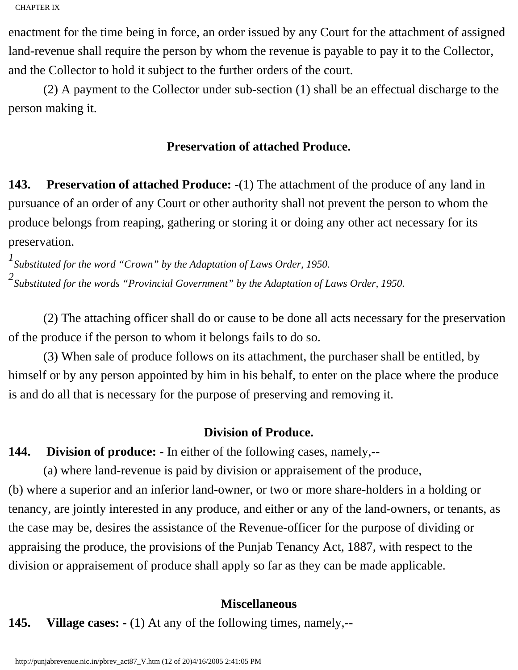enactment for the time being in force, an order issued by any Court for the attachment of assigned land-revenue shall require the person by whom the revenue is payable to pay it to the Collector, and the Collector to hold it subject to the further orders of the court.

 (2) A payment to the Collector under sub-section (1) shall be an effectual discharge to the person making it.

### **Preservation of attached Produce.**

**143. Preservation of attached Produce: -**(1) The attachment of the produce of any land in pursuance of an order of any Court or other authority shall not prevent the person to whom the produce belongs from reaping, gathering or storing it or doing any other act necessary for its preservation.

*1 Substituted for the word "Crown" by the Adaptation of Laws Order, 1950. 2 Substituted for the words "Provincial Government" by the Adaptation of Laws Order, 1950.*

 (2) The attaching officer shall do or cause to be done all acts necessary for the preservation of the produce if the person to whom it belongs fails to do so.

 (3) When sale of produce follows on its attachment, the purchaser shall be entitled, by himself or by any person appointed by him in his behalf, to enter on the place where the produce is and do all that is necessary for the purpose of preserving and removing it.

#### **Division of Produce.**

**144. Division of produce: -** In either of the following cases, namely,--

 (a) where land-revenue is paid by division or appraisement of the produce, (b) where a superior and an inferior land-owner, or two or more share-holders in a holding or tenancy, are jointly interested in any produce, and either or any of the land-owners, or tenants, as the case may be, desires the assistance of the Revenue-officer for the purpose of dividing or appraising the produce, the provisions of the Punjab Tenancy Act, 1887, with respect to the division or appraisement of produce shall apply so far as they can be made applicable.

#### **Miscellaneous**

**145. Village cases: -** (1) At any of the following times, namely,--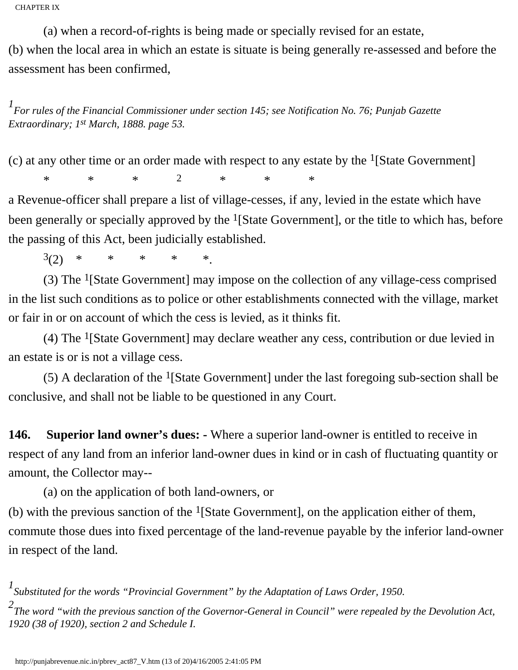(a) when a record-of-rights is being made or specially revised for an estate, (b) when the local area in which an estate is situate is being generally re-assessed and before the assessment has been confirmed,

*1 For rules of the Financial Commissioner under section 145; see Notification No. 76; Punjab Gazette Extraordinary; 1st March, 1888. page 53.*

(c) at any other time or an order made with respect to any estate by the  $<sup>1</sup>[State Government]$ </sup>

\* \* \* 2 \* \* \*

a Revenue-officer shall prepare a list of village-cesses, if any, levied in the estate which have been generally or specially approved by the  $<sup>1</sup>[State Government]$ , or the title to which has, before</sup> the passing of this Act, been judicially established.

 $3(2)$  \* \* \* \* \*.

 (3) The 1[State Government] may impose on the collection of any village-cess comprised in the list such conditions as to police or other establishments connected with the village, market or fair in or on account of which the cess is levied, as it thinks fit.

 (4) The 1[State Government] may declare weather any cess, contribution or due levied in an estate is or is not a village cess.

(5) A declaration of the  $<sup>1</sup>[State Government]$  under the last foregoing sub-section shall be</sup> conclusive, and shall not be liable to be questioned in any Court.

**146. Superior land owner's dues: -** Where a superior land-owner is entitled to receive in respect of any land from an inferior land-owner dues in kind or in cash of fluctuating quantity or amount, the Collector may--

(a) on the application of both land-owners, or

(b) with the previous sanction of the <sup>1</sup>[State Government], on the application either of them, commute those dues into fixed percentage of the land-revenue payable by the inferior land-owner in respect of the land.

*1 Substituted for the words "Provincial Government" by the Adaptation of Laws Order, 1950. 2 The word "with the previous sanction of the Governor-General in Council" were repealed by the Devolution Act, 1920 (38 of 1920), section 2 and Schedule I.*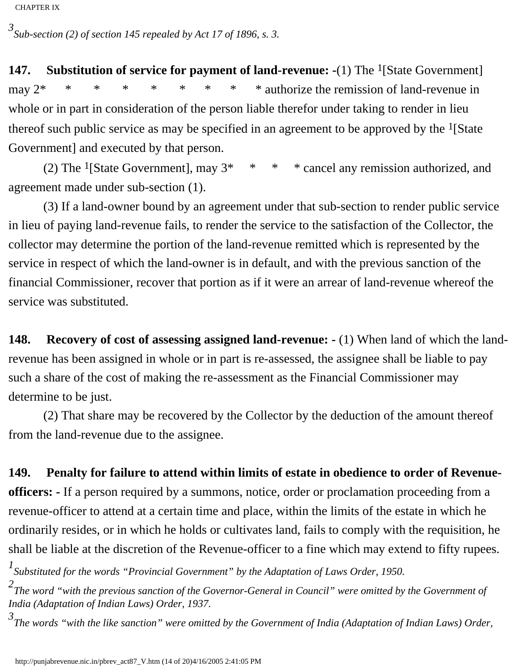*3 Sub-section (2) of section 145 repealed by Act 17 of 1896, s. 3.*

**147.** Substitution of service for payment of land-revenue: -(1) The <sup>1</sup>[State Government] may  $2^*$  \* \* \* \* \* \* \* \* \* authorize the remission of land-revenue in whole or in part in consideration of the person liable therefor under taking to render in lieu thereof such public service as may be specified in an agreement to be approved by the  $<sup>1</sup>[State]$ </sup> Government] and executed by that person.

(2) The <sup>1</sup>[State Government], may  $3^*$  \* \* \* cancel any remission authorized, and agreement made under sub-section (1).

 (3) If a land-owner bound by an agreement under that sub-section to render public service in lieu of paying land-revenue fails, to render the service to the satisfaction of the Collector, the collector may determine the portion of the land-revenue remitted which is represented by the service in respect of which the land-owner is in default, and with the previous sanction of the financial Commissioner, recover that portion as if it were an arrear of land-revenue whereof the service was substituted.

**148. Recovery of cost of assessing assigned land-revenue: -** (1) When land of which the landrevenue has been assigned in whole or in part is re-assessed, the assignee shall be liable to pay such a share of the cost of making the re-assessment as the Financial Commissioner may determine to be just.

 (2) That share may be recovered by the Collector by the deduction of the amount thereof from the land-revenue due to the assignee.

#### **149. Penalty for failure to attend within limits of estate in obedience to order of Revenue-**

**officers: -** If a person required by a summons, notice, order or proclamation proceeding from a revenue-officer to attend at a certain time and place, within the limits of the estate in which he ordinarily resides, or in which he holds or cultivates land, fails to comply with the requisition, he shall be liable at the discretion of the Revenue-officer to a fine which may extend to fifty rupees.

*1 Substituted for the words "Provincial Government" by the Adaptation of Laws Order, 1950.*

*2 The word "with the previous sanction of the Governor-General in Council" were omitted by the Government of India (Adaptation of Indian Laws) Order, 1937.*

*3 The words "with the like sanction" were omitted by the Government of India (Adaptation of Indian Laws) Order,*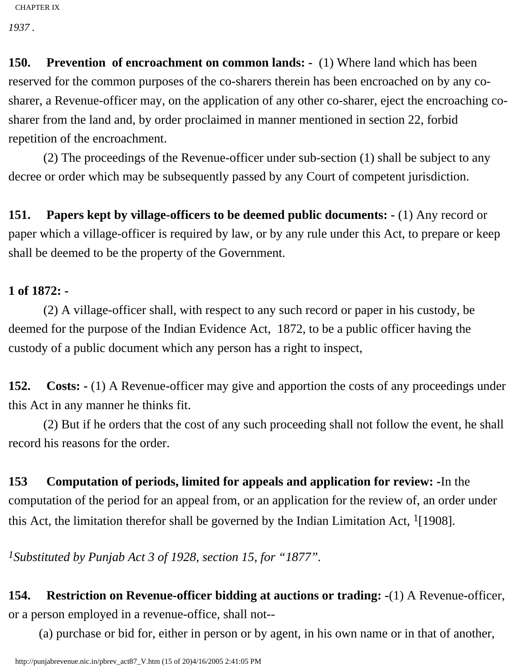*1937 .*

**150. Prevention of encroachment on common lands:** - (1) Where land which has been reserved for the common purposes of the co-sharers therein has been encroached on by any cosharer, a Revenue-officer may, on the application of any other co-sharer, eject the encroaching cosharer from the land and, by order proclaimed in manner mentioned in section 22, forbid repetition of the encroachment.

 (2) The proceedings of the Revenue-officer under sub-section (1) shall be subject to any decree or order which may be subsequently passed by any Court of competent jurisdiction.

**151. Papers kept by village-officers to be deemed public documents: -** (1) Any record or paper which a village-officer is required by law, or by any rule under this Act, to prepare or keep shall be deemed to be the property of the Government.

## **1 of 1872: -**

 (2) A village-officer shall, with respect to any such record or paper in his custody, be deemed for the purpose of the Indian Evidence Act, 1872, to be a public officer having the custody of a public document which any person has a right to inspect,

**152. Costs: -** (1) A Revenue-officer may give and apportion the costs of any proceedings under this Act in any manner he thinks fit.

 (2) But if he orders that the cost of any such proceeding shall not follow the event, he shall record his reasons for the order.

**153 Computation of periods, limited for appeals and application for review: -**In the computation of the period for an appeal from, or an application for the review of, an order under this Act, the limitation therefor shall be governed by the Indian Limitation Act,  $\frac{1}{1}$ [1908].

*1Substituted by Punjab Act 3 of 1928, section 15, for "1877".*

**154. Restriction on Revenue-officer bidding at auctions or trading: -**(1) A Revenue-officer, or a person employed in a revenue-office, shall not--

(a) purchase or bid for, either in person or by agent, in his own name or in that of another,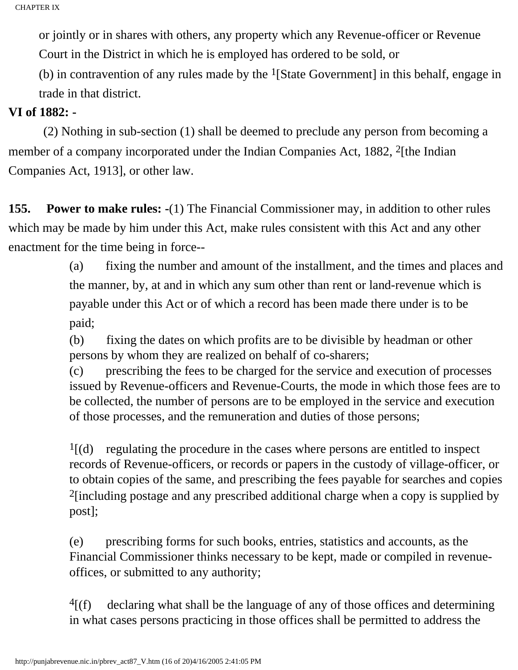or jointly or in shares with others, any property which any Revenue-officer or Revenue Court in the District in which he is employed has ordered to be sold, or

(b) in contravention of any rules made by the  $<sup>1</sup>[State Government]$  in this behalf, engage in</sup> trade in that district.

## **VI of 1882: -**

 (2) Nothing in sub-section (1) shall be deemed to preclude any person from becoming a member of a company incorporated under the Indian Companies Act, 1882, <sup>2</sup>[the Indian Companies Act, 1913], or other law.

**155. Power to make rules: -**(1) The Financial Commissioner may, in addition to other rules which may be made by him under this Act, make rules consistent with this Act and any other enactment for the time being in force--

> (a) fixing the number and amount of the installment, and the times and places and the manner, by, at and in which any sum other than rent or land-revenue which is payable under this Act or of which a record has been made there under is to be paid;

(b) fixing the dates on which profits are to be divisible by headman or other persons by whom they are realized on behalf of co-sharers;

(c) prescribing the fees to be charged for the service and execution of processes issued by Revenue-officers and Revenue-Courts, the mode in which those fees are to be collected, the number of persons are to be employed in the service and execution of those processes, and the remuneration and duties of those persons;

 $<sup>1</sup>$ [(d) regulating the procedure in the cases where persons are entitled to inspect</sup> records of Revenue-officers, or records or papers in the custody of village-officer, or to obtain copies of the same, and prescribing the fees payable for searches and copies 2[including postage and any prescribed additional charge when a copy is supplied by post];

(e) prescribing forms for such books, entries, statistics and accounts, as the Financial Commissioner thinks necessary to be kept, made or compiled in revenueoffices, or submitted to any authority;

 $4(f)$  declaring what shall be the language of any of those offices and determining in what cases persons practicing in those offices shall be permitted to address the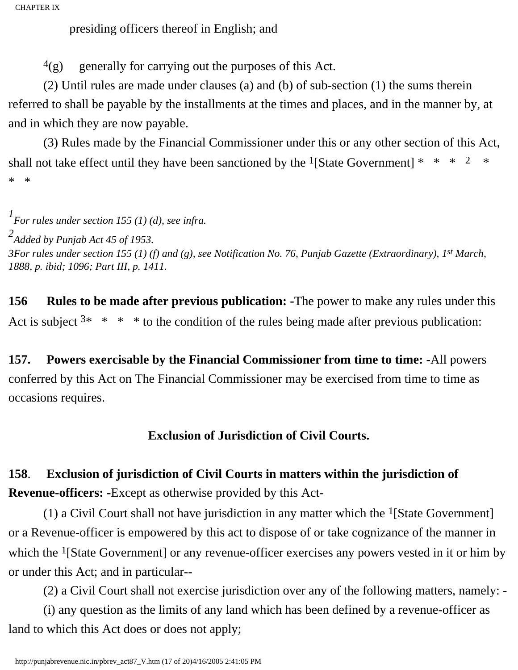presiding officers thereof in English; and

 $^{4}$ (g) generally for carrying out the purposes of this Act.

 (2) Until rules are made under clauses (a) and (b) of sub-section (1) the sums therein referred to shall be payable by the installments at the times and places, and in the manner by, at and in which they are now payable.

 (3) Rules made by the Financial Commissioner under this or any other section of this Act, shall not take effect until they have been sanctioned by the <sup>1</sup>[State Government] \* \* \* 2 \* \* \*

*1 For rules under section 155 (1) (d), see infra.*

*2 Added by Punjab Act 45 of 1953. 3For rules under section 155 (1) (f) and (g), see Notification No. 76, Punjab Gazette (Extraordinary), 1st March, 1888, p. ibid; 1096; Part III, p. 1411.*

**156 Rules to be made after previous publication: -**The power to make any rules under this Act is subject  $3* * * *$  to the condition of the rules being made after previous publication:

**157. Powers exercisable by the Financial Commissioner from time to time: -**All powers conferred by this Act on The Financial Commissioner may be exercised from time to time as occasions requires.

## **Exclusion of Jurisdiction of Civil Courts.**

# **158**. **Exclusion of jurisdiction of Civil Courts in matters within the jurisdiction of Revenue-officers: -**Except as otherwise provided by this Act-

(1) a Civil Court shall not have jurisdiction in any matter which the  $<sup>1</sup>[State Government]$ </sup> or a Revenue-officer is empowered by this act to dispose of or take cognizance of the manner in which the <sup>1</sup>[State Government] or any revenue-officer exercises any powers vested in it or him by or under this Act; and in particular--

(2) a Civil Court shall not exercise jurisdiction over any of the following matters, namely: -

 (i) any question as the limits of any land which has been defined by a revenue-officer as land to which this Act does or does not apply;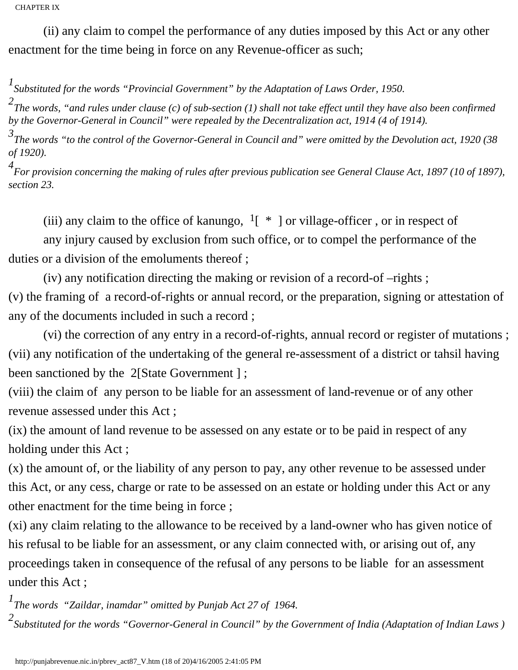(ii) any claim to compel the performance of any duties imposed by this Act or any other enactment for the time being in force on any Revenue-officer as such;

*1 Substituted for the words "Provincial Government" by the Adaptation of Laws Order, 1950.*

*2 The words, "and rules under clause (c) of sub-section (1) shall not take effect until they have also been confirmed by the Governor-General in Council" were repealed by the Decentralization act, 1914 (4 of 1914).* 

*3 The words "to the control of the Governor-General in Council and" were omitted by the Devolution act, 1920 (38 of 1920).* 

*4 For provision concerning the making of rules after previous publication see General Clause Act, 1897 (10 of 1897), section 23.*

(iii) any claim to the office of kanungo,  $1 \div \mathbb{I}$  or village-officer, or in respect of

 any injury caused by exclusion from such office, or to compel the performance of the duties or a division of the emoluments thereof ;

 (iv) any notification directing the making or revision of a record-of –rights ; (v) the framing of a record-of-rights or annual record, or the preparation, signing or attestation of any of the documents included in such a record ;

 (vi) the correction of any entry in a record-of-rights, annual record or register of mutations ; (vii) any notification of the undertaking of the general re-assessment of a district or tahsil having been sanctioned by the 2[State Government];

(viii) the claim of any person to be liable for an assessment of land-revenue or of any other revenue assessed under this Act ;

(ix) the amount of land revenue to be assessed on any estate or to be paid in respect of any holding under this Act ;

(x) the amount of, or the liability of any person to pay, any other revenue to be assessed under this Act, or any cess, charge or rate to be assessed on an estate or holding under this Act or any other enactment for the time being in force ;

(xi) any claim relating to the allowance to be received by a land-owner who has given notice of his refusal to be liable for an assessment, or any claim connected with, or arising out of, any proceedings taken in consequence of the refusal of any persons to be liable for an assessment under this Act ;

*1 The words "Zaildar, inamdar" omitted by Punjab Act 27 of 1964.*

2<br><sup>2</sup> Substituted for the words "Governor-General in Council" by the Government of India (Adaptation of Indian Laws )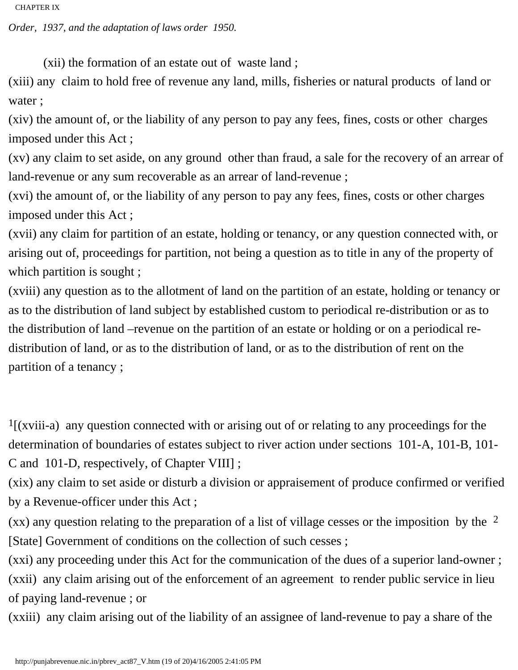*Order, 1937, and the adaptation of laws order 1950.*

(xii) the formation of an estate out of waste land ;

(xiii) any claim to hold free of revenue any land, mills, fisheries or natural products of land or water ;

(xiv) the amount of, or the liability of any person to pay any fees, fines, costs or other charges imposed under this Act ;

(xv) any claim to set aside, on any ground other than fraud, a sale for the recovery of an arrear of land-revenue or any sum recoverable as an arrear of land-revenue ;

(xvi) the amount of, or the liability of any person to pay any fees, fines, costs or other charges imposed under this Act ;

(xvii) any claim for partition of an estate, holding or tenancy, or any question connected with, or arising out of, proceedings for partition, not being a question as to title in any of the property of which partition is sought;

(xviii) any question as to the allotment of land on the partition of an estate, holding or tenancy or as to the distribution of land subject by established custom to periodical re-distribution or as to the distribution of land –revenue on the partition of an estate or holding or on a periodical redistribution of land, or as to the distribution of land, or as to the distribution of rent on the partition of a tenancy ;

 $<sup>1</sup>$ [(xviii-a) any question connected with or arising out of or relating to any proceedings for the</sup> determination of boundaries of estates subject to river action under sections 101-A, 101-B, 101- C and 101-D, respectively, of Chapter VIII] ;

(xix) any claim to set aside or disturb a division or appraisement of produce confirmed or verified by a Revenue-officer under this Act ;

 $(xx)$  any question relating to the preparation of a list of village cesses or the imposition by the  $2$ [State] Government of conditions on the collection of such cesses;

(xxi) any proceeding under this Act for the communication of the dues of a superior land-owner ; (xxii) any claim arising out of the enforcement of an agreement to render public service in lieu of paying land-revenue ; or

(xxiii) any claim arising out of the liability of an assignee of land-revenue to pay a share of the